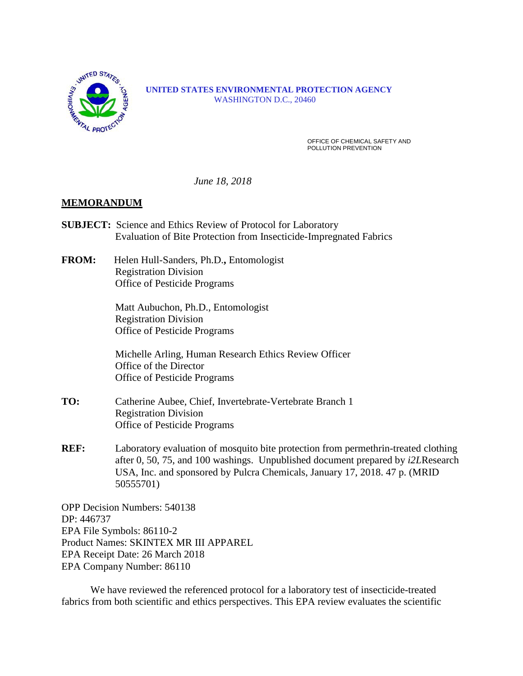

 **UNITED** STATES<br> **EXAMPLE 2008**<br> **EXAMPLE STATES ENVIRONMENTAL PROTECTION AGENCY** WASHINGTON D.C., 20460

> OFFICE OF CHEMICAL SAFETY AND POLLUTION PREVENTION

 *June 18, 2018*

### **MEMORANDUM**

- **SUBJECT:** Science and Ethics Review of Protocol for Laboratory Evaluation of Bite Protection from Insecticide-Impregnated Fabrics
- **FROM:** Helen Hull-Sanders, Ph.D.**,** Entomologist Registration Division Office of Pesticide Programs

Matt Aubuchon, Ph.D., Entomologist Registration Division Office of Pesticide Programs

Michelle Arling, Human Research Ethics Review Officer Office of the Director Office of Pesticide Programs

- **TO:** Catherine Aubee, Chief, Invertebrate-Vertebrate Branch 1 Registration Division Office of Pesticide Programs
- **REF:** Laboratory evaluation of mosquito bite protection from permethrin-treated clothing after 0, 50, 75, and 100 washings. Unpublished document prepared by *i2L*Research USA, Inc. and sponsored by Pulcra Chemicals, January 17, 2018. 47 p. (MRID 50555701)

OPP Decision Numbers: 540138 DP: 446737 EPA File Symbols: 86110-2 Product Names: SKINTEX MR III APPAREL EPA Receipt Date: 26 March 2018 EPA Company Number: 86110

We have reviewed the referenced protocol for a laboratory test of insecticide-treated fabrics from both scientific and ethics perspectives. This EPA review evaluates the scientific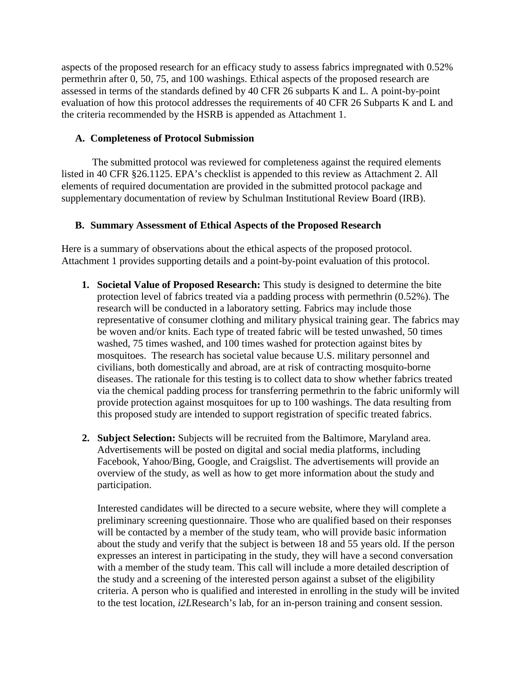aspects of the proposed research for an efficacy study to assess fabrics impregnated with 0.52% permethrin after 0, 50, 75, and 100 washings. Ethical aspects of the proposed research are assessed in terms of the standards defined by 40 CFR 26 subparts K and L. A point-by-point evaluation of how this protocol addresses the requirements of 40 CFR 26 Subparts K and L and the criteria recommended by the HSRB is appended as Attachment 1.

# **A. Completeness of Protocol Submission**

The submitted protocol was reviewed for completeness against the required elements listed in 40 CFR §26.1125. EPA's checklist is appended to this review as Attachment 2. All elements of required documentation are provided in the submitted protocol package and supplementary documentation of review by Schulman Institutional Review Board (IRB).

# **B. Summary Assessment of Ethical Aspects of the Proposed Research**

Here is a summary of observations about the ethical aspects of the proposed protocol. Attachment 1 provides supporting details and a point-by-point evaluation of this protocol.

- **1. Societal Value of Proposed Research:** This study is designed to determine the bite protection level of fabrics treated via a padding process with permethrin (0.52%). The research will be conducted in a laboratory setting. Fabrics may include those representative of consumer clothing and military physical training gear. The fabrics may be woven and/or knits. Each type of treated fabric will be tested unwashed, 50 times washed, 75 times washed, and 100 times washed for protection against bites by mosquitoes. The research has societal value because U.S. military personnel and civilians, both domestically and abroad, are at risk of contracting mosquito-borne diseases. The rationale for this testing is to collect data to show whether fabrics treated via the chemical padding process for transferring permethrin to the fabric uniformly will provide protection against mosquitoes for up to 100 washings. The data resulting from this proposed study are intended to support registration of specific treated fabrics.
- **2. Subject Selection:** Subjects will be recruited from the Baltimore, Maryland area. Advertisements will be posted on digital and social media platforms, including Facebook, Yahoo/Bing, Google, and Craigslist. The advertisements will provide an overview of the study, as well as how to get more information about the study and participation.

Interested candidates will be directed to a secure website, where they will complete a preliminary screening questionnaire. Those who are qualified based on their responses will be contacted by a member of the study team, who will provide basic information about the study and verify that the subject is between 18 and 55 years old. If the person expresses an interest in participating in the study, they will have a second conversation with a member of the study team. This call will include a more detailed description of the study and a screening of the interested person against a subset of the eligibility criteria. A person who is qualified and interested in enrolling in the study will be invited to the test location, *i2L*Research's lab, for an in-person training and consent session.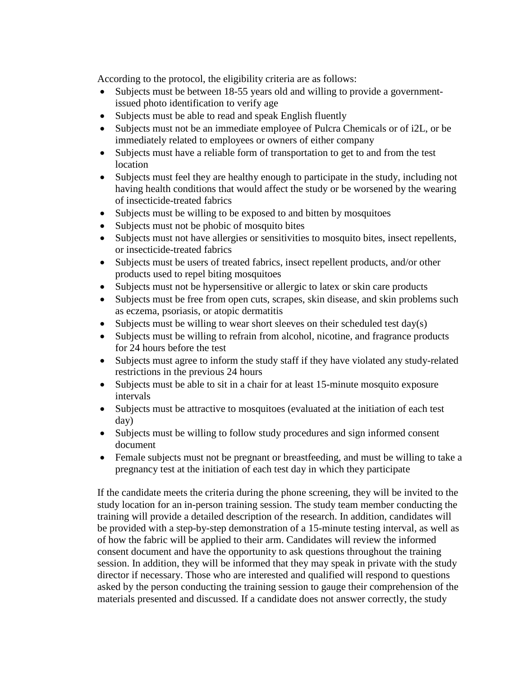According to the protocol, the eligibility criteria are as follows:

- Subjects must be between 18-55 years old and willing to provide a governmentissued photo identification to verify age
- Subjects must be able to read and speak English fluently
- Subjects must not be an immediate employee of Pulcra Chemicals or of i2L, or be immediately related to employees or owners of either company
- Subjects must have a reliable form of transportation to get to and from the test location
- Subjects must feel they are healthy enough to participate in the study, including not having health conditions that would affect the study or be worsened by the wearing of insecticide-treated fabrics
- Subjects must be willing to be exposed to and bitten by mosquitoes
- Subjects must not be phobic of mosquito bites
- Subjects must not have allergies or sensitivities to mosquito bites, insect repellents, or insecticide-treated fabrics
- Subjects must be users of treated fabrics, insect repellent products, and/or other products used to repel biting mosquitoes
- Subjects must not be hypersensitive or allergic to latex or skin care products
- Subjects must be free from open cuts, scrapes, skin disease, and skin problems such as eczema, psoriasis, or atopic dermatitis
- Subjects must be willing to wear short sleeves on their scheduled test day(s)
- Subjects must be willing to refrain from alcohol, nicotine, and fragrance products for 24 hours before the test
- Subjects must agree to inform the study staff if they have violated any study-related restrictions in the previous 24 hours
- Subjects must be able to sit in a chair for at least 15-minute mosquito exposure intervals
- Subjects must be attractive to mosquitoes (evaluated at the initiation of each test day)
- Subjects must be willing to follow study procedures and sign informed consent document
- Female subjects must not be pregnant or breastfeeding, and must be willing to take a pregnancy test at the initiation of each test day in which they participate

If the candidate meets the criteria during the phone screening, they will be invited to the study location for an in-person training session. The study team member conducting the training will provide a detailed description of the research. In addition, candidates will be provided with a step-by-step demonstration of a 15-minute testing interval, as well as of how the fabric will be applied to their arm. Candidates will review the informed consent document and have the opportunity to ask questions throughout the training session. In addition, they will be informed that they may speak in private with the study director if necessary. Those who are interested and qualified will respond to questions asked by the person conducting the training session to gauge their comprehension of the materials presented and discussed. If a candidate does not answer correctly, the study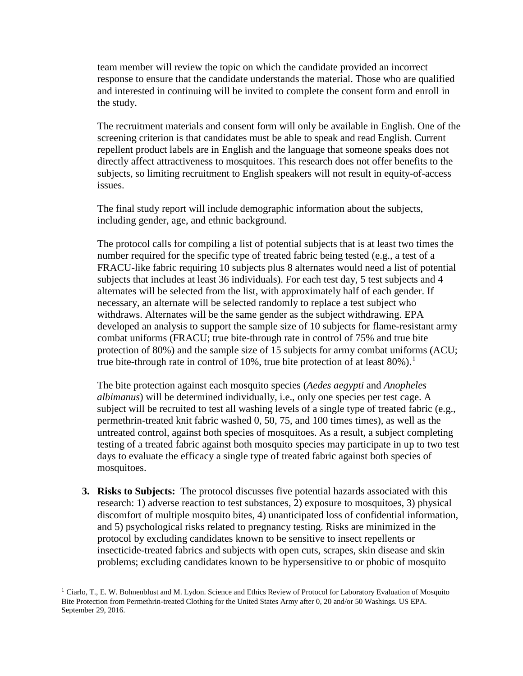team member will review the topic on which the candidate provided an incorrect response to ensure that the candidate understands the material. Those who are qualified and interested in continuing will be invited to complete the consent form and enroll in the study.

The recruitment materials and consent form will only be available in English. One of the screening criterion is that candidates must be able to speak and read English. Current repellent product labels are in English and the language that someone speaks does not directly affect attractiveness to mosquitoes. This research does not offer benefits to the subjects, so limiting recruitment to English speakers will not result in equity-of-access issues.

The final study report will include demographic information about the subjects, including gender, age, and ethnic background.

The protocol calls for compiling a list of potential subjects that is at least two times the number required for the specific type of treated fabric being tested (e.g., a test of a FRACU-like fabric requiring 10 subjects plus 8 alternates would need a list of potential subjects that includes at least 36 individuals). For each test day, 5 test subjects and 4 alternates will be selected from the list, with approximately half of each gender. If necessary, an alternate will be selected randomly to replace a test subject who withdraws. Alternates will be the same gender as the subject withdrawing. EPA developed an analysis to support the sample size of 10 subjects for flame-resistant army combat uniforms (FRACU; true bite-through rate in control of 75% and true bite protection of 80%) and the sample size of 15 subjects for army combat uniforms (ACU; true bite-through rate in control of [1](#page-3-0)0%, true bite protection of at least 80%).<sup>1</sup>

The bite protection against each mosquito species (*Aedes aegypti* and *Anopheles albimanus*) will be determined individually, i.e., only one species per test cage. A subject will be recruited to test all washing levels of a single type of treated fabric (e.g., permethrin-treated knit fabric washed 0, 50, 75, and 100 times times), as well as the untreated control, against both species of mosquitoes. As a result, a subject completing testing of a treated fabric against both mosquito species may participate in up to two test days to evaluate the efficacy a single type of treated fabric against both species of mosquitoes.

**3. Risks to Subjects:** The protocol discusses five potential hazards associated with this research: 1) adverse reaction to test substances, 2) exposure to mosquitoes, 3) physical discomfort of multiple mosquito bites, 4) unanticipated loss of confidential information, and 5) psychological risks related to pregnancy testing. Risks are minimized in the protocol by excluding candidates known to be sensitive to insect repellents or insecticide-treated fabrics and subjects with open cuts, scrapes, skin disease and skin problems; excluding candidates known to be hypersensitive to or phobic of mosquito

<span id="page-3-0"></span> <sup>1</sup> Ciarlo, T., E. W. Bohnenblust and M. Lydon. Science and Ethics Review of Protocol for Laboratory Evaluation of Mosquito Bite Protection from Permethrin-treated Clothing for the United States Army after 0, 20 and/or 50 Washings. US EPA. September 29, 2016.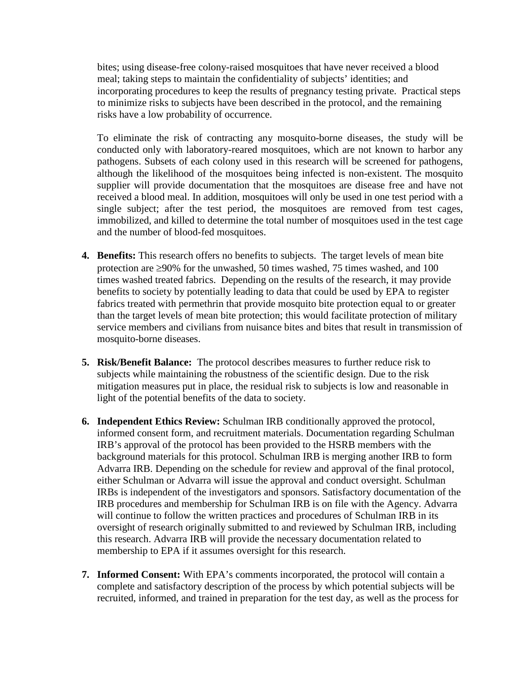bites; using disease-free colony-raised mosquitoes that have never received a blood meal; taking steps to maintain the confidentiality of subjects' identities; and incorporating procedures to keep the results of pregnancy testing private. Practical steps to minimize risks to subjects have been described in the protocol, and the remaining risks have a low probability of occurrence.

To eliminate the risk of contracting any mosquito-borne diseases, the study will be conducted only with laboratory-reared mosquitoes, which are not known to harbor any pathogens. Subsets of each colony used in this research will be screened for pathogens, although the likelihood of the mosquitoes being infected is non-existent. The mosquito supplier will provide documentation that the mosquitoes are disease free and have not received a blood meal. In addition, mosquitoes will only be used in one test period with a single subject; after the test period, the mosquitoes are removed from test cages, immobilized, and killed to determine the total number of mosquitoes used in the test cage and the number of blood-fed mosquitoes.

- **4. Benefits:** This research offers no benefits to subjects. The target levels of mean bite protection are ≥90% for the unwashed, 50 times washed, 75 times washed, and 100 times washed treated fabrics. Depending on the results of the research, it may provide benefits to society by potentially leading to data that could be used by EPA to register fabrics treated with permethrin that provide mosquito bite protection equal to or greater than the target levels of mean bite protection; this would facilitate protection of military service members and civilians from nuisance bites and bites that result in transmission of mosquito-borne diseases.
- **5. Risk/Benefit Balance:** The protocol describes measures to further reduce risk to subjects while maintaining the robustness of the scientific design. Due to the risk mitigation measures put in place, the residual risk to subjects is low and reasonable in light of the potential benefits of the data to society.
- **6. Independent Ethics Review:** Schulman IRB conditionally approved the protocol, informed consent form, and recruitment materials. Documentation regarding Schulman IRB's approval of the protocol has been provided to the HSRB members with the background materials for this protocol. Schulman IRB is merging another IRB to form Advarra IRB. Depending on the schedule for review and approval of the final protocol, either Schulman or Advarra will issue the approval and conduct oversight. Schulman IRBs is independent of the investigators and sponsors. Satisfactory documentation of the IRB procedures and membership for Schulman IRB is on file with the Agency. Advarra will continue to follow the written practices and procedures of Schulman IRB in its oversight of research originally submitted to and reviewed by Schulman IRB, including this research. Advarra IRB will provide the necessary documentation related to membership to EPA if it assumes oversight for this research.
- **7. Informed Consent:** With EPA's comments incorporated, the protocol will contain a complete and satisfactory description of the process by which potential subjects will be recruited, informed, and trained in preparation for the test day, as well as the process for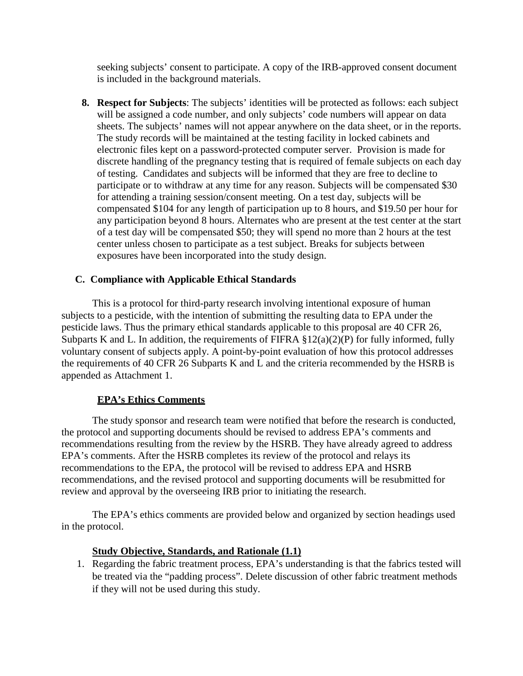seeking subjects' consent to participate. A copy of the IRB-approved consent document is included in the background materials.

**8. Respect for Subjects**: The subjects' identities will be protected as follows: each subject will be assigned a code number, and only subjects' code numbers will appear on data sheets. The subjects' names will not appear anywhere on the data sheet, or in the reports. The study records will be maintained at the testing facility in locked cabinets and electronic files kept on a password-protected computer server. Provision is made for discrete handling of the pregnancy testing that is required of female subjects on each day of testing. Candidates and subjects will be informed that they are free to decline to participate or to withdraw at any time for any reason. Subjects will be compensated \$30 for attending a training session/consent meeting. On a test day, subjects will be compensated \$104 for any length of participation up to 8 hours, and \$19.50 per hour for any participation beyond 8 hours. Alternates who are present at the test center at the start of a test day will be compensated \$50; they will spend no more than 2 hours at the test center unless chosen to participate as a test subject. Breaks for subjects between exposures have been incorporated into the study design.

# **C. Compliance with Applicable Ethical Standards**

This is a protocol for third-party research involving intentional exposure of human subjects to a pesticide, with the intention of submitting the resulting data to EPA under the pesticide laws. Thus the primary ethical standards applicable to this proposal are 40 CFR 26, Subparts K and L. In addition, the requirements of FIFRA  $\S 12(a)(2)(P)$  for fully informed, fully voluntary consent of subjects apply. A point-by-point evaluation of how this protocol addresses the requirements of 40 CFR 26 Subparts K and L and the criteria recommended by the HSRB is appended as Attachment 1.

### **EPA's Ethics Comments**

The study sponsor and research team were notified that before the research is conducted, the protocol and supporting documents should be revised to address EPA's comments and recommendations resulting from the review by the HSRB. They have already agreed to address EPA's comments. After the HSRB completes its review of the protocol and relays its recommendations to the EPA, the protocol will be revised to address EPA and HSRB recommendations, and the revised protocol and supporting documents will be resubmitted for review and approval by the overseeing IRB prior to initiating the research.

The EPA's ethics comments are provided below and organized by section headings used in the protocol.

# **Study Objective, Standards, and Rationale (1.1)**

1. Regarding the fabric treatment process, EPA's understanding is that the fabrics tested will be treated via the "padding process". Delete discussion of other fabric treatment methods if they will not be used during this study.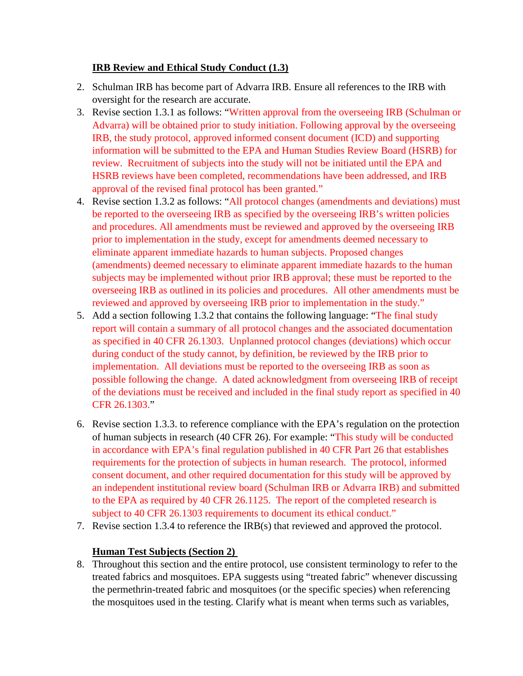# **IRB Review and Ethical Study Conduct (1.3)**

- 2. Schulman IRB has become part of Advarra IRB. Ensure all references to the IRB with oversight for the research are accurate.
- 3. Revise section 1.3.1 as follows: "Written approval from the overseeing IRB (Schulman or Advarra) will be obtained prior to study initiation. Following approval by the overseeing IRB, the study protocol, approved informed consent document (ICD) and supporting information will be submitted to the EPA and Human Studies Review Board (HSRB) for review. Recruitment of subjects into the study will not be initiated until the EPA and HSRB reviews have been completed, recommendations have been addressed, and IRB approval of the revised final protocol has been granted."
- 4. Revise section 1.3.2 as follows: "All protocol changes (amendments and deviations) must be reported to the overseeing IRB as specified by the overseeing IRB's written policies and procedures. All amendments must be reviewed and approved by the overseeing IRB prior to implementation in the study, except for amendments deemed necessary to eliminate apparent immediate hazards to human subjects. Proposed changes (amendments) deemed necessary to eliminate apparent immediate hazards to the human subjects may be implemented without prior IRB approval; these must be reported to the overseeing IRB as outlined in its policies and procedures. All other amendments must be reviewed and approved by overseeing IRB prior to implementation in the study."
- 5. Add a section following 1.3.2 that contains the following language: "The final study report will contain a summary of all protocol changes and the associated documentation as specified in 40 CFR 26.1303. Unplanned protocol changes (deviations) which occur during conduct of the study cannot, by definition, be reviewed by the IRB prior to implementation. All deviations must be reported to the overseeing IRB as soon as possible following the change. A dated acknowledgment from overseeing IRB of receipt of the deviations must be received and included in the final study report as specified in 40 CFR 26.1303."
- 6. Revise section 1.3.3. to reference compliance with the EPA's regulation on the protection of human subjects in research (40 CFR 26). For example: "This study will be conducted in accordance with EPA's final regulation published in 40 CFR Part 26 that establishes requirements for the protection of subjects in human research. The protocol, informed consent document, and other required documentation for this study will be approved by an independent institutional review board (Schulman IRB or Advarra IRB) and submitted to the EPA as required by 40 CFR 26.1125. The report of the completed research is subject to 40 CFR 26.1303 requirements to document its ethical conduct."
- 7. Revise section 1.3.4 to reference the IRB(s) that reviewed and approved the protocol.

# **Human Test Subjects (Section 2)**

8. Throughout this section and the entire protocol, use consistent terminology to refer to the treated fabrics and mosquitoes. EPA suggests using "treated fabric" whenever discussing the permethrin-treated fabric and mosquitoes (or the specific species) when referencing the mosquitoes used in the testing. Clarify what is meant when terms such as variables,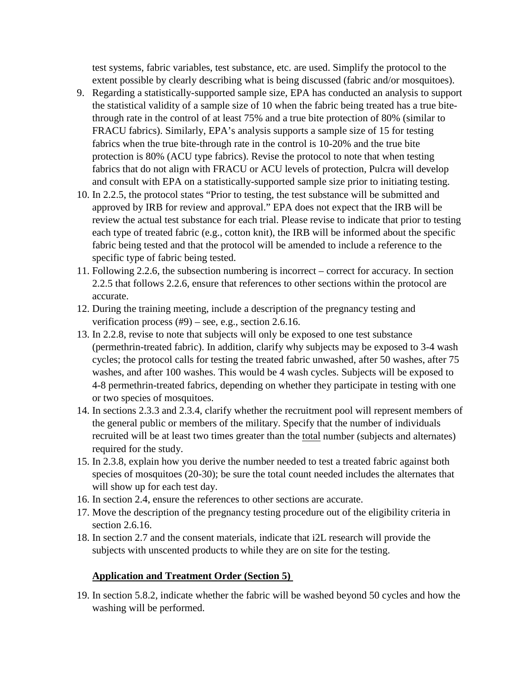test systems, fabric variables, test substance, etc. are used. Simplify the protocol to the extent possible by clearly describing what is being discussed (fabric and/or mosquitoes).

- 9. Regarding a statistically-supported sample size, EPA has conducted an analysis to support the statistical validity of a sample size of 10 when the fabric being treated has a true bitethrough rate in the control of at least 75% and a true bite protection of 80% (similar to FRACU fabrics). Similarly, EPA's analysis supports a sample size of 15 for testing fabrics when the true bite-through rate in the control is 10-20% and the true bite protection is 80% (ACU type fabrics). Revise the protocol to note that when testing fabrics that do not align with FRACU or ACU levels of protection, Pulcra will develop and consult with EPA on a statistically-supported sample size prior to initiating testing.
- 10. In 2.2.5, the protocol states "Prior to testing, the test substance will be submitted and approved by IRB for review and approval." EPA does not expect that the IRB will be review the actual test substance for each trial. Please revise to indicate that prior to testing each type of treated fabric (e.g., cotton knit), the IRB will be informed about the specific fabric being tested and that the protocol will be amended to include a reference to the specific type of fabric being tested.
- 11. Following 2.2.6, the subsection numbering is incorrect correct for accuracy. In section 2.2.5 that follows 2.2.6, ensure that references to other sections within the protocol are accurate.
- 12. During the training meeting, include a description of the pregnancy testing and verification process  $(\text{\#9})$  – see, e.g., section 2.6.16.
- 13. In 2.2.8, revise to note that subjects will only be exposed to one test substance (permethrin-treated fabric). In addition, clarify why subjects may be exposed to 3-4 wash cycles; the protocol calls for testing the treated fabric unwashed, after 50 washes, after 75 washes, and after 100 washes. This would be 4 wash cycles. Subjects will be exposed to 4-8 permethrin-treated fabrics, depending on whether they participate in testing with one or two species of mosquitoes.
- 14. In sections 2.3.3 and 2.3.4, clarify whether the recruitment pool will represent members of the general public or members of the military. Specify that the number of individuals recruited will be at least two times greater than the total number (subjects and alternates) required for the study.
- 15. In 2.3.8, explain how you derive the number needed to test a treated fabric against both species of mosquitoes (20-30); be sure the total count needed includes the alternates that will show up for each test day.
- 16. In section 2.4, ensure the references to other sections are accurate.
- 17. Move the description of the pregnancy testing procedure out of the eligibility criteria in section 2.6.16.
- 18. In section 2.7 and the consent materials, indicate that i2L research will provide the subjects with unscented products to while they are on site for the testing.

# **Application and Treatment Order (Section 5)**

19. In section 5.8.2, indicate whether the fabric will be washed beyond 50 cycles and how the washing will be performed.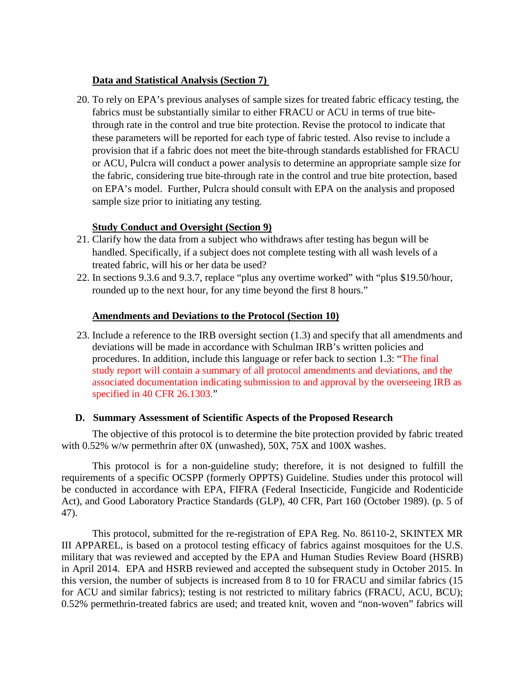# **Data and Statistical Analysis (Section 7)**

20. To rely on EPA's previous analyses of sample sizes for treated fabric efficacy testing, the fabrics must be substantially similar to either FRACU or ACU in terms of true bitethrough rate in the control and true bite protection. Revise the protocol to indicate that these parameters will be reported for each type of fabric tested. Also revise to include a provision that if a fabric does not meet the bite-through standards established for FRACU or ACU, Pulcra will conduct a power analysis to determine an appropriate sample size for the fabric, considering true bite-through rate in the control and true bite protection, based on EPA's model. Further, Pulcra should consult with EPA on the analysis and proposed sample size prior to initiating any testing.

# **Study Conduct and Oversight (Section 9)**

- 21. Clarify how the data from a subject who withdraws after testing has begun will be handled. Specifically, if a subject does not complete testing with all wash levels of a treated fabric, will his or her data be used?
- 22. In sections 9.3.6 and 9.3.7, replace "plus any overtime worked" with "plus \$19.50/hour, rounded up to the next hour, for any time beyond the first 8 hours."

# **Amendments and Deviations to the Protocol (Section 10)**

23. Include a reference to the IRB oversight section (1.3) and specify that all amendments and deviations will be made in accordance with Schulman IRB's written policies and procedures. In addition, include this language or refer back to section 1.3: "The final study report will contain a summary of all protocol amendments and deviations, and the associated documentation indicating submission to and approval by the overseeing IRB as specified in 40 CFR 26.1303."

# **D. Summary Assessment of Scientific Aspects of the Proposed Research**

The objective of this protocol is to determine the bite protection provided by fabric treated with 0.52% w/w permethrin after 0X (unwashed), 50X, 75X and 100X washes.

This protocol is for a non-guideline study; therefore, it is not designed to fulfill the requirements of a specific OCSPP (formerly OPPTS) Guideline. Studies under this protocol will be conducted in accordance with EPA, FIFRA (Federal Insecticide, Fungicide and Rodenticide Act), and Good Laboratory Practice Standards (GLP), 40 CFR, Part 160 (October 1989). (p. 5 of 47).

This protocol, submitted for the re-registration of EPA Reg. No. 86110-2, SKINTEX MR III APPAREL, is based on a protocol testing efficacy of fabrics against mosquitoes for the U.S. military that was reviewed and accepted by the EPA and Human Studies Review Board (HSRB) in April 2014. EPA and HSRB reviewed and accepted the subsequent study in October 2015. In this version, the number of subjects is increased from 8 to 10 for FRACU and similar fabrics (15 for ACU and similar fabrics); testing is not restricted to military fabrics (FRACU, ACU, BCU); 0.52% permethrin-treated fabrics are used; and treated knit, woven and "non-woven" fabrics will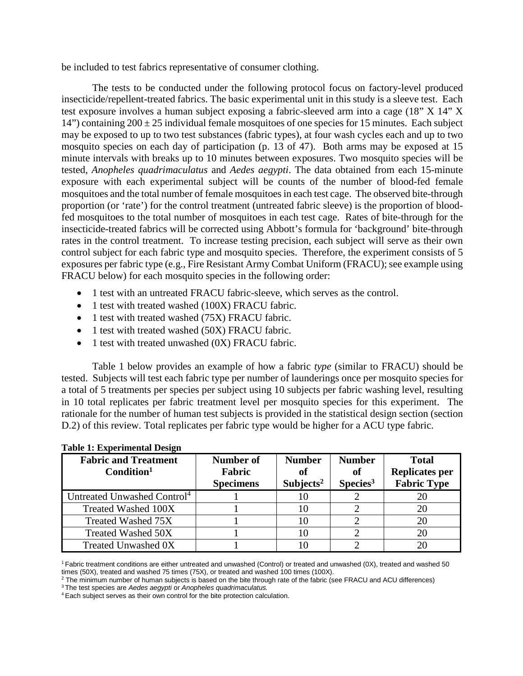be included to test fabrics representative of consumer clothing.

The tests to be conducted under the following protocol focus on factory-level produced insecticide/repellent-treated fabrics. The basic experimental unit in this study is a sleeve test. Each test exposure involves a human subject exposing a fabric-sleeved arm into a cage (18" X 14" X 14") containing  $200 \pm 25$  individual female mosquitoes of one species for 15 minutes. Each subject may be exposed to up to two test substances (fabric types), at four wash cycles each and up to two mosquito species on each day of participation (p. 13 of 47). Both arms may be exposed at 15 minute intervals with breaks up to 10 minutes between exposures. Two mosquito species will be tested, *Anopheles quadrimaculatus* and *Aedes aegypti*. The data obtained from each 15-minute exposure with each experimental subject will be counts of the number of blood-fed female mosquitoes and the total number of female mosquitoes in each test cage. The observed bite-through proportion (or 'rate') for the control treatment (untreated fabric sleeve) is the proportion of bloodfed mosquitoes to the total number of mosquitoes in each test cage. Rates of bite-through for the insecticide-treated fabrics will be corrected using Abbott's formula for 'background' bite-through rates in the control treatment. To increase testing precision, each subject will serve as their own control subject for each fabric type and mosquito species. Therefore, the experiment consists of 5 exposures per fabric type (e.g., Fire Resistant Army Combat Uniform (FRACU); see example using FRACU below) for each mosquito species in the following order:

- 1 test with an untreated FRACU fabric-sleeve, which serves as the control.
- 1 test with treated washed (100X) FRACU fabric.
- 1 test with treated washed (75X) FRACU fabric.
- 1 test with treated washed (50X) FRACU fabric.
- 1 test with treated unwashed (0X) FRACU fabric.

Table 1 below provides an example of how a fabric *type* (similar to FRACU) should be tested. Subjects will test each fabric type per number of launderings once per mosquito species for a total of 5 treatments per species per subject using 10 subjects per fabric washing level, resulting in 10 total replicates per fabric treatment level per mosquito species for this experiment. The rationale for the number of human test subjects is provided in the statistical design section (section D.2) of this review. Total replicates per fabric type would be higher for a ACU type fabric.

| <b>Fabric and Treatment</b><br>Condition <sup>1</sup> | Number of<br>Fabric<br><b>Specimens</b> | <b>Number</b><br>of<br>Subjects <sup>2</sup> | <b>Number</b><br>of<br>Species <sup>3</sup> | <b>Total</b><br><b>Replicates per</b><br><b>Fabric Type</b> |
|-------------------------------------------------------|-----------------------------------------|----------------------------------------------|---------------------------------------------|-------------------------------------------------------------|
| Untreated Unwashed Control <sup>4</sup>               |                                         |                                              |                                             |                                                             |
| Treated Washed 100X                                   |                                         | 10                                           |                                             | 20                                                          |
| Treated Washed 75X                                    |                                         |                                              |                                             |                                                             |
| <b>Treated Washed 50X</b>                             |                                         |                                              |                                             | 20                                                          |
| Treated Unwashed 0X                                   |                                         |                                              |                                             |                                                             |

#### **Table 1: Experimental Design**

3 The test species are *Aedes aegypti* or *Anopheles quadrimaculatus.*

<sup>1</sup> Fabric treatment conditions are either untreated and unwashed (Control) or treated and unwashed (0X), treated and washed 50 times (50X), treated and washed 75 times (75X), or treated and washed 100 times (100X).

<sup>&</sup>lt;sup>2</sup> The minimum number of human subjects is based on the bite through rate of the fabric (see FRACU and ACU differences)

<sup>4</sup> Each subject serves as their own control for the bite protection calculation.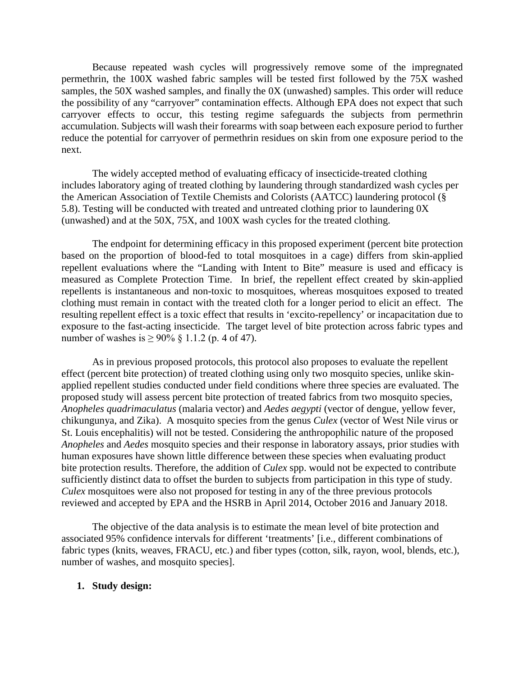Because repeated wash cycles will progressively remove some of the impregnated permethrin, the 100X washed fabric samples will be tested first followed by the 75X washed samples, the 50X washed samples, and finally the 0X (unwashed) samples. This order will reduce the possibility of any "carryover" contamination effects. Although EPA does not expect that such carryover effects to occur, this testing regime safeguards the subjects from permethrin accumulation. Subjects will wash their forearms with soap between each exposure period to further reduce the potential for carryover of permethrin residues on skin from one exposure period to the next.

The widely accepted method of evaluating efficacy of insecticide-treated clothing includes laboratory aging of treated clothing by laundering through standardized wash cycles per the American Association of Textile Chemists and Colorists (AATCC) laundering protocol (§ 5.8). Testing will be conducted with treated and untreated clothing prior to laundering 0X (unwashed) and at the 50X, 75X, and 100X wash cycles for the treated clothing.

The endpoint for determining efficacy in this proposed experiment (percent bite protection based on the proportion of blood-fed to total mosquitoes in a cage) differs from skin-applied repellent evaluations where the "Landing with Intent to Bite" measure is used and efficacy is measured as Complete Protection Time. In brief, the repellent effect created by skin-applied repellents is instantaneous and non-toxic to mosquitoes, whereas mosquitoes exposed to treated clothing must remain in contact with the treated cloth for a longer period to elicit an effect. The resulting repellent effect is a toxic effect that results in 'excito-repellency' or incapacitation due to exposure to the fast-acting insecticide. The target level of bite protection across fabric types and number of washes is  $\ge 90\%$  § 1.1.2 (p. 4 of 47).

As in previous proposed protocols, this protocol also proposes to evaluate the repellent effect (percent bite protection) of treated clothing using only two mosquito species, unlike skinapplied repellent studies conducted under field conditions where three species are evaluated. The proposed study will assess percent bite protection of treated fabrics from two mosquito species, *Anopheles quadrimaculatus* (malaria vector) and *Aedes aegypti* (vector of dengue, yellow fever, chikungunya, and Zika). A mosquito species from the genus *Culex* (vector of West Nile virus or St. Louis encephalitis) will not be tested. Considering the anthropophilic nature of the proposed *Anopheles* and *Aedes* mosquito species and their response in laboratory assays, prior studies with human exposures have shown little difference between these species when evaluating product bite protection results. Therefore, the addition of *Culex* spp. would not be expected to contribute sufficiently distinct data to offset the burden to subjects from participation in this type of study. *Culex* mosquitoes were also not proposed for testing in any of the three previous protocols reviewed and accepted by EPA and the HSRB in April 2014, October 2016 and January 2018.

The objective of the data analysis is to estimate the mean level of bite protection and associated 95% confidence intervals for different 'treatments' [i.e., different combinations of fabric types (knits, weaves, FRACU, etc.) and fiber types (cotton, silk, rayon, wool, blends, etc.), number of washes, and mosquito species].

#### **1. Study design:**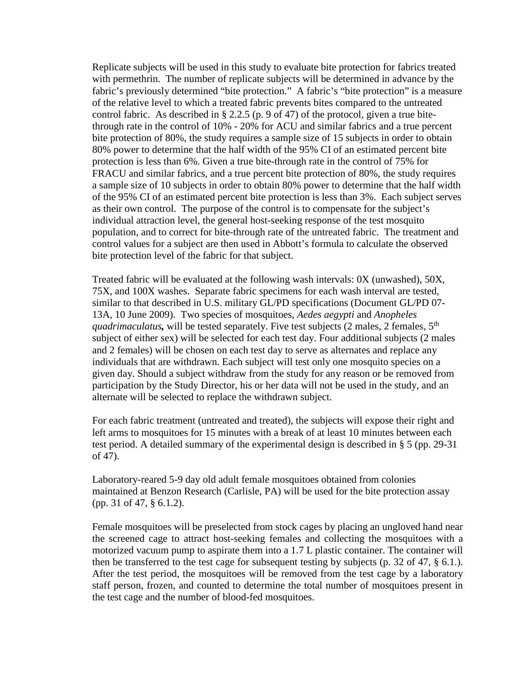Replicate subjects will be used in this study to evaluate bite protection for fabrics treated with permethrin. The number of replicate subjects will be determined in advance by the fabric's previously determined "bite protection." A fabric's "bite protection" is a measure of the relative level to which a treated fabric prevents bites compared to the untreated control fabric. As described in § 2.2.5 (p. 9 of 47) of the protocol, given a true bitethrough rate in the control of 10% - 20% for ACU and similar fabrics and a true percent bite protection of 80%, the study requires a sample size of 15 subjects in order to obtain 80% power to determine that the half width of the 95% CI of an estimated percent bite protection is less than 6%. Given a true bite-through rate in the control of 75% for FRACU and similar fabrics, and a true percent bite protection of 80%, the study requires a sample size of 10 subjects in order to obtain 80% power to determine that the half width of the 95% CI of an estimated percent bite protection is less than 3%. Each subject serves as their own control. The purpose of the control is to compensate for the subject's individual attraction level, the general host-seeking response of the test mosquito population, and to correct for bite-through rate of the untreated fabric. The treatment and control values for a subject are then used in Abbott's formula to calculate the observed bite protection level of the fabric for that subject.

Treated fabric will be evaluated at the following wash intervals: 0X (unwashed), 50X, 75X, and 100X washes. Separate fabric specimens for each wash interval are tested, similar to that described in U.S. military GL/PD specifications (Document GL/PD 07- 13A, 10 June 2009). Two species of mosquitoes, *Aedes aegypti* and *Anopheles quadrimaculatus,* will be tested separately. Five test subjects (2 males, 2 females, 5th subject of either sex) will be selected for each test day. Four additional subjects (2 males and 2 females) will be chosen on each test day to serve as alternates and replace any individuals that are withdrawn. Each subject will test only one mosquito species on a given day. Should a subject withdraw from the study for any reason or be removed from participation by the Study Director, his or her data will not be used in the study, and an alternate will be selected to replace the withdrawn subject.

For each fabric treatment (untreated and treated), the subjects will expose their right and left arms to mosquitoes for 15 minutes with a break of at least 10 minutes between each test period. A detailed summary of the experimental design is described in § 5 (pp. 29-31 of 47).

Laboratory-reared 5-9 day old adult female mosquitoes obtained from colonies maintained at Benzon Research (Carlisle, PA) will be used for the bite protection assay (pp. 31 of 47, § 6.1.2).

Female mosquitoes will be preselected from stock cages by placing an ungloved hand near the screened cage to attract host-seeking females and collecting the mosquitoes with a motorized vacuum pump to aspirate them into a 1.7 L plastic container. The container will then be transferred to the test cage for subsequent testing by subjects (p. 32 of 47, § 6.1.). After the test period, the mosquitoes will be removed from the test cage by a laboratory staff person, frozen, and counted to determine the total number of mosquitoes present in the test cage and the number of blood-fed mosquitoes.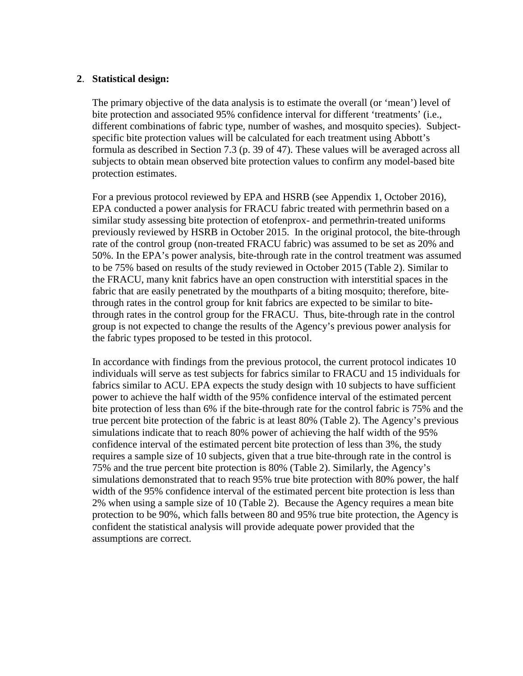### **2**. **Statistical design:**

The primary objective of the data analysis is to estimate the overall (or 'mean') level of bite protection and associated 95% confidence interval for different 'treatments' (i.e., different combinations of fabric type, number of washes, and mosquito species). Subjectspecific bite protection values will be calculated for each treatment using Abbott's formula as described in Section 7.3 (p. 39 of 47). These values will be averaged across all subjects to obtain mean observed bite protection values to confirm any model-based bite protection estimates.

For a previous protocol reviewed by EPA and HSRB (see Appendix 1, October 2016), EPA conducted a power analysis for FRACU fabric treated with permethrin based on a similar study assessing bite protection of etofenprox- and permethrin-treated uniforms previously reviewed by HSRB in October 2015. In the original protocol, the bite-through rate of the control group (non-treated FRACU fabric) was assumed to be set as 20% and 50%. In the EPA's power analysis, bite-through rate in the control treatment was assumed to be 75% based on results of the study reviewed in October 2015 (Table 2). Similar to the FRACU, many knit fabrics have an open construction with interstitial spaces in the fabric that are easily penetrated by the mouthparts of a biting mosquito; therefore, bitethrough rates in the control group for knit fabrics are expected to be similar to bitethrough rates in the control group for the FRACU. Thus, bite-through rate in the control group is not expected to change the results of the Agency's previous power analysis for the fabric types proposed to be tested in this protocol.

In accordance with findings from the previous protocol, the current protocol indicates 10 individuals will serve as test subjects for fabrics similar to FRACU and 15 individuals for fabrics similar to ACU. EPA expects the study design with 10 subjects to have sufficient power to achieve the half width of the 95% confidence interval of the estimated percent bite protection of less than 6% if the bite-through rate for the control fabric is 75% and the true percent bite protection of the fabric is at least 80% (Table 2). The Agency's previous simulations indicate that to reach 80% power of achieving the half width of the 95% confidence interval of the estimated percent bite protection of less than 3%, the study requires a sample size of 10 subjects, given that a true bite-through rate in the control is 75% and the true percent bite protection is 80% (Table 2). Similarly, the Agency's simulations demonstrated that to reach 95% true bite protection with 80% power, the half width of the 95% confidence interval of the estimated percent bite protection is less than 2% when using a sample size of 10 (Table 2). Because the Agency requires a mean bite protection to be 90%, which falls between 80 and 95% true bite protection, the Agency is confident the statistical analysis will provide adequate power provided that the assumptions are correct.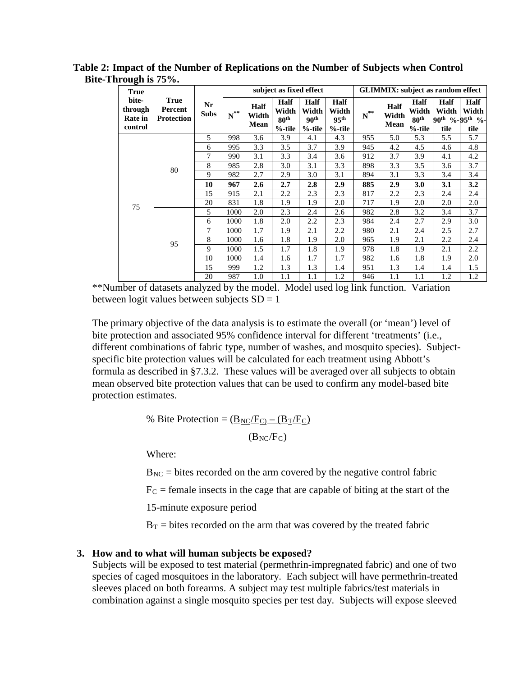| 0<br><b>True</b>                              |                                             |                   |                         |                       |                                                | subject as fixed effect                        |                                                |                   |                       |                                                       | <b>GLIMMIX:</b> subject as random effect                               |                              |
|-----------------------------------------------|---------------------------------------------|-------------------|-------------------------|-----------------------|------------------------------------------------|------------------------------------------------|------------------------------------------------|-------------------|-----------------------|-------------------------------------------------------|------------------------------------------------------------------------|------------------------------|
| bite-<br>through<br><b>Rate in</b><br>control | <b>True</b><br>Percent<br><b>Protection</b> | Nr<br><b>Subs</b> | $\textbf{N}^{\ast\ast}$ | Half<br>Width<br>Mean | Half<br>Width<br>80 <sup>th</sup><br>$%$ -tile | Half<br>Width<br>90 <sup>th</sup><br>$%$ -tile | Half<br>Width<br>95 <sup>th</sup><br>$%$ -tile | $\textbf{N}^{**}$ | Half<br>Width<br>Mean | <b>Half</b><br>Width<br>80 <sup>th</sup><br>$%$ -tile | <b>Half</b><br>Width<br>90 <sup>th</sup> %-95 <sup>th</sup> %-<br>tile | <b>Half</b><br>Width<br>tile |
|                                               |                                             | 5                 | 998                     | 3.6                   | 3.9                                            | 4.1                                            | 4.3                                            | 955               | 5.0                   | 5.3                                                   | 5.5                                                                    | 5.7                          |
|                                               |                                             | 6                 | 995                     | 3.3                   | 3.5                                            | 3.7                                            | 3.9                                            | 945               | 4.2                   | 4.5                                                   | 4.6                                                                    | 4.8                          |
|                                               |                                             | 7                 | 990                     | 3.1                   | 3.3                                            | 3.4                                            | 3.6                                            | 912               | 3.7                   | 3.9                                                   | 4.1                                                                    | 4.2                          |
|                                               |                                             | 8                 | 985                     | 2.8                   | 3.0                                            | 3.1                                            | 3.3                                            | 898               | 3.3                   | 3.5                                                   | 3.6                                                                    | 3.7                          |
|                                               | 80                                          | 9                 | 982                     | 2.7                   | 2.9                                            | 3.0                                            | 3.1                                            | 894               | 3.1                   | 3.3                                                   | 3.4                                                                    | 3.4                          |
|                                               |                                             | 10                | 967                     | 2.6                   | 2.7                                            | 2.8                                            | 2.9                                            | 885               | 2.9                   | 3.0                                                   | 3.1                                                                    | 3.2                          |
|                                               |                                             | 15                | 915                     | 2.1                   | 2.2                                            | 2.3                                            | 2.3                                            | 817               | 2.2                   | 2.3                                                   | 2.4                                                                    | 2.4                          |
| 75                                            |                                             | 20                | 831                     | 1.8                   | 1.9                                            | 1.9                                            | 2.0                                            | 717               | 1.9                   | 2.0                                                   | 2.0                                                                    | 2.0                          |
|                                               |                                             | 5                 | 1000                    | 2.0                   | 2.3                                            | 2.4                                            | 2.6                                            | 982               | 2.8                   | 3.2                                                   | 3.4                                                                    | 3.7                          |
|                                               |                                             | 6                 | 1000                    | 1.8                   | 2.0                                            | 2.2                                            | 2.3                                            | 984               | 2.4                   | 2.7                                                   | 2.9                                                                    | 3.0                          |
|                                               |                                             | 7                 | 1000                    | 1.7                   | 1.9                                            | 2.1                                            | 2.2                                            | 980               | 2.1                   | 2.4                                                   | 2.5                                                                    | 2.7                          |
|                                               | 95                                          | 8                 | 1000                    | 1.6                   | 1.8                                            | 1.9                                            | 2.0                                            | 965               | 1.9                   | 2.1                                                   | 2.2                                                                    | 2.4                          |
|                                               |                                             | 9                 | 1000                    | 1.5                   | 1.7                                            | 1.8                                            | 1.9                                            | 978               | 1.8                   | 1.9                                                   | 2.1                                                                    | 2.2                          |
|                                               |                                             | 10                | 1000                    | 1.4                   | 1.6                                            | 1.7                                            | 1.7                                            | 982               | 1.6                   | 1.8                                                   | 1.9                                                                    | 2.0                          |
|                                               |                                             | 15                | 999                     | 1.2                   | 1.3                                            | 1.3                                            | 1.4                                            | 951               | 1.3                   | 1.4                                                   | 1.4                                                                    | 1.5                          |
|                                               |                                             | 20                | 987                     | 1.0                   | 1.1                                            | 1.1                                            | 1.2                                            | 946               | 1.1                   | 1.1                                                   | 1.2                                                                    | 1.2                          |

**Table 2: Impact of the Number of Replications on the Number of Subjects when Control Bite-Through is 75%.**

\*\*Number of datasets analyzed by the model. Model used log link function. Variation between logit values between subjects  $SD = 1$ 

The primary objective of the data analysis is to estimate the overall (or 'mean') level of bite protection and associated 95% confidence interval for different 'treatments' (i.e., different combinations of fabric type, number of washes, and mosquito species). Subjectspecific bite protection values will be calculated for each treatment using Abbott's formula as described in §7.3.2. These values will be averaged over all subjects to obtain mean observed bite protection values that can be used to confirm any model-based bite protection estimates.

% Bite Protection =  $(\underline{B}_{NC}/\underline{F}_{C})$  –  $(\underline{B}_{T}/\underline{F}_{C})$ 

 $(B_{NC}/F_C)$ 

Where:

 $B_{NC}$  = bites recorded on the arm covered by the negative control fabric

 $F<sub>C</sub>$  = female insects in the cage that are capable of biting at the start of the

15-minute exposure period

 $B_T$  = bites recorded on the arm that was covered by the treated fabric

### **3. How and to what will human subjects be exposed?**

Subjects will be exposed to test material (permethrin-impregnated fabric) and one of two species of caged mosquitoes in the laboratory. Each subject will have permethrin-treated sleeves placed on both forearms. A subject may test multiple fabrics/test materials in combination against a single mosquito species per test day. Subjects will expose sleeved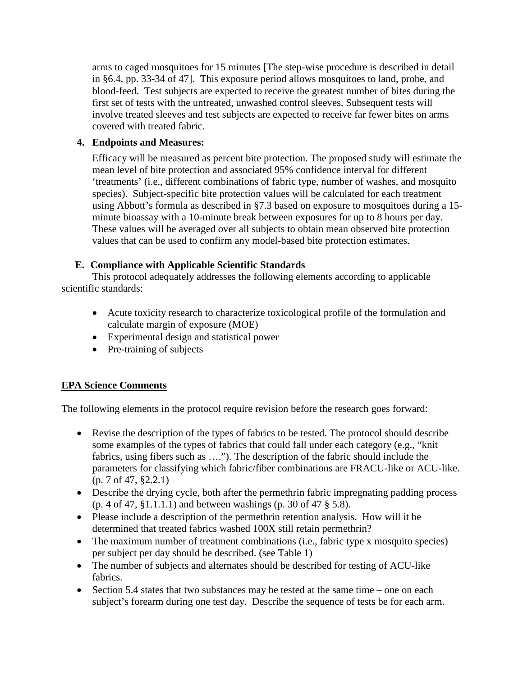arms to caged mosquitoes for 15 minutes [The step-wise procedure is described in detail in §6.4, pp. 33-34 of 47]. This exposure period allows mosquitoes to land, probe, and blood-feed. Test subjects are expected to receive the greatest number of bites during the first set of tests with the untreated, unwashed control sleeves. Subsequent tests will involve treated sleeves and test subjects are expected to receive far fewer bites on arms covered with treated fabric.

# **4. Endpoints and Measures:**

Efficacy will be measured as percent bite protection. The proposed study will estimate the mean level of bite protection and associated 95% confidence interval for different 'treatments' (i.e., different combinations of fabric type, number of washes, and mosquito species). Subject-specific bite protection values will be calculated for each treatment using Abbott's formula as described in §7.3 based on exposure to mosquitoes during a 15 minute bioassay with a 10-minute break between exposures for up to 8 hours per day. These values will be averaged over all subjects to obtain mean observed bite protection values that can be used to confirm any model-based bite protection estimates.

# **E. Compliance with Applicable Scientific Standards**

This protocol adequately addresses the following elements according to applicable scientific standards:

- Acute toxicity research to characterize toxicological profile of the formulation and calculate margin of exposure (MOE)
- Experimental design and statistical power
- Pre-training of subjects

# **EPA Science Comments**

The following elements in the protocol require revision before the research goes forward:

- Revise the description of the types of fabrics to be tested. The protocol should describe some examples of the types of fabrics that could fall under each category (e.g., "knit fabrics, using fibers such as …."). The description of the fabric should include the parameters for classifying which fabric/fiber combinations are FRACU-like or ACU-like. (p. 7 of 47, §2.2.1)
- Describe the drying cycle, both after the permethrin fabric impregnating padding process (p. 4 of 47, §1.1.1.1) and between washings (p. 30 of 47 § 5.8).
- Please include a description of the permethrin retention analysis. How will it be determined that treated fabrics washed 100X still retain permethrin?
- The maximum number of treatment combinations (i.e., fabric type x mosquito species) per subject per day should be described. (see Table 1)
- The number of subjects and alternates should be described for testing of ACU-like fabrics.
- Section 5.4 states that two substances may be tested at the same time one on each subject's forearm during one test day. Describe the sequence of tests be for each arm.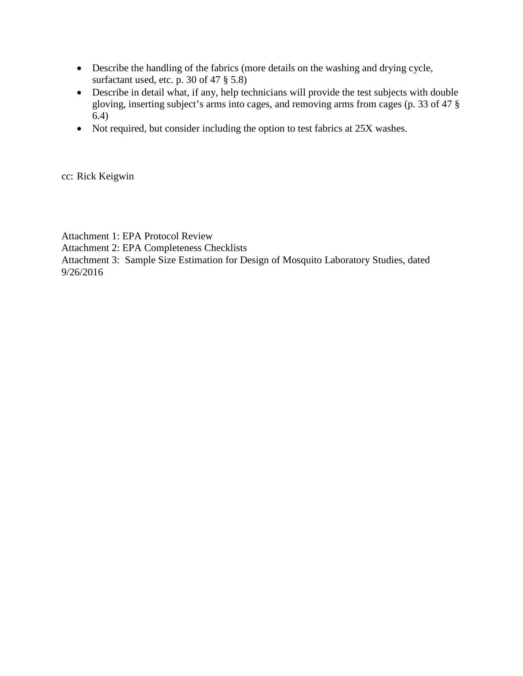- Describe the handling of the fabrics (more details on the washing and drying cycle, surfactant used, etc. p. 30 of 47 § 5.8)
- Describe in detail what, if any, help technicians will provide the test subjects with double gloving, inserting subject's arms into cages, and removing arms from cages (p. 33 of 47 § 6.4)
- Not required, but consider including the option to test fabrics at 25X washes.

cc: Rick Keigwin

Attachment 1: EPA Protocol Review

Attachment 2: EPA Completeness Checklists

Attachment 3: Sample Size Estimation for Design of Mosquito Laboratory Studies, dated 9/26/2016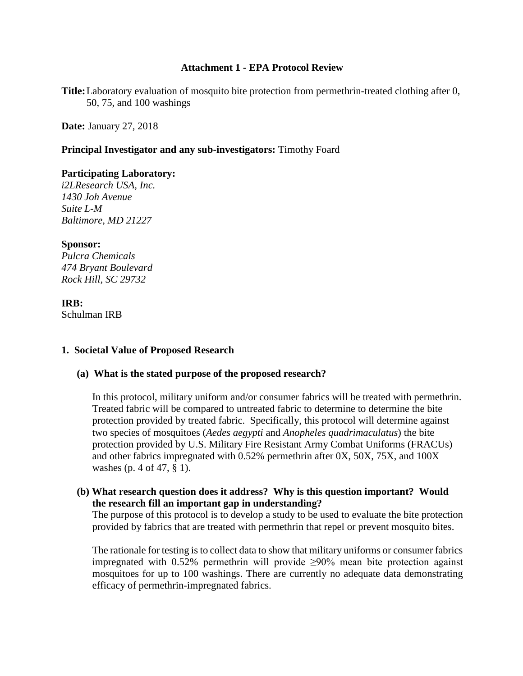### **Attachment 1 - EPA Protocol Review**

**Title:**Laboratory evaluation of mosquito bite protection from permethrin-treated clothing after 0, 50, 75, and 100 washings

**Date:** January 27, 2018

### **Principal Investigator and any sub-investigators:** Timothy Foard

#### **Participating Laboratory:**

*i2LResearch USA, Inc. 1430 Joh Avenue Suite L-M Baltimore, MD 21227*

#### **Sponsor:**

*Pulcra Chemicals 474 Bryant Boulevard Rock Hill, SC 29732*

### **IRB:**

Schulman IRB

### **1. Societal Value of Proposed Research**

### **(a) What is the stated purpose of the proposed research?**

In this protocol, military uniform and/or consumer fabrics will be treated with permethrin. Treated fabric will be compared to untreated fabric to determine to determine the bite protection provided by treated fabric. Specifically, this protocol will determine against two species of mosquitoes (*Aedes aegypti* and *Anopheles quadrimaculatus*) the bite protection provided by U.S. Military Fire Resistant Army Combat Uniforms (FRACUs) and other fabrics impregnated with 0.52% permethrin after 0X, 50X, 75X, and 100X washes (p. 4 of 47, § 1).

### **(b) What research question does it address? Why is this question important? Would the research fill an important gap in understanding?**

The purpose of this protocol is to develop a study to be used to evaluate the bite protection provided by fabrics that are treated with permethrin that repel or prevent mosquito bites.

The rationale for testing is to collect data to show that military uniforms or consumer fabrics impregnated with 0.52% permethrin will provide  $\geq 90\%$  mean bite protection against mosquitoes for up to 100 washings. There are currently no adequate data demonstrating efficacy of permethrin-impregnated fabrics.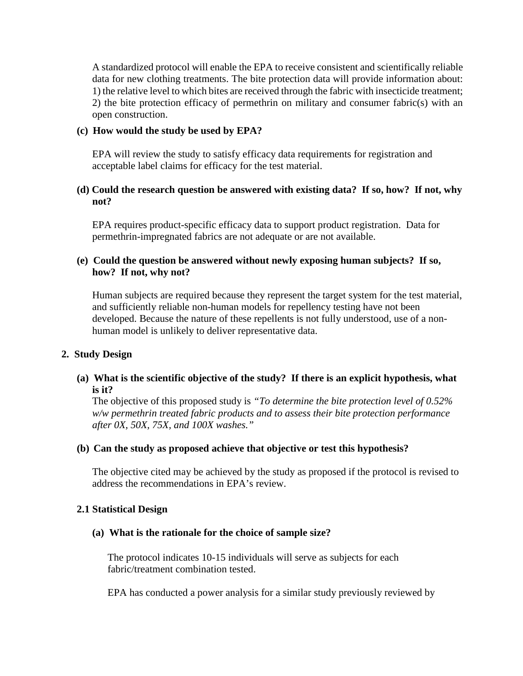A standardized protocol will enable the EPA to receive consistent and scientifically reliable data for new clothing treatments. The bite protection data will provide information about: 1) the relative level to which bites are received through the fabric with insecticide treatment; 2) the bite protection efficacy of permethrin on military and consumer fabric(s) with an open construction.

### **(c) How would the study be used by EPA?**

EPA will review the study to satisfy efficacy data requirements for registration and acceptable label claims for efficacy for the test material.

# **(d) Could the research question be answered with existing data? If so, how? If not, why not?**

EPA requires product-specific efficacy data to support product registration. Data for permethrin-impregnated fabrics are not adequate or are not available.

# **(e) Could the question be answered without newly exposing human subjects? If so, how? If not, why not?**

Human subjects are required because they represent the target system for the test material, and sufficiently reliable non-human models for repellency testing have not been developed. Because the nature of these repellents is not fully understood, use of a nonhuman model is unlikely to deliver representative data.

### **2. Study Design**

### **(a) What is the scientific objective of the study? If there is an explicit hypothesis, what is it?**

The objective of this proposed study is *"To determine the bite protection level of 0.52% w/w permethrin treated fabric products and to assess their bite protection performance after 0X, 50X, 75X, and 100X washes."*

### **(b) Can the study as proposed achieve that objective or test this hypothesis?**

The objective cited may be achieved by the study as proposed if the protocol is revised to address the recommendations in EPA's review.

#### **2.1 Statistical Design**

#### **(a) What is the rationale for the choice of sample size?**

The protocol indicates 10-15 individuals will serve as subjects for each fabric/treatment combination tested.

EPA has conducted a power analysis for a similar study previously reviewed by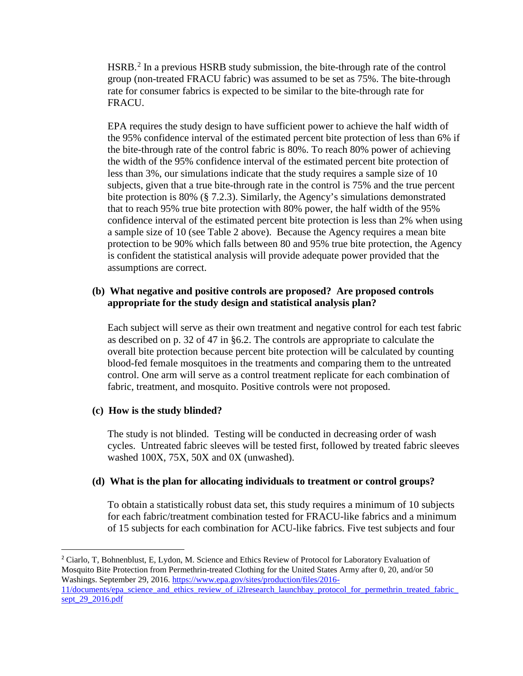HSRB.[2](#page-18-0) In a previous HSRB study submission, the bite-through rate of the control group (non-treated FRACU fabric) was assumed to be set as 75%. The bite-through rate for consumer fabrics is expected to be similar to the bite-through rate for FRACU.

EPA requires the study design to have sufficient power to achieve the half width of the 95% confidence interval of the estimated percent bite protection of less than 6% if the bite-through rate of the control fabric is 80%. To reach 80% power of achieving the width of the 95% confidence interval of the estimated percent bite protection of less than 3%, our simulations indicate that the study requires a sample size of 10 subjects, given that a true bite-through rate in the control is 75% and the true percent bite protection is 80% (§ 7.2.3). Similarly, the Agency's simulations demonstrated that to reach 95% true bite protection with 80% power, the half width of the 95% confidence interval of the estimated percent bite protection is less than 2% when using a sample size of 10 (see Table 2 above). Because the Agency requires a mean bite protection to be 90% which falls between 80 and 95% true bite protection, the Agency is confident the statistical analysis will provide adequate power provided that the assumptions are correct.

# **(b) What negative and positive controls are proposed? Are proposed controls appropriate for the study design and statistical analysis plan?**

Each subject will serve as their own treatment and negative control for each test fabric as described on p. 32 of 47 in §6.2. The controls are appropriate to calculate the overall bite protection because percent bite protection will be calculated by counting blood-fed female mosquitoes in the treatments and comparing them to the untreated control. One arm will serve as a control treatment replicate for each combination of fabric, treatment, and mosquito. Positive controls were not proposed.

# **(c) How is the study blinded?**

 $\overline{a}$ 

The study is not blinded. Testing will be conducted in decreasing order of wash cycles. Untreated fabric sleeves will be tested first, followed by treated fabric sleeves washed 100X, 75X, 50X and 0X (unwashed).

# **(d) What is the plan for allocating individuals to treatment or control groups?**

To obtain a statistically robust data set, this study requires a minimum of 10 subjects for each fabric/treatment combination tested for FRACU-like fabrics and a minimum of 15 subjects for each combination for ACU-like fabrics. Five test subjects and four

<span id="page-18-0"></span><sup>2</sup> Ciarlo, T, Bohnenblust, E, Lydon, M. Science and Ethics Review of Protocol for Laboratory Evaluation of Mosquito Bite Protection from Permethrin-treated Clothing for the United States Army after 0, 20, and/or 50 Washings. September 29, 2016[. https://www.epa.gov/sites/production/files/2016-](https://www.epa.gov/sites/production/files/2016-11/documents/epa_science_and_ethics_review_of_i2lresearch_launchbay_protocol_for_permethrin_treated_fabric_sept_29_2016.pdf) [11/documents/epa\\_science\\_and\\_ethics\\_review\\_of\\_i2lresearch\\_launchbay\\_protocol\\_for\\_permethrin\\_treated\\_fabric\\_](https://www.epa.gov/sites/production/files/2016-11/documents/epa_science_and_ethics_review_of_i2lresearch_launchbay_protocol_for_permethrin_treated_fabric_sept_29_2016.pdf) [sept\\_29\\_2016.pdf](https://www.epa.gov/sites/production/files/2016-11/documents/epa_science_and_ethics_review_of_i2lresearch_launchbay_protocol_for_permethrin_treated_fabric_sept_29_2016.pdf)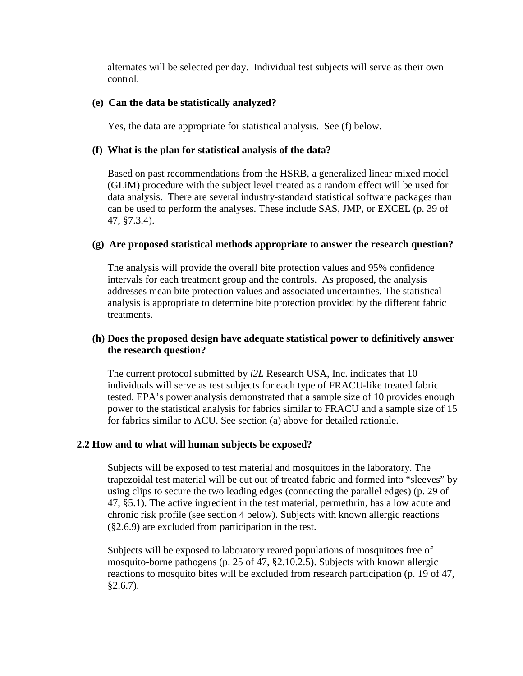alternates will be selected per day. Individual test subjects will serve as their own control.

# **(e) Can the data be statistically analyzed?**

Yes, the data are appropriate for statistical analysis. See (f) below.

# **(f) What is the plan for statistical analysis of the data?**

Based on past recommendations from the HSRB, a generalized linear mixed model (GLiM) procedure with the subject level treated as a random effect will be used for data analysis. There are several industry-standard statistical software packages than can be used to perform the analyses. These include SAS, JMP, or EXCEL (p. 39 of 47, §7.3.4).

# **(g) Are proposed statistical methods appropriate to answer the research question?**

The analysis will provide the overall bite protection values and 95% confidence intervals for each treatment group and the controls. As proposed, the analysis addresses mean bite protection values and associated uncertainties. The statistical analysis is appropriate to determine bite protection provided by the different fabric treatments.

# **(h) Does the proposed design have adequate statistical power to definitively answer the research question?**

The current protocol submitted by *i2L* Research USA, Inc. indicates that 10 individuals will serve as test subjects for each type of FRACU-like treated fabric tested. EPA's power analysis demonstrated that a sample size of 10 provides enough power to the statistical analysis for fabrics similar to FRACU and a sample size of 15 for fabrics similar to ACU. See section (a) above for detailed rationale.

### **2.2 How and to what will human subjects be exposed?**

Subjects will be exposed to test material and mosquitoes in the laboratory. The trapezoidal test material will be cut out of treated fabric and formed into "sleeves" by using clips to secure the two leading edges (connecting the parallel edges) (p. 29 of 47, §5.1). The active ingredient in the test material, permethrin, has a low acute and chronic risk profile (see section 4 below). Subjects with known allergic reactions (§2.6.9) are excluded from participation in the test.

Subjects will be exposed to laboratory reared populations of mosquitoes free of mosquito-borne pathogens (p. 25 of 47, §2.10.2.5). Subjects with known allergic reactions to mosquito bites will be excluded from research participation (p. 19 of 47,  $§2.6.7$ ).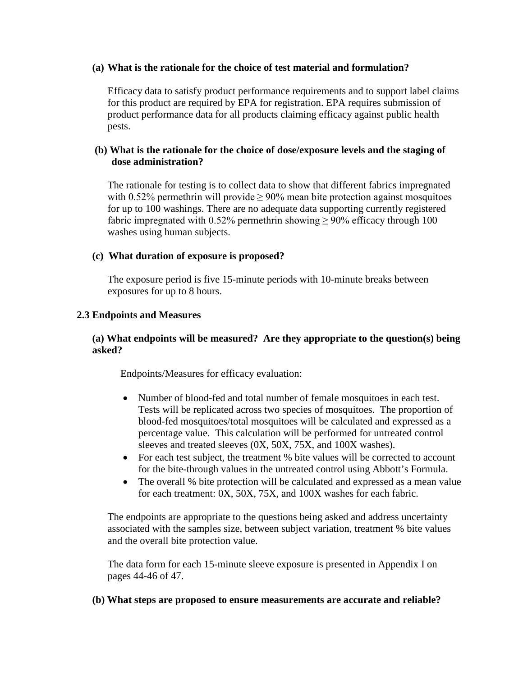### **(a) What is the rationale for the choice of test material and formulation?**

Efficacy data to satisfy product performance requirements and to support label claims for this product are required by EPA for registration. EPA requires submission of product performance data for all products claiming efficacy against public health pests.

# **(b) What is the rationale for the choice of dose/exposure levels and the staging of dose administration?**

The rationale for testing is to collect data to show that different fabrics impregnated with 0.52% permethrin will provide  $\geq$  90% mean bite protection against mosquitoes for up to 100 washings. There are no adequate data supporting currently registered fabric impregnated with 0.52% permethrin showing  $\geq$  90% efficacy through 100 washes using human subjects.

# **(c) What duration of exposure is proposed?**

The exposure period is five 15-minute periods with 10-minute breaks between exposures for up to 8 hours.

# **2.3 Endpoints and Measures**

# **(a) What endpoints will be measured? Are they appropriate to the question(s) being asked?**

Endpoints/Measures for efficacy evaluation:

- Number of blood-fed and total number of female mosquitoes in each test. Tests will be replicated across two species of mosquitoes. The proportion of blood-fed mosquitoes/total mosquitoes will be calculated and expressed as a percentage value. This calculation will be performed for untreated control sleeves and treated sleeves (0X, 50X, 75X, and 100X washes).
- For each test subject, the treatment % bite values will be corrected to account for the bite-through values in the untreated control using Abbott's Formula.
- The overall % bite protection will be calculated and expressed as a mean value for each treatment: 0X, 50X, 75X, and 100X washes for each fabric.

The endpoints are appropriate to the questions being asked and address uncertainty associated with the samples size, between subject variation, treatment % bite values and the overall bite protection value.

The data form for each 15-minute sleeve exposure is presented in Appendix I on pages 44-46 of 47.

# **(b) What steps are proposed to ensure measurements are accurate and reliable?**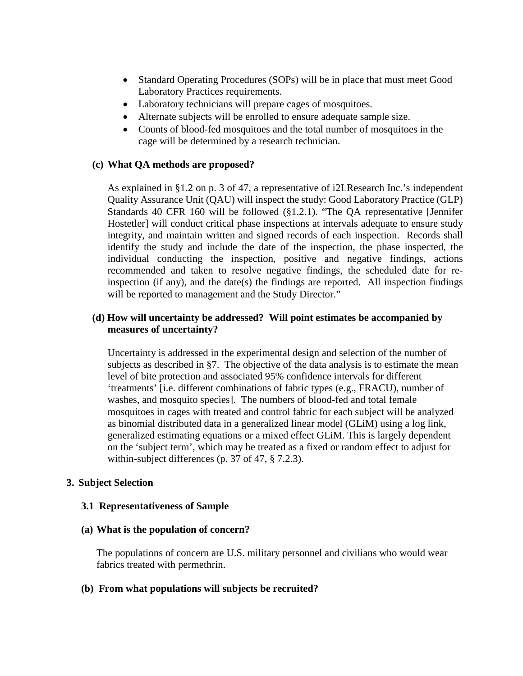- Standard Operating Procedures (SOPs) will be in place that must meet Good Laboratory Practices requirements.
- Laboratory technicians will prepare cages of mosquitoes.
- Alternate subjects will be enrolled to ensure adequate sample size.
- Counts of blood-fed mosquitoes and the total number of mosquitoes in the cage will be determined by a research technician.

### **(c) What QA methods are proposed?**

As explained in §1.2 on p. 3 of 47, a representative of i2LResearch Inc.'s independent Quality Assurance Unit (QAU) will inspect the study: Good Laboratory Practice (GLP) Standards 40 CFR 160 will be followed (§1.2.1). "The QA representative [Jennifer Hostetler] will conduct critical phase inspections at intervals adequate to ensure study integrity, and maintain written and signed records of each inspection. Records shall identify the study and include the date of the inspection, the phase inspected, the individual conducting the inspection, positive and negative findings, actions recommended and taken to resolve negative findings, the scheduled date for reinspection (if any), and the date(s) the findings are reported. All inspection findings will be reported to management and the Study Director."

### **(d) How will uncertainty be addressed? Will point estimates be accompanied by measures of uncertainty?**

Uncertainty is addressed in the experimental design and selection of the number of subjects as described in §7. The objective of the data analysis is to estimate the mean level of bite protection and associated 95% confidence intervals for different 'treatments' [i.e. different combinations of fabric types (e.g., FRACU), number of washes, and mosquito species]. The numbers of blood-fed and total female mosquitoes in cages with treated and control fabric for each subject will be analyzed as binomial distributed data in a generalized linear model (GLiM) using a log link, generalized estimating equations or a mixed effect GLiM. This is largely dependent on the 'subject term', which may be treated as a fixed or random effect to adjust for within-subject differences (p. 37 of 47, § 7.2.3).

### **3. Subject Selection**

### **3.1 Representativeness of Sample**

#### **(a) What is the population of concern?**

The populations of concern are U.S. military personnel and civilians who would wear fabrics treated with permethrin.

### **(b) From what populations will subjects be recruited?**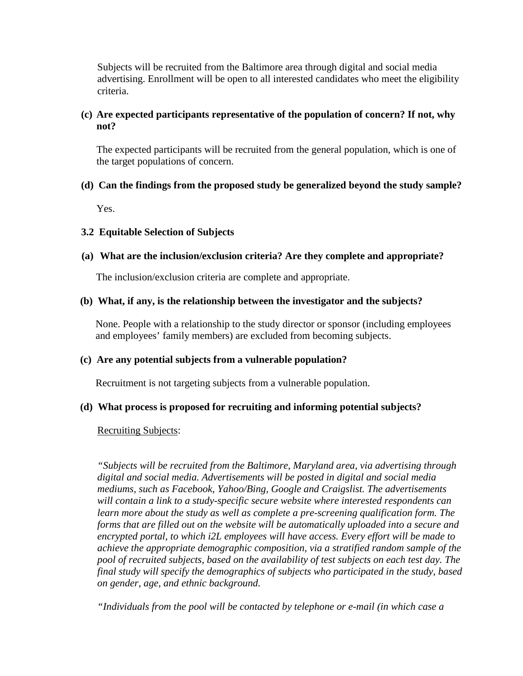Subjects will be recruited from the Baltimore area through digital and social media advertising. Enrollment will be open to all interested candidates who meet the eligibility criteria.

# **(c) Are expected participants representative of the population of concern? If not, why not?**

The expected participants will be recruited from the general population, which is one of the target populations of concern.

# **(d) Can the findings from the proposed study be generalized beyond the study sample?**

Yes.

# **3.2 Equitable Selection of Subjects**

# **(a) What are the inclusion/exclusion criteria? Are they complete and appropriate?**

The inclusion/exclusion criteria are complete and appropriate.

# **(b) What, if any, is the relationship between the investigator and the subjects?**

None. People with a relationship to the study director or sponsor (including employees and employees' family members) are excluded from becoming subjects.

### **(c) Are any potential subjects from a vulnerable population?**

Recruitment is not targeting subjects from a vulnerable population.

### **(d) What process is proposed for recruiting and informing potential subjects?**

### Recruiting Subjects:

*"Subjects will be recruited from the Baltimore, Maryland area, via advertising through digital and social media. Advertisements will be posted in digital and social media mediums, such as Facebook, Yahoo/Bing, Google and Craigslist. The advertisements will contain a link to a study-specific secure website where interested respondents can learn more about the study as well as complete a pre-screening qualification form. The forms that are filled out on the website will be automatically uploaded into a secure and encrypted portal, to which i2L employees will have access. Every effort will be made to achieve the appropriate demographic composition, via a stratified random sample of the pool of recruited subjects, based on the availability of test subjects on each test day. The final study will specify the demographics of subjects who participated in the study, based on gender, age, and ethnic background.* 

*"Individuals from the pool will be contacted by telephone or e-mail (in which case a*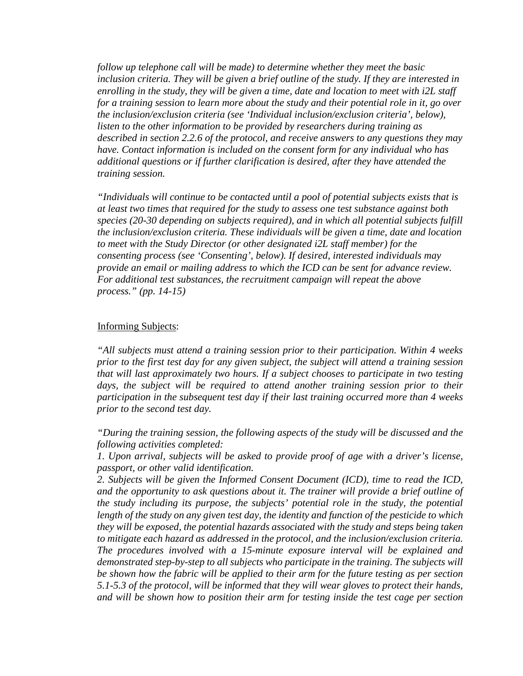*follow up telephone call will be made) to determine whether they meet the basic inclusion criteria. They will be given a brief outline of the study. If they are interested in enrolling in the study, they will be given a time, date and location to meet with i2L staff for a training session to learn more about the study and their potential role in it, go over the inclusion/exclusion criteria (see 'Individual inclusion/exclusion criteria', below), listen to the other information to be provided by researchers during training as described in section 2.2.6 of the protocol, and receive answers to any questions they may have. Contact information is included on the consent form for any individual who has additional questions or if further clarification is desired, after they have attended the training session.* 

*"Individuals will continue to be contacted until a pool of potential subjects exists that is at least two times that required for the study to assess one test substance against both species (20-30 depending on subjects required), and in which all potential subjects fulfill the inclusion/exclusion criteria. These individuals will be given a time, date and location to meet with the Study Director (or other designated i2L staff member) for the consenting process (see 'Consenting', below). If desired, interested individuals may provide an email or mailing address to which the ICD can be sent for advance review. For additional test substances, the recruitment campaign will repeat the above process." (pp. 14-15)*

#### Informing Subjects:

*"All subjects must attend a training session prior to their participation. Within 4 weeks prior to the first test day for any given subject, the subject will attend a training session that will last approximately two hours. If a subject chooses to participate in two testing days, the subject will be required to attend another training session prior to their participation in the subsequent test day if their last training occurred more than 4 weeks prior to the second test day.* 

*"During the training session, the following aspects of the study will be discussed and the following activities completed:* 

*1. Upon arrival, subjects will be asked to provide proof of age with a driver's license, passport, or other valid identification.* 

*2. Subjects will be given the Informed Consent Document (ICD), time to read the ICD, and the opportunity to ask questions about it. The trainer will provide a brief outline of the study including its purpose, the subjects' potential role in the study, the potential length of the study on any given test day, the identity and function of the pesticide to which they will be exposed, the potential hazards associated with the study and steps being taken to mitigate each hazard as addressed in the protocol, and the inclusion/exclusion criteria. The procedures involved with a 15-minute exposure interval will be explained and demonstrated step-by-step to all subjects who participate in the training. The subjects will be shown how the fabric will be applied to their arm for the future testing as per section 5.1-5.3 of the protocol, will be informed that they will wear gloves to protect their hands, and will be shown how to position their arm for testing inside the test cage per section*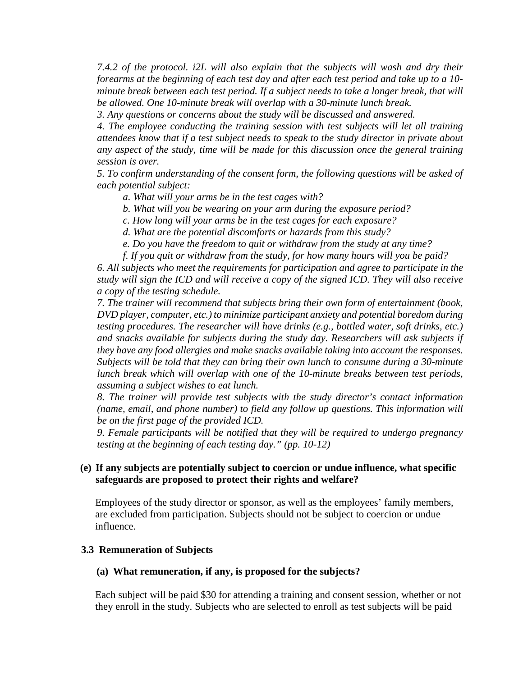*7.4.2 of the protocol. i2L will also explain that the subjects will wash and dry their forearms at the beginning of each test day and after each test period and take up to a 10 minute break between each test period. If a subject needs to take a longer break, that will be allowed. One 10-minute break will overlap with a 30-minute lunch break.* 

*3. Any questions or concerns about the study will be discussed and answered.* 

*4. The employee conducting the training session with test subjects will let all training attendees know that if a test subject needs to speak to the study director in private about any aspect of the study, time will be made for this discussion once the general training session is over.*

*5. To confirm understanding of the consent form, the following questions will be asked of each potential subject:* 

*a. What will your arms be in the test cages with?* 

*b. What will you be wearing on your arm during the exposure period?* 

*c. How long will your arms be in the test cages for each exposure?* 

*d. What are the potential discomforts or hazards from this study?* 

*e. Do you have the freedom to quit or withdraw from the study at any time?* 

*f. If you quit or withdraw from the study, for how many hours will you be paid?* 

*6. All subjects who meet the requirements for participation and agree to participate in the study will sign the ICD and will receive a copy of the signed ICD. They will also receive a copy of the testing schedule.* 

*7. The trainer will recommend that subjects bring their own form of entertainment (book, DVD player, computer, etc.) to minimize participant anxiety and potential boredom during testing procedures. The researcher will have drinks (e.g., bottled water, soft drinks, etc.) and snacks available for subjects during the study day. Researchers will ask subjects if they have any food allergies and make snacks available taking into account the responses. Subjects will be told that they can bring their own lunch to consume during a 30-minute lunch break which will overlap with one of the 10-minute breaks between test periods, assuming a subject wishes to eat lunch.* 

*8. The trainer will provide test subjects with the study director's contact information (name, email, and phone number) to field any follow up questions. This information will be on the first page of the provided ICD.* 

*9. Female participants will be notified that they will be required to undergo pregnancy testing at the beginning of each testing day." (pp. 10-12)*

### **(e) If any subjects are potentially subject to coercion or undue influence, what specific safeguards are proposed to protect their rights and welfare?**

Employees of the study director or sponsor, as well as the employees' family members, are excluded from participation. Subjects should not be subject to coercion or undue influence.

### **3.3 Remuneration of Subjects**

#### **(a) What remuneration, if any, is proposed for the subjects?**

Each subject will be paid \$30 for attending a training and consent session, whether or not they enroll in the study. Subjects who are selected to enroll as test subjects will be paid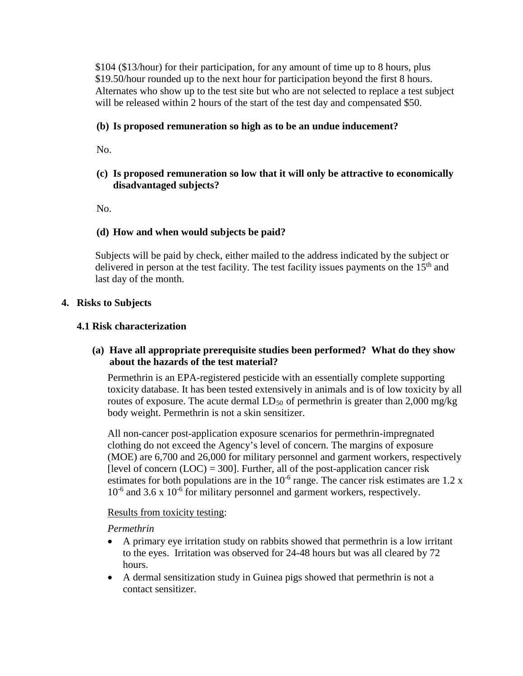\$104 (\$13/hour) for their participation, for any amount of time up to 8 hours, plus \$19.50/hour rounded up to the next hour for participation beyond the first 8 hours. Alternates who show up to the test site but who are not selected to replace a test subject will be released within 2 hours of the start of the test day and compensated \$50.

# **(b) Is proposed remuneration so high as to be an undue inducement?**

No.

# **(c) Is proposed remuneration so low that it will only be attractive to economically disadvantaged subjects?**

No.

# **(d) How and when would subjects be paid?**

Subjects will be paid by check, either mailed to the address indicated by the subject or delivered in person at the test facility. The test facility issues payments on the  $15<sup>th</sup>$  and last day of the month.

# **4. Risks to Subjects**

# **4.1 Risk characterization**

# **(a) Have all appropriate prerequisite studies been performed? What do they show about the hazards of the test material?**

Permethrin is an EPA-registered pesticide with an essentially complete supporting toxicity database. It has been tested extensively in animals and is of low toxicity by all routes of exposure. The acute dermal  $LD_{50}$  of permethrin is greater than 2,000 mg/kg body weight. Permethrin is not a skin sensitizer.

All non-cancer post-application exposure scenarios for permethrin-impregnated clothing do not exceed the Agency's level of concern. The margins of exposure (MOE) are 6,700 and 26,000 for military personnel and garment workers, respectively [level of concern  $(LOC) = 300$ ]. Further, all of the post-application cancer risk estimates for both populations are in the  $10^{-6}$  range. The cancer risk estimates are 1.2 x  $10^{-6}$  and 3.6 x  $10^{-6}$  for military personnel and garment workers, respectively.

### Results from toxicity testing:

*Permethrin*

- A primary eye irritation study on rabbits showed that permethrin is a low irritant to the eyes. Irritation was observed for 24-48 hours but was all cleared by 72 hours.
- A dermal sensitization study in Guinea pigs showed that permethrin is not a contact sensitizer.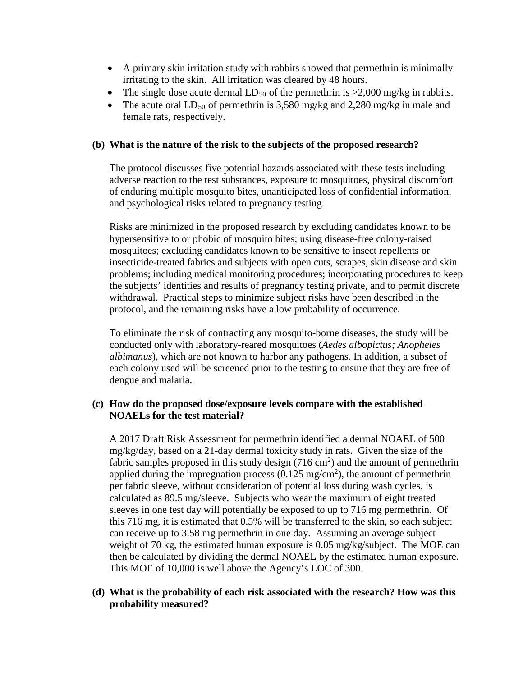- A primary skin irritation study with rabbits showed that permethrin is minimally irritating to the skin. All irritation was cleared by 48 hours.
- The single dose acute dermal  $LD_{50}$  of the permethrin is  $>2,000$  mg/kg in rabbits.
- The acute oral  $LD_{50}$  of permethrin is 3,580 mg/kg and 2,280 mg/kg in male and female rats, respectively.

# **(b) What is the nature of the risk to the subjects of the proposed research?**

The protocol discusses five potential hazards associated with these tests including adverse reaction to the test substances, exposure to mosquitoes, physical discomfort of enduring multiple mosquito bites, unanticipated loss of confidential information, and psychological risks related to pregnancy testing.

Risks are minimized in the proposed research by excluding candidates known to be hypersensitive to or phobic of mosquito bites; using disease-free colony-raised mosquitoes; excluding candidates known to be sensitive to insect repellents or insecticide-treated fabrics and subjects with open cuts, scrapes, skin disease and skin problems; including medical monitoring procedures; incorporating procedures to keep the subjects' identities and results of pregnancy testing private, and to permit discrete withdrawal. Practical steps to minimize subject risks have been described in the protocol, and the remaining risks have a low probability of occurrence.

To eliminate the risk of contracting any mosquito-borne diseases, the study will be conducted only with laboratory-reared mosquitoes (*Aedes albopictus; Anopheles albimanus*), which are not known to harbor any pathogens. In addition, a subset of each colony used will be screened prior to the testing to ensure that they are free of dengue and malaria.

# **(c) How do the proposed dose/exposure levels compare with the established NOAELs for the test material?**

A 2017 Draft Risk Assessment for permethrin identified a dermal NOAEL of 500 mg/kg/day, based on a 21-day dermal toxicity study in rats. Given the size of the fabric samples proposed in this study design  $(716 \text{ cm}^2)$  and the amount of permethrin applied during the impregnation process  $(0.125 \text{ mg/cm}^2)$ , the amount of permethrin per fabric sleeve, without consideration of potential loss during wash cycles, is calculated as 89.5 mg/sleeve. Subjects who wear the maximum of eight treated sleeves in one test day will potentially be exposed to up to 716 mg permethrin. Of this 716 mg, it is estimated that 0.5% will be transferred to the skin, so each subject can receive up to 3.58 mg permethrin in one day. Assuming an average subject weight of 70 kg, the estimated human exposure is 0.05 mg/kg/subject. The MOE can then be calculated by dividing the dermal NOAEL by the estimated human exposure. This MOE of 10,000 is well above the Agency's LOC of 300.

# **(d) What is the probability of each risk associated with the research? How was this probability measured?**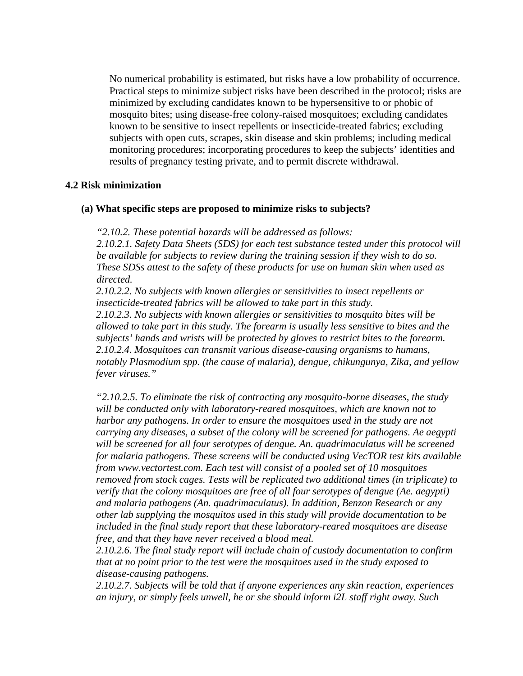No numerical probability is estimated, but risks have a low probability of occurrence. Practical steps to minimize subject risks have been described in the protocol; risks are minimized by excluding candidates known to be hypersensitive to or phobic of mosquito bites; using disease-free colony-raised mosquitoes; excluding candidates known to be sensitive to insect repellents or insecticide-treated fabrics; excluding subjects with open cuts, scrapes, skin disease and skin problems; including medical monitoring procedures; incorporating procedures to keep the subjects' identities and results of pregnancy testing private, and to permit discrete withdrawal.

#### **4.2 Risk minimization**

#### **(a) What specific steps are proposed to minimize risks to subjects?**

*"2.10.2. These potential hazards will be addressed as follows:* 

*2.10.2.1. Safety Data Sheets (SDS) for each test substance tested under this protocol will be available for subjects to review during the training session if they wish to do so. These SDSs attest to the safety of these products for use on human skin when used as directed.* 

*2.10.2.2. No subjects with known allergies or sensitivities to insect repellents or insecticide-treated fabrics will be allowed to take part in this study.* 

*2.10.2.3. No subjects with known allergies or sensitivities to mosquito bites will be allowed to take part in this study. The forearm is usually less sensitive to bites and the subjects' hands and wrists will be protected by gloves to restrict bites to the forearm. 2.10.2.4. Mosquitoes can transmit various disease-causing organisms to humans, notably Plasmodium spp. (the cause of malaria), dengue, chikungunya, Zika, and yellow fever viruses."*

*"2.10.2.5. To eliminate the risk of contracting any mosquito-borne diseases, the study will be conducted only with laboratory-reared mosquitoes, which are known not to harbor any pathogens. In order to ensure the mosquitoes used in the study are not carrying any diseases, a subset of the colony will be screened for pathogens. Ae aegypti will be screened for all four serotypes of dengue. An. quadrimaculatus will be screened for malaria pathogens. These screens will be conducted using VecTOR test kits available from www.vectortest.com. Each test will consist of a pooled set of 10 mosquitoes removed from stock cages. Tests will be replicated two additional times (in triplicate) to verify that the colony mosquitoes are free of all four serotypes of dengue (Ae. aegypti) and malaria pathogens (An. quadrimaculatus). In addition, Benzon Research or any other lab supplying the mosquitos used in this study will provide documentation to be included in the final study report that these laboratory-reared mosquitoes are disease free, and that they have never received a blood meal.* 

*2.10.2.6. The final study report will include chain of custody documentation to confirm that at no point prior to the test were the mosquitoes used in the study exposed to disease-causing pathogens.* 

*2.10.2.7. Subjects will be told that if anyone experiences any skin reaction, experiences an injury, or simply feels unwell, he or she should inform i2L staff right away. Such*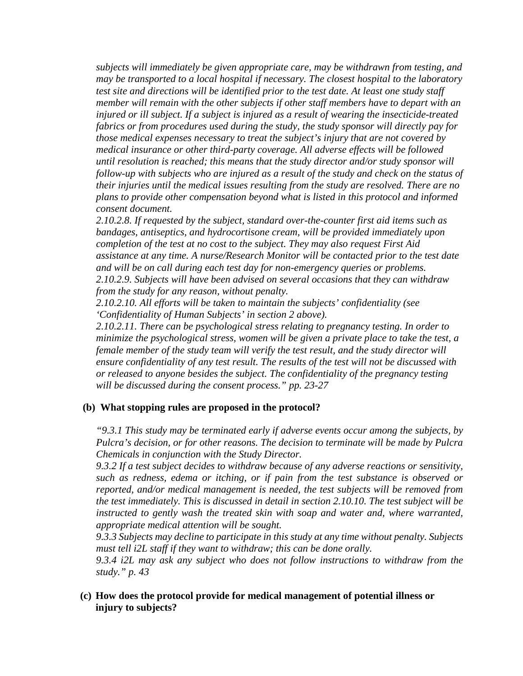*subjects will immediately be given appropriate care, may be withdrawn from testing, and may be transported to a local hospital if necessary. The closest hospital to the laboratory test site and directions will be identified prior to the test date. At least one study staff member will remain with the other subjects if other staff members have to depart with an injured or ill subject. If a subject is injured as a result of wearing the insecticide-treated fabrics or from procedures used during the study, the study sponsor will directly pay for those medical expenses necessary to treat the subject's injury that are not covered by medical insurance or other third-party coverage. All adverse effects will be followed until resolution is reached; this means that the study director and/or study sponsor will follow-up with subjects who are injured as a result of the study and check on the status of their injuries until the medical issues resulting from the study are resolved. There are no plans to provide other compensation beyond what is listed in this protocol and informed consent document.* 

*2.10.2.8. If requested by the subject, standard over-the-counter first aid items such as bandages, antiseptics, and hydrocortisone cream, will be provided immediately upon completion of the test at no cost to the subject. They may also request First Aid assistance at any time. A nurse/Research Monitor will be contacted prior to the test date and will be on call during each test day for non-emergency queries or problems. 2.10.2.9. Subjects will have been advised on several occasions that they can withdraw from the study for any reason, without penalty.* 

*2.10.2.10. All efforts will be taken to maintain the subjects' confidentiality (see 'Confidentiality of Human Subjects' in section 2 above).* 

*2.10.2.11. There can be psychological stress relating to pregnancy testing. In order to minimize the psychological stress, women will be given a private place to take the test, a female member of the study team will verify the test result, and the study director will ensure confidentiality of any test result. The results of the test will not be discussed with or released to anyone besides the subject. The confidentiality of the pregnancy testing will be discussed during the consent process." pp. 23-27*

### **(b) What stopping rules are proposed in the protocol?**

*"9.3.1 This study may be terminated early if adverse events occur among the subjects, by Pulcra's decision, or for other reasons. The decision to terminate will be made by Pulcra Chemicals in conjunction with the Study Director.*

*9.3.2 If a test subject decides to withdraw because of any adverse reactions or sensitivity, such as redness, edema or itching, or if pain from the test substance is observed or reported, and/or medical management is needed, the test subjects will be removed from the test immediately. This is discussed in detail in section 2.10.10. The test subject will be*  instructed to gently wash the treated skin with soap and water and, where warranted, *appropriate medical attention will be sought.* 

*9.3.3 Subjects may decline to participate in this study at any time without penalty. Subjects must tell i2L staff if they want to withdraw; this can be done orally.* 

*9.3.4 i2L may ask any subject who does not follow instructions to withdraw from the study." p. 43*

**(c) How does the protocol provide for medical management of potential illness or injury to subjects?**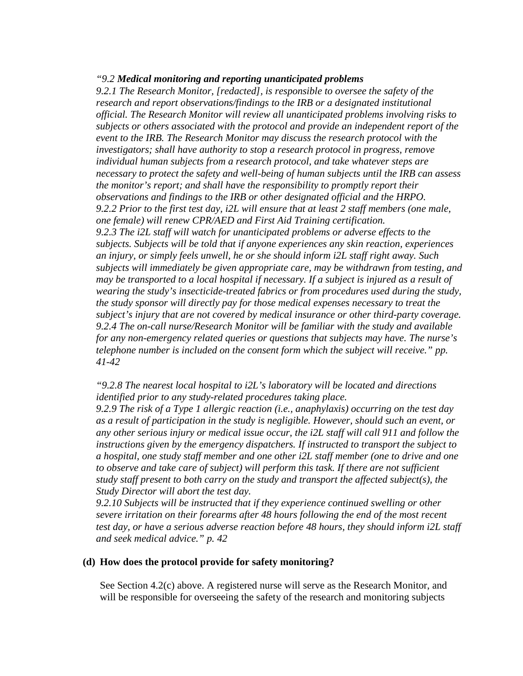#### *"9.2 Medical monitoring and reporting unanticipated problems*

*9.2.1 The Research Monitor, [redacted], is responsible to oversee the safety of the research and report observations/findings to the IRB or a designated institutional official. The Research Monitor will review all unanticipated problems involving risks to subjects or others associated with the protocol and provide an independent report of the event to the IRB. The Research Monitor may discuss the research protocol with the investigators; shall have authority to stop a research protocol in progress, remove individual human subjects from a research protocol, and take whatever steps are necessary to protect the safety and well-being of human subjects until the IRB can assess the monitor's report; and shall have the responsibility to promptly report their observations and findings to the IRB or other designated official and the HRPO. 9.2.2 Prior to the first test day, i2L will ensure that at least 2 staff members (one male, one female) will renew CPR/AED and First Aid Training certification. 9.2.3 The i2L staff will watch for unanticipated problems or adverse effects to the subjects. Subjects will be told that if anyone experiences any skin reaction, experiences an injury, or simply feels unwell, he or she should inform i2L staff right away. Such subjects will immediately be given appropriate care, may be withdrawn from testing, and may be transported to a local hospital if necessary. If a subject is injured as a result of wearing the study's insecticide-treated fabrics or from procedures used during the study, the study sponsor will directly pay for those medical expenses necessary to treat the subject's injury that are not covered by medical insurance or other third-party coverage. 9.2.4 The on-call nurse/Research Monitor will be familiar with the study and available for any non-emergency related queries or questions that subjects may have. The nurse's telephone number is included on the consent form which the subject will receive." pp. 41-42*

*"9.2.8 The nearest local hospital to i2L's laboratory will be located and directions identified prior to any study-related procedures taking place.* 

*9.2.9 The risk of a Type 1 allergic reaction (i.e., anaphylaxis) occurring on the test day as a result of participation in the study is negligible. However, should such an event, or any other serious injury or medical issue occur, the i2L staff will call 911 and follow the instructions given by the emergency dispatchers. If instructed to transport the subject to a hospital, one study staff member and one other i2L staff member (one to drive and one to observe and take care of subject) will perform this task. If there are not sufficient study staff present to both carry on the study and transport the affected subject(s), the Study Director will abort the test day.* 

*9.2.10 Subjects will be instructed that if they experience continued swelling or other severe irritation on their forearms after 48 hours following the end of the most recent test day, or have a serious adverse reaction before 48 hours, they should inform i2L staff and seek medical advice." p. 42*

### **(d) How does the protocol provide for safety monitoring?**

See Section 4.2(c) above. A registered nurse will serve as the Research Monitor, and will be responsible for overseeing the safety of the research and monitoring subjects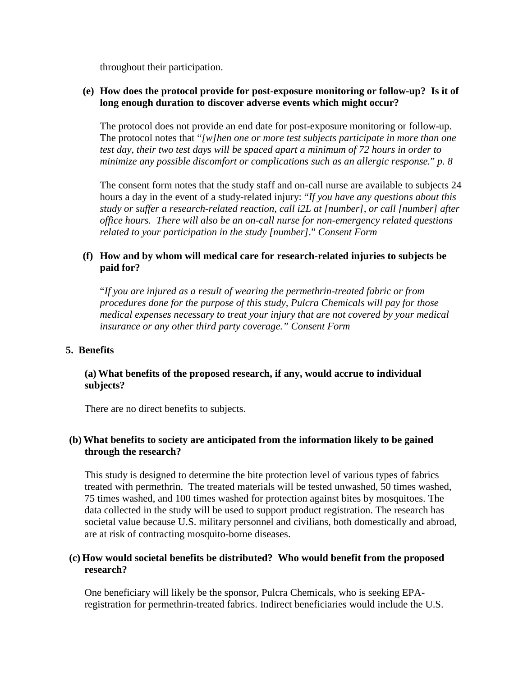throughout their participation.

# **(e) How does the protocol provide for post-exposure monitoring or follow-up? Is it of long enough duration to discover adverse events which might occur?**

The protocol does not provide an end date for post-exposure monitoring or follow-up. The protocol notes that "*[w]hen one or more test subjects participate in more than one test day, their two test days will be spaced apart a minimum of 72 hours in order to minimize any possible discomfort or complications such as an allergic response.*" *p. 8*

The consent form notes that the study staff and on-call nurse are available to subjects 24 hours a day in the event of a study-related injury: "*If you have any questions about this study or suffer a research-related reaction, call i2L at [number], or call [number] after office hours. There will also be an on-call nurse for non-emergency related questions related to your participation in the study [number]*." *Consent Form*

# **(f) How and by whom will medical care for research-related injuries to subjects be paid for?**

"*If you are injured as a result of wearing the permethrin-treated fabric or from procedures done for the purpose of this study, Pulcra Chemicals will pay for those medical expenses necessary to treat your injury that are not covered by your medical insurance or any other third party coverage." Consent Form*

# **5. Benefits**

# **(a) What benefits of the proposed research, if any, would accrue to individual subjects?**

There are no direct benefits to subjects.

# **(b) What benefits to society are anticipated from the information likely to be gained through the research?**

This study is designed to determine the bite protection level of various types of fabrics treated with permethrin. The treated materials will be tested unwashed, 50 times washed, 75 times washed, and 100 times washed for protection against bites by mosquitoes. The data collected in the study will be used to support product registration. The research has societal value because U.S. military personnel and civilians, both domestically and abroad, are at risk of contracting mosquito-borne diseases.

# **(c) How would societal benefits be distributed? Who would benefit from the proposed research?**

One beneficiary will likely be the sponsor, Pulcra Chemicals, who is seeking EPAregistration for permethrin-treated fabrics. Indirect beneficiaries would include the U.S.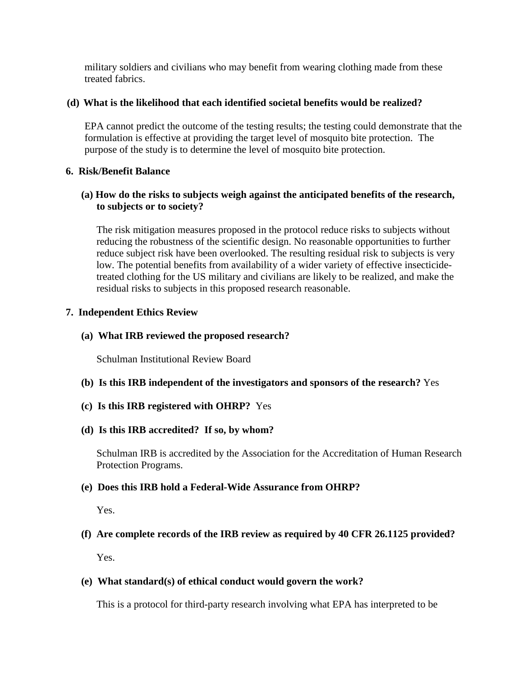military soldiers and civilians who may benefit from wearing clothing made from these treated fabrics.

# **(d) What is the likelihood that each identified societal benefits would be realized?**

EPA cannot predict the outcome of the testing results; the testing could demonstrate that the formulation is effective at providing the target level of mosquito bite protection. The purpose of the study is to determine the level of mosquito bite protection.

# **6. Risk/Benefit Balance**

# **(a) How do the risks to subjects weigh against the anticipated benefits of the research, to subjects or to society?**

The risk mitigation measures proposed in the protocol reduce risks to subjects without reducing the robustness of the scientific design. No reasonable opportunities to further reduce subject risk have been overlooked. The resulting residual risk to subjects is very low. The potential benefits from availability of a wider variety of effective insecticidetreated clothing for the US military and civilians are likely to be realized, and make the residual risks to subjects in this proposed research reasonable.

# **7. Independent Ethics Review**

# **(a) What IRB reviewed the proposed research?**

Schulman Institutional Review Board

- **(b) Is this IRB independent of the investigators and sponsors of the research?** Yes
- **(c) Is this IRB registered with OHRP?** Yes

### **(d) Is this IRB accredited? If so, by whom?**

Schulman IRB is accredited by the Association for the Accreditation of Human Research Protection Programs.

# **(e) Does this IRB hold a Federal-Wide Assurance from OHRP?**

Yes.

# **(f) Are complete records of the IRB review as required by 40 CFR 26.1125 provided?**

Yes.

# **(e) What standard(s) of ethical conduct would govern the work?**

This is a protocol for third-party research involving what EPA has interpreted to be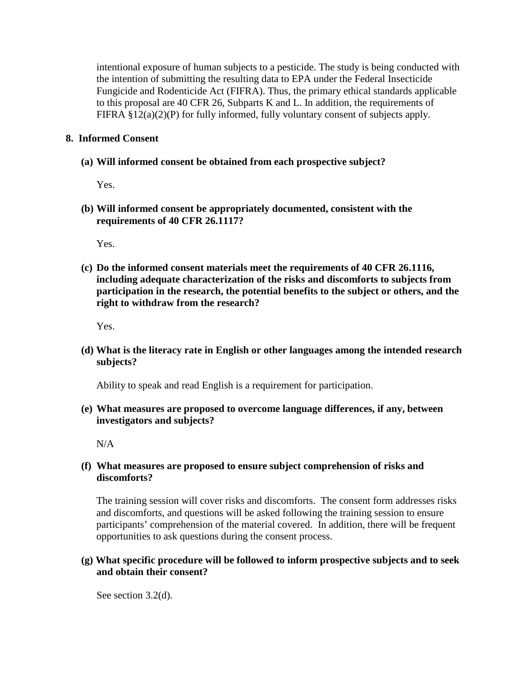intentional exposure of human subjects to a pesticide. The study is being conducted with the intention of submitting the resulting data to EPA under the Federal Insecticide Fungicide and Rodenticide Act (FIFRA). Thus, the primary ethical standards applicable to this proposal are 40 CFR 26, Subparts K and L. In addition, the requirements of FIFRA §12(a)(2)(P) for fully informed, fully voluntary consent of subjects apply.

# **8. Informed Consent**

# **(a) Will informed consent be obtained from each prospective subject?**

Yes.

**(b) Will informed consent be appropriately documented, consistent with the requirements of 40 CFR 26.1117?**

Yes.

**(c) Do the informed consent materials meet the requirements of 40 CFR 26.1116, including adequate characterization of the risks and discomforts to subjects from participation in the research, the potential benefits to the subject or others, and the right to withdraw from the research?**

Yes.

**(d) What is the literacy rate in English or other languages among the intended research subjects?**

Ability to speak and read English is a requirement for participation.

**(e) What measures are proposed to overcome language differences, if any, between investigators and subjects?**

N/A

**(f) What measures are proposed to ensure subject comprehension of risks and discomforts?**

The training session will cover risks and discomforts. The consent form addresses risks and discomforts, and questions will be asked following the training session to ensure participants' comprehension of the material covered. In addition, there will be frequent opportunities to ask questions during the consent process.

# **(g) What specific procedure will be followed to inform prospective subjects and to seek and obtain their consent?**

See section 3.2(d).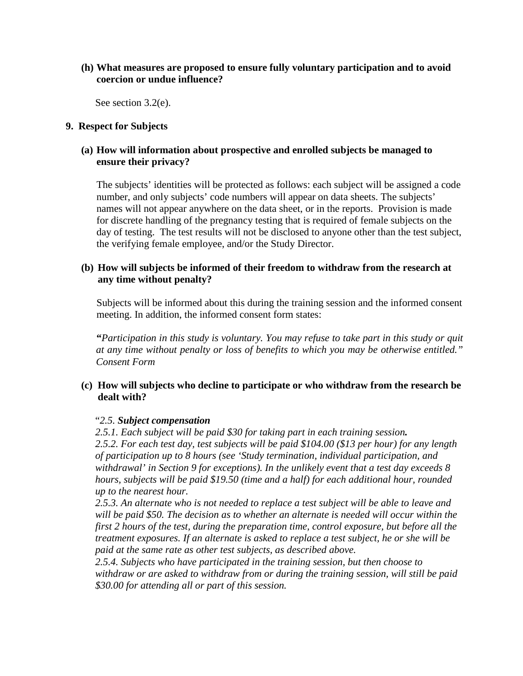# **(h) What measures are proposed to ensure fully voluntary participation and to avoid coercion or undue influence?**

See section 3.2(e).

### **9. Respect for Subjects**

# **(a) How will information about prospective and enrolled subjects be managed to ensure their privacy?**

The subjects' identities will be protected as follows: each subject will be assigned a code number, and only subjects' code numbers will appear on data sheets. The subjects' names will not appear anywhere on the data sheet, or in the reports. Provision is made for discrete handling of the pregnancy testing that is required of female subjects on the day of testing. The test results will not be disclosed to anyone other than the test subject, the verifying female employee, and/or the Study Director.

# **(b) How will subjects be informed of their freedom to withdraw from the research at any time without penalty?**

Subjects will be informed about this during the training session and the informed consent meeting. In addition, the informed consent form states:

**"***Participation in this study is voluntary. You may refuse to take part in this study or quit at any time without penalty or loss of benefits to which you may be otherwise entitled." Consent Form*

# **(c) How will subjects who decline to participate or who withdraw from the research be dealt with?**

### "*2.5. Subject compensation*

*2.5.1. Each subject will be paid \$30 for taking part in each training session.* 

*2.5.2. For each test day, test subjects will be paid \$104.00 (\$13 per hour) for any length of participation up to 8 hours (see 'Study termination, individual participation, and withdrawal' in Section 9 for exceptions). In the unlikely event that a test day exceeds 8 hours, subjects will be paid \$19.50 (time and a half) for each additional hour, rounded up to the nearest hour.* 

*2.5.3. An alternate who is not needed to replace a test subject will be able to leave and will be paid \$50. The decision as to whether an alternate is needed will occur within the first 2 hours of the test, during the preparation time, control exposure, but before all the treatment exposures. If an alternate is asked to replace a test subject, he or she will be paid at the same rate as other test subjects, as described above.* 

*2.5.4. Subjects who have participated in the training session, but then choose to withdraw or are asked to withdraw from or during the training session, will still be paid \$30.00 for attending all or part of this session.*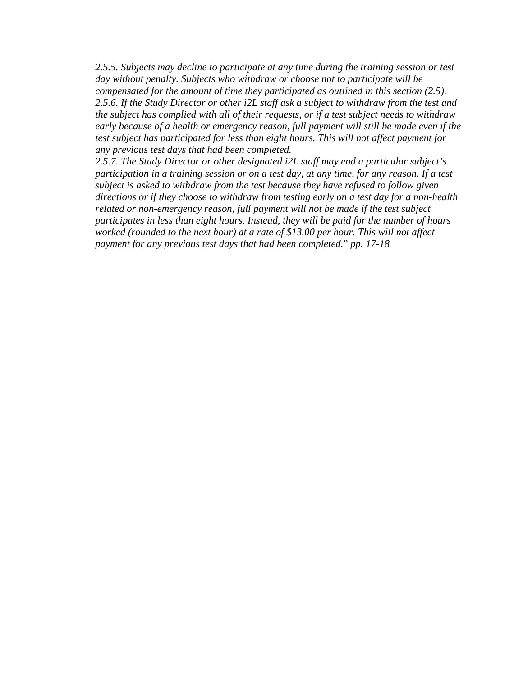*2.5.5. Subjects may decline to participate at any time during the training session or test day without penalty. Subjects who withdraw or choose not to participate will be compensated for the amount of time they participated as outlined in this section (2.5). 2.5.6. If the Study Director or other i2L staff ask a subject to withdraw from the test and the subject has complied with all of their requests, or if a test subject needs to withdraw early because of a health or emergency reason, full payment will still be made even if the test subject has participated for less than eight hours. This will not affect payment for any previous test days that had been completed.* 

*2.5.7. The Study Director or other designated i2L staff may end a particular subject's participation in a training session or on a test day, at any time, for any reason. If a test subject is asked to withdraw from the test because they have refused to follow given directions or if they choose to withdraw from testing early on a test day for a non-health related or non-emergency reason, full payment will not be made if the test subject participates in less than eight hours. Instead, they will be paid for the number of hours worked (rounded to the next hour) at a rate of \$13.00 per hour. This will not affect payment for any previous test days that had been completed.*" *pp. 17-18*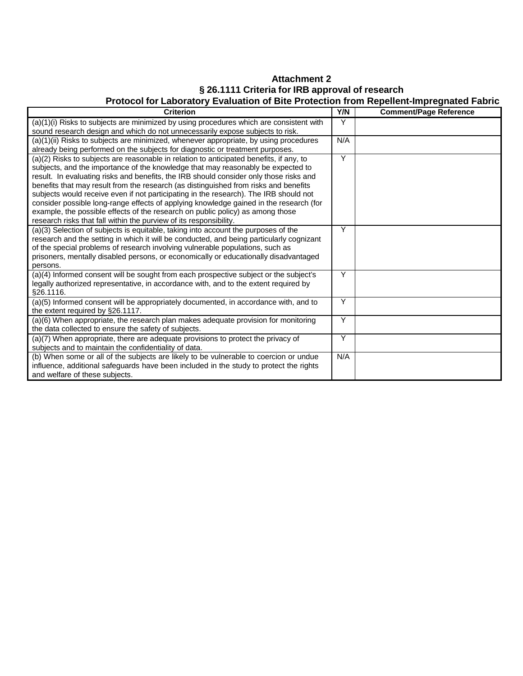# **Attachment 2 § 26.1111 Criteria for IRB approval of research Protocol for Laboratory Evaluation of Bite Protection from Repellent-Impregnated Fabric**

| <b>Criterion</b>                                                                                                                                                                                                                                                                                                                                                                                                                                                                                                                                                                                                                                                                                         | Y/N            | <b>Comment/Page Reference</b> |
|----------------------------------------------------------------------------------------------------------------------------------------------------------------------------------------------------------------------------------------------------------------------------------------------------------------------------------------------------------------------------------------------------------------------------------------------------------------------------------------------------------------------------------------------------------------------------------------------------------------------------------------------------------------------------------------------------------|----------------|-------------------------------|
| (a)(1)(i) Risks to subjects are minimized by using procedures which are consistent with<br>sound research design and which do not unnecessarily expose subjects to risk.                                                                                                                                                                                                                                                                                                                                                                                                                                                                                                                                 | Y              |                               |
| $(a)(1)(ii)$ Risks to subjects are minimized, whenever appropriate, by using procedures<br>already being performed on the subjects for diagnostic or treatment purposes.                                                                                                                                                                                                                                                                                                                                                                                                                                                                                                                                 | N/A            |                               |
| (a)(2) Risks to subjects are reasonable in relation to anticipated benefits, if any, to<br>subjects, and the importance of the knowledge that may reasonably be expected to<br>result. In evaluating risks and benefits, the IRB should consider only those risks and<br>benefits that may result from the research (as distinguished from risks and benefits<br>subjects would receive even if not participating in the research). The IRB should not<br>consider possible long-range effects of applying knowledge gained in the research (for<br>example, the possible effects of the research on public policy) as among those<br>research risks that fall within the purview of its responsibility. | Y              |                               |
| (a)(3) Selection of subjects is equitable, taking into account the purposes of the<br>research and the setting in which it will be conducted, and being particularly cognizant<br>of the special problems of research involving vulnerable populations, such as<br>prisoners, mentally disabled persons, or economically or educationally disadvantaged<br>persons.                                                                                                                                                                                                                                                                                                                                      | Y              |                               |
| (a)(4) Informed consent will be sought from each prospective subject or the subject's<br>legally authorized representative, in accordance with, and to the extent required by<br>§26.1116.                                                                                                                                                                                                                                                                                                                                                                                                                                                                                                               | Y              |                               |
| (a)(5) Informed consent will be appropriately documented, in accordance with, and to<br>the extent required by §26.1117.                                                                                                                                                                                                                                                                                                                                                                                                                                                                                                                                                                                 | Y              |                               |
| (a)(6) When appropriate, the research plan makes adequate provision for monitoring<br>the data collected to ensure the safety of subjects.                                                                                                                                                                                                                                                                                                                                                                                                                                                                                                                                                               | Y              |                               |
| (a)(7) When appropriate, there are adequate provisions to protect the privacy of<br>subjects and to maintain the confidentiality of data.                                                                                                                                                                                                                                                                                                                                                                                                                                                                                                                                                                | $\overline{Y}$ |                               |
| (b) When some or all of the subjects are likely to be vulnerable to coercion or undue<br>influence, additional safeguards have been included in the study to protect the rights<br>and welfare of these subjects.                                                                                                                                                                                                                                                                                                                                                                                                                                                                                        | N/A            |                               |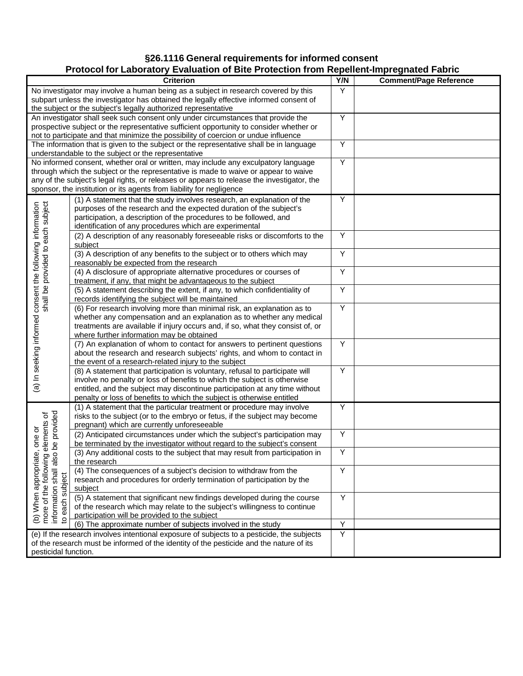# **§26.1116 General requirements for informed consent**

# **Protocol for Laboratory Evaluation of Bite Protection from Repellent-Impregnated Fabric**

|                                                                                                      | 00000 TVL Laboratory Lydraditori or Dito Frotoglion from Rependit impregnated Fabili<br><b>Criterion</b>                                                                     | Y/N | <b>Comment/Page Reference</b> |
|------------------------------------------------------------------------------------------------------|------------------------------------------------------------------------------------------------------------------------------------------------------------------------------|-----|-------------------------------|
|                                                                                                      |                                                                                                                                                                              |     |                               |
|                                                                                                      | No investigator may involve a human being as a subject in research covered by this<br>subpart unless the investigator has obtained the legally effective informed consent of | Y   |                               |
|                                                                                                      | the subject or the subject's legally authorized representative                                                                                                               |     |                               |
|                                                                                                      | An investigator shall seek such consent only under circumstances that provide the                                                                                            | Y   |                               |
|                                                                                                      | prospective subject or the representative sufficient opportunity to consider whether or                                                                                      |     |                               |
|                                                                                                      | not to participate and that minimize the possibility of coercion or undue influence                                                                                          |     |                               |
|                                                                                                      | The information that is given to the subject or the representative shall be in language                                                                                      | Υ   |                               |
|                                                                                                      | understandable to the subject or the representative                                                                                                                          |     |                               |
|                                                                                                      | No informed consent, whether oral or written, may include any exculpatory language                                                                                           | Y   |                               |
|                                                                                                      | through which the subject or the representative is made to waive or appear to waive                                                                                          |     |                               |
|                                                                                                      | any of the subject's legal rights, or releases or appears to release the investigator, the                                                                                   |     |                               |
|                                                                                                      | sponsor, the institution or its agents from liability for negligence                                                                                                         |     |                               |
|                                                                                                      | (1) A statement that the study involves research, an explanation of the                                                                                                      | Υ   |                               |
|                                                                                                      | purposes of the research and the expected duration of the subject's                                                                                                          |     |                               |
|                                                                                                      | participation, a description of the procedures to be followed, and                                                                                                           |     |                               |
|                                                                                                      | identification of any procedures which are experimental                                                                                                                      |     |                               |
|                                                                                                      | (2) A description of any reasonably foreseeable risks or discomforts to the                                                                                                  | Υ   |                               |
|                                                                                                      | subject                                                                                                                                                                      |     |                               |
| shall be provided to each subject                                                                    | (3) A description of any benefits to the subject or to others which may                                                                                                      | Y   |                               |
|                                                                                                      | reasonably be expected from the research                                                                                                                                     | Υ   |                               |
|                                                                                                      | (4) A disclosure of appropriate alternative procedures or courses of                                                                                                         |     |                               |
|                                                                                                      | treatment, if any, that might be advantageous to the subject<br>(5) A statement describing the extent, if any, to which confidentiality of                                   | Y   |                               |
|                                                                                                      | records identifying the subject will be maintained                                                                                                                           |     |                               |
|                                                                                                      | (6) For research involving more than minimal risk, an explanation as to                                                                                                      | Y   |                               |
|                                                                                                      | whether any compensation and an explanation as to whether any medical                                                                                                        |     |                               |
|                                                                                                      | treatments are available if injury occurs and, if so, what they consist of, or                                                                                               |     |                               |
|                                                                                                      | where further information may be obtained                                                                                                                                    |     |                               |
| (a) In seeking informed consent the following information                                            | (7) An explanation of whom to contact for answers to pertinent questions                                                                                                     | Υ   |                               |
|                                                                                                      | about the research and research subjects' rights, and whom to contact in                                                                                                     |     |                               |
|                                                                                                      | the event of a research-related injury to the subject                                                                                                                        |     |                               |
|                                                                                                      | (8) A statement that participation is voluntary, refusal to participate will                                                                                                 | Y   |                               |
|                                                                                                      | involve no penalty or loss of benefits to which the subject is otherwise                                                                                                     |     |                               |
|                                                                                                      | entitled, and the subject may discontinue participation at any time without                                                                                                  |     |                               |
|                                                                                                      | penalty or loss of benefits to which the subject is otherwise entitled                                                                                                       |     |                               |
|                                                                                                      | (1) A statement that the particular treatment or procedure may involve                                                                                                       | Υ   |                               |
|                                                                                                      | risks to the subject (or to the embryo or fetus, if the subject may become                                                                                                   |     |                               |
|                                                                                                      | pregnant) which are currently unforeseeable                                                                                                                                  |     |                               |
| be provided<br>elements of<br>one or                                                                 | (2) Anticipated circumstances under which the subject's participation may                                                                                                    | Υ   |                               |
|                                                                                                      | be terminated by the investigator without regard to the subject's consent                                                                                                    | Y   |                               |
|                                                                                                      | (3) Any additional costs to the subject that may result from participation in<br>the research                                                                                |     |                               |
|                                                                                                      | (4) The consequences of a subject's decision to withdraw from the                                                                                                            | Υ   |                               |
|                                                                                                      | research and procedures for orderly termination of participation by the                                                                                                      |     |                               |
|                                                                                                      | subject                                                                                                                                                                      |     |                               |
| (b) When appropriate, c<br>more of the following ele<br>information shall also br<br>to each subject | (5) A statement that significant new findings developed during the course                                                                                                    | Υ   |                               |
|                                                                                                      | of the research which may relate to the subject's willingness to continue                                                                                                    |     |                               |
|                                                                                                      | participation will be provided to the subject                                                                                                                                |     |                               |
|                                                                                                      | (6) The approximate number of subjects involved in the study                                                                                                                 | Y   |                               |
|                                                                                                      | (e) If the research involves intentional exposure of subjects to a pesticide, the subjects                                                                                   | Υ   |                               |
|                                                                                                      | of the research must be informed of the identity of the pesticide and the nature of its                                                                                      |     |                               |
| pesticidal function.                                                                                 |                                                                                                                                                                              |     |                               |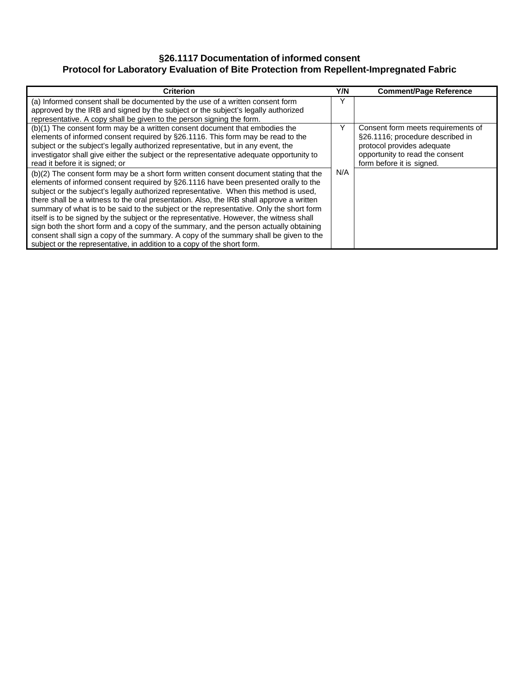# **§26.1117 Documentation of informed consent Protocol for Laboratory Evaluation of Bite Protection from Repellent-Impregnated Fabric**

| <b>Criterion</b>                                                                                                                                                                                                                                                                                                                                                                                                                                                                                                                                                                                                                                                                                                                          | Y/N | <b>Comment/Page Reference</b>                                                                                                                                        |
|-------------------------------------------------------------------------------------------------------------------------------------------------------------------------------------------------------------------------------------------------------------------------------------------------------------------------------------------------------------------------------------------------------------------------------------------------------------------------------------------------------------------------------------------------------------------------------------------------------------------------------------------------------------------------------------------------------------------------------------------|-----|----------------------------------------------------------------------------------------------------------------------------------------------------------------------|
| (a) Informed consent shall be documented by the use of a written consent form<br>approved by the IRB and signed by the subject or the subject's legally authorized<br>representative. A copy shall be given to the person signing the form.                                                                                                                                                                                                                                                                                                                                                                                                                                                                                               | ν   |                                                                                                                                                                      |
| (b)(1) The consent form may be a written consent document that embodies the<br>elements of informed consent required by §26.1116. This form may be read to the<br>subject or the subject's legally authorized representative, but in any event, the<br>investigator shall give either the subject or the representative adequate opportunity to<br>read it before it is signed; or                                                                                                                                                                                                                                                                                                                                                        | Y   | Consent form meets requirements of<br>§26.1116; procedure described in<br>protocol provides adequate<br>opportunity to read the consent<br>form before it is signed. |
| (b)(2) The consent form may be a short form written consent document stating that the<br>elements of informed consent required by §26.1116 have been presented orally to the<br>subject or the subject's legally authorized representative. When this method is used,<br>there shall be a witness to the oral presentation. Also, the IRB shall approve a written<br>summary of what is to be said to the subject or the representative. Only the short form<br>itself is to be signed by the subject or the representative. However, the witness shall<br>sign both the short form and a copy of the summary, and the person actually obtaining<br>consent shall sign a copy of the summary. A copy of the summary shall be given to the | N/A |                                                                                                                                                                      |
| subject or the representative, in addition to a copy of the short form.                                                                                                                                                                                                                                                                                                                                                                                                                                                                                                                                                                                                                                                                   |     |                                                                                                                                                                      |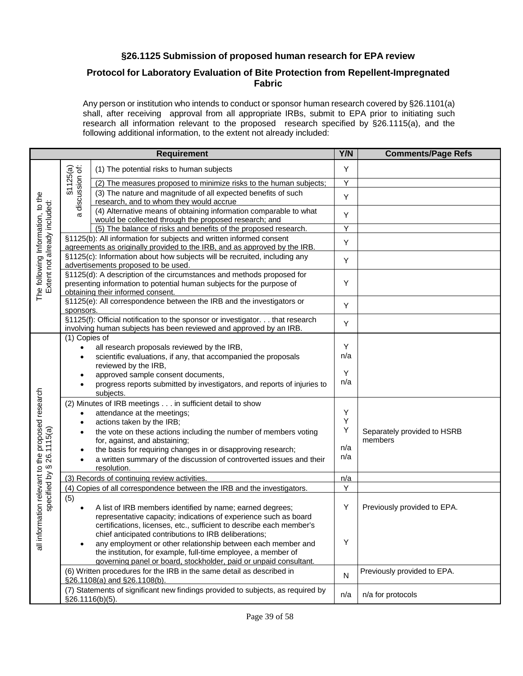# **§26.1125 Submission of proposed human research for EPA review**

# **Protocol for Laboratory Evaluation of Bite Protection from Repellent-Impregnated Fabric**

Any person or institution who intends to conduct or sponsor human research covered by §26.1101(a) shall, after receiving approval from all appropriate IRBs, submit to EPA prior to initiating such research all information relevant to the proposed research specified by §26.1115(a), and the following additional information, to the extent not already included:

|                                                                                |                                                      | <b>Requirement</b>                                                                                                                                                                                                                                                                                                                  | Y/N           | <b>Comments/Page Refs</b>              |
|--------------------------------------------------------------------------------|------------------------------------------------------|-------------------------------------------------------------------------------------------------------------------------------------------------------------------------------------------------------------------------------------------------------------------------------------------------------------------------------------|---------------|----------------------------------------|
|                                                                                |                                                      | (1) The potential risks to human subjects                                                                                                                                                                                                                                                                                           | Y             |                                        |
|                                                                                |                                                      | (2) The measures proposed to minimize risks to the human subjects;                                                                                                                                                                                                                                                                  | Y             |                                        |
|                                                                                | §1125(a)<br>discussion of:                           | (3) The nature and magnitude of all expected benefits of such<br>research, and to whom they would accrue                                                                                                                                                                                                                            | Υ             |                                        |
|                                                                                | $\sigma$                                             | (4) Alternative means of obtaining information comparable to what<br>would be collected through the proposed research; and                                                                                                                                                                                                          | Y             |                                        |
|                                                                                |                                                      | (5) The balance of risks and benefits of the proposed research.                                                                                                                                                                                                                                                                     | Y             |                                        |
|                                                                                |                                                      | §1125(b): All information for subjects and written informed consent<br>agreements as originally provided to the IRB, and as approved by the IRB.                                                                                                                                                                                    | Υ             |                                        |
|                                                                                |                                                      | §1125(c): Information about how subjects will be recruited, including any<br>advertisements proposed to be used.                                                                                                                                                                                                                    | Y             |                                        |
| The following Information, to the<br>Extent not already included:              |                                                      | §1125(d): A description of the circumstances and methods proposed for<br>presenting information to potential human subjects for the purpose of<br>obtaining their informed consent.                                                                                                                                                 | Υ             |                                        |
|                                                                                | sponsors.                                            | §1125(e): All correspondence between the IRB and the investigators or                                                                                                                                                                                                                                                               | Υ             |                                        |
|                                                                                |                                                      | §1125(f): Official notification to the sponsor or investigator. that research<br>involving human subjects has been reviewed and approved by an IRB.                                                                                                                                                                                 | Υ             |                                        |
|                                                                                | (1) Copies of<br>$\bullet$<br>$\bullet$<br>$\bullet$ | all research proposals reviewed by the IRB,<br>scientific evaluations, if any, that accompanied the proposals<br>reviewed by the IRB,<br>approved sample consent documents,                                                                                                                                                         | Y<br>n/a<br>Y |                                        |
|                                                                                |                                                      | progress reports submitted by investigators, and reports of injuries to<br>subjects.                                                                                                                                                                                                                                                | n/a           |                                        |
|                                                                                | $\bullet$<br>$\bullet$                               | (2) Minutes of IRB meetings in sufficient detail to show<br>attendance at the meetings;<br>actions taken by the IRB;                                                                                                                                                                                                                | Υ<br>Υ<br>Υ   |                                        |
| all information relevant to the proposed research<br>specified by § 26.1115(a) | $\bullet$<br>$\bullet$<br>$\bullet$                  | the vote on these actions including the number of members voting<br>for, against, and abstaining;<br>the basis for requiring changes in or disapproving research;<br>a written summary of the discussion of controverted issues and their                                                                                           | n/a<br>n/a    | Separately provided to HSRB<br>members |
|                                                                                |                                                      | resolution.<br>(3) Records of continuing review activities.                                                                                                                                                                                                                                                                         | n/a           |                                        |
|                                                                                |                                                      | (4) Copies of all correspondence between the IRB and the investigators.                                                                                                                                                                                                                                                             | Υ             |                                        |
|                                                                                | (5)<br>$\bullet$                                     | A list of IRB members identified by name; earned degrees;<br>representative capacity; indications of experience such as board                                                                                                                                                                                                       | Υ             | Previously provided to EPA.            |
|                                                                                | $\bullet$                                            | certifications, licenses, etc., sufficient to describe each member's<br>chief anticipated contributions to IRB deliberations;<br>any employment or other relationship between each member and<br>the institution, for example, full-time employee, a member of<br>governing panel or board, stockholder, paid or unpaid consultant. | Υ             |                                        |
|                                                                                |                                                      | (6) Written procedures for the IRB in the same detail as described in<br>§26.1108(a) and §26.1108(b).                                                                                                                                                                                                                               | N             | Previously provided to EPA.            |
|                                                                                |                                                      | (7) Statements of significant new findings provided to subjects, as required by<br>§26.1116(b)(5).                                                                                                                                                                                                                                  | n/a           | n/a for protocols                      |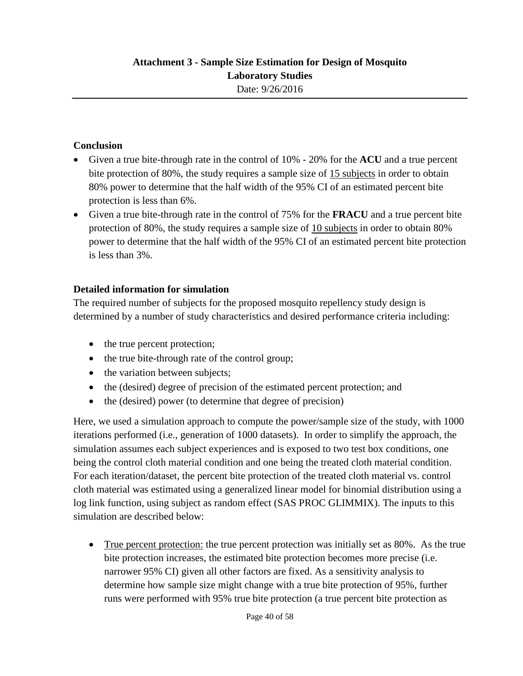# **Conclusion**

- Given a true bite-through rate in the control of 10% 20% for the **ACU** and a true percent bite protection of 80%, the study requires a sample size of 15 subjects in order to obtain 80% power to determine that the half width of the 95% CI of an estimated percent bite protection is less than 6%.
- Given a true bite-through rate in the control of 75% for the **FRACU** and a true percent bite protection of 80%, the study requires a sample size of 10 subjects in order to obtain 80% power to determine that the half width of the 95% CI of an estimated percent bite protection is less than 3%.

# **Detailed information for simulation**

The required number of subjects for the proposed mosquito repellency study design is determined by a number of study characteristics and desired performance criteria including:

- the true percent protection;
- the true bite-through rate of the control group;
- the variation between subjects;
- the (desired) degree of precision of the estimated percent protection; and
- the (desired) power (to determine that degree of precision)

Here, we used a simulation approach to compute the power/sample size of the study, with 1000 iterations performed (i.e., generation of 1000 datasets). In order to simplify the approach, the simulation assumes each subject experiences and is exposed to two test box conditions, one being the control cloth material condition and one being the treated cloth material condition. For each iteration/dataset, the percent bite protection of the treated cloth material vs. control cloth material was estimated using a generalized linear model for binomial distribution using a log link function, using subject as random effect (SAS PROC GLIMMIX). The inputs to this simulation are described below:

• True percent protection: the true percent protection was initially set as 80%. As the true bite protection increases, the estimated bite protection becomes more precise (i.e. narrower 95% CI) given all other factors are fixed. As a sensitivity analysis to determine how sample size might change with a true bite protection of 95%, further runs were performed with 95% true bite protection (a true percent bite protection as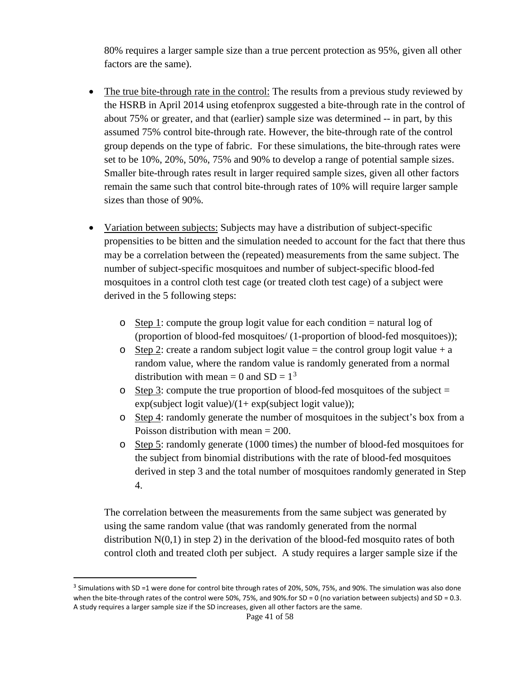80% requires a larger sample size than a true percent protection as 95%, given all other factors are the same).

- The true bite-through rate in the control: The results from a previous study reviewed by the HSRB in April 2014 using etofenprox suggested a bite-through rate in the control of about 75% or greater, and that (earlier) sample size was determined -- in part, by this assumed 75% control bite-through rate. However, the bite-through rate of the control group depends on the type of fabric. For these simulations, the bite-through rates were set to be 10%, 20%, 50%, 75% and 90% to develop a range of potential sample sizes. Smaller bite-through rates result in larger required sample sizes, given all other factors remain the same such that control bite-through rates of 10% will require larger sample sizes than those of 90%.
- Variation between subjects: Subjects may have a distribution of subject-specific propensities to be bitten and the simulation needed to account for the fact that there thus may be a correlation between the (repeated) measurements from the same subject. The number of subject-specific mosquitoes and number of subject-specific blood-fed mosquitoes in a control cloth test cage (or treated cloth test cage) of a subject were derived in the 5 following steps:
	- $\circ$  Step 1: compute the group logit value for each condition = natural log of (proportion of blood-fed mosquitoes/ (1-proportion of blood-fed mosquitoes));
	- o Step 2: create a random subject logit value = the control group logit value + a random value, where the random value is randomly generated from a normal distribution with mean = 0 and  $SD = 1<sup>3</sup>$  $SD = 1<sup>3</sup>$  $SD = 1<sup>3</sup>$
	- $\circ$  Step 3: compute the true proportion of blood-fed mosquitoes of the subject =  $exp(subject logit value)/(1+ exp(subject logit value));$
	- o Step 4: randomly generate the number of mosquitoes in the subject's box from a Poisson distribution with mean = 200.
	- o Step 5: randomly generate (1000 times) the number of blood-fed mosquitoes for the subject from binomial distributions with the rate of blood-fed mosquitoes derived in step 3 and the total number of mosquitoes randomly generated in Step 4.

The correlation between the measurements from the same subject was generated by using the same random value (that was randomly generated from the normal distribution  $N(0,1)$  in step 2) in the derivation of the blood-fed mosquito rates of both control cloth and treated cloth per subject. A study requires a larger sample size if the

 $\overline{a}$ 

<span id="page-40-0"></span> $3$  Simulations with SD =1 were done for control bite through rates of 20%, 50%, 75%, and 90%. The simulation was also done when the bite-through rates of the control were 50%, 75%, and 90%.for SD = 0 (no variation between subjects) and SD = 0.3. A study requires a larger sample size if the SD increases, given all other factors are the same.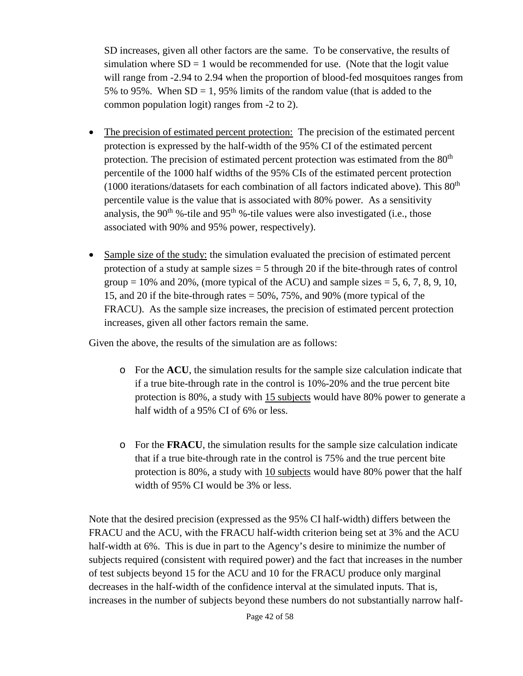SD increases, given all other factors are the same. To be conservative, the results of simulation where  $SD = 1$  would be recommended for use. (Note that the logit value will range from -2.94 to 2.94 when the proportion of blood-fed mosquitoes ranges from 5% to 95%. When  $SD = 1,95%$  limits of the random value (that is added to the common population logit) ranges from -2 to 2).

- The precision of estimated percent protection: The precision of the estimated percent protection is expressed by the half-width of the 95% CI of the estimated percent protection. The precision of estimated percent protection was estimated from the 80<sup>th</sup> percentile of the 1000 half widths of the 95% CIs of the estimated percent protection (1000 iterations/datasets for each combination of all factors indicated above). This  $80<sup>th</sup>$ percentile value is the value that is associated with 80% power. As a sensitivity analysis, the 90<sup>th</sup> %-tile and 95<sup>th</sup> %-tile values were also investigated (i.e., those associated with 90% and 95% power, respectively).
- Sample size of the study: the simulation evaluated the precision of estimated percent protection of a study at sample sizes  $=$  5 through 20 if the bite-through rates of control group  $= 10\%$  and 20%, (more typical of the ACU) and sample sizes  $= 5, 6, 7, 8, 9, 10$ , 15, and 20 if the bite-through rates = 50%, 75%, and 90% (more typical of the FRACU). As the sample size increases, the precision of estimated percent protection increases, given all other factors remain the same.

Given the above, the results of the simulation are as follows:

- o For the **ACU**, the simulation results for the sample size calculation indicate that if a true bite-through rate in the control is 10%-20% and the true percent bite protection is 80%, a study with 15 subjects would have 80% power to generate a half width of a 95% CI of 6% or less.
- o For the **FRACU**, the simulation results for the sample size calculation indicate that if a true bite-through rate in the control is 75% and the true percent bite protection is 80%, a study with 10 subjects would have 80% power that the half width of 95% CI would be 3% or less.

Note that the desired precision (expressed as the 95% CI half-width) differs between the FRACU and the ACU, with the FRACU half-width criterion being set at 3% and the ACU half-width at 6%. This is due in part to the Agency's desire to minimize the number of subjects required (consistent with required power) and the fact that increases in the number of test subjects beyond 15 for the ACU and 10 for the FRACU produce only marginal decreases in the half-width of the confidence interval at the simulated inputs. That is, increases in the number of subjects beyond these numbers do not substantially narrow half-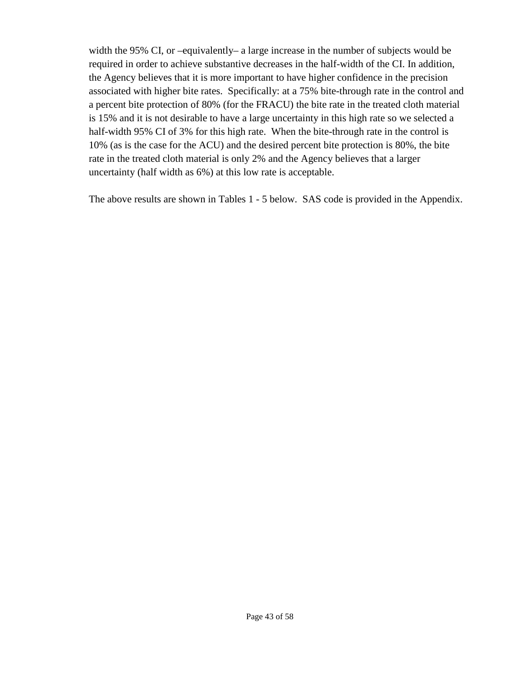width the 95% CI, or –equivalently– a large increase in the number of subjects would be required in order to achieve substantive decreases in the half-width of the CI. In addition, the Agency believes that it is more important to have higher confidence in the precision associated with higher bite rates. Specifically: at a 75% bite-through rate in the control and a percent bite protection of 80% (for the FRACU) the bite rate in the treated cloth material is 15% and it is not desirable to have a large uncertainty in this high rate so we selected a half-width 95% CI of 3% for this high rate. When the bite-through rate in the control is 10% (as is the case for the ACU) and the desired percent bite protection is 80%, the bite rate in the treated cloth material is only 2% and the Agency believes that a larger uncertainty (half width as 6%) at this low rate is acceptable.

The above results are shown in Tables 1 - 5 below. SAS code is provided in the Appendix.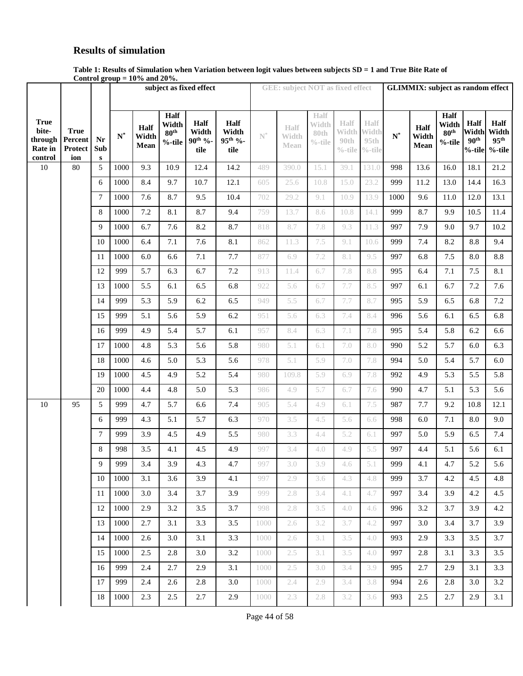# **Results of simulation**

|                                 | Table 1: Results of Simulation when Variation between logit values between subjects SD = 1 and True Bite Rate of |  |
|---------------------------------|------------------------------------------------------------------------------------------------------------------|--|
| Control group $= 10\%$ and 20%. |                                                                                                                  |  |

|                    |                           |                |                |            |                  | subject as fixed effect |                 |                | <b>GEE: subject NOT as fixed effect</b> |            |                    |                    | <b>GLIMMIX:</b> subject as random effect |            |               |                               |                               |  |  |
|--------------------|---------------------------|----------------|----------------|------------|------------------|-------------------------|-----------------|----------------|-----------------------------------------|------------|--------------------|--------------------|------------------------------------------|------------|---------------|-------------------------------|-------------------------------|--|--|
|                    |                           |                |                |            |                  |                         |                 |                |                                         |            |                    |                    |                                          |            |               |                               |                               |  |  |
|                    |                           |                |                |            | Half             |                         |                 |                |                                         | Half       |                    |                    |                                          |            | Half          |                               |                               |  |  |
| <b>True</b>        |                           |                |                | Half       | Width            | Half                    | <b>Half</b>     |                | Half                                    | Width      | Half               | Half               |                                          | Half       | Width         | <b>Half</b>                   | Half                          |  |  |
| bite-              | <b>True</b>               |                | $\mathbf{N}^*$ | Width      | 80 <sup>th</sup> | Width                   | Width           | $\mathbb{N}^*$ | Width                                   | 80th       | Width              | Width              | $\mathbf{N}^*$                           | Width      | $80^{\rm th}$ | Width                         | Width                         |  |  |
| through<br>Rate in | Percent<br><b>Protect</b> | Nr<br>Sub      |                | Mean       | $%$ -tile        | $90^{th}$ %-<br>tile    | 95th %-<br>tile |                | Mean                                    | $\%$ -tile | 90th<br>$\%$ -tile | 95th<br>$\%$ -tile |                                          | Mean       | $%$ -tile     | 90 <sup>th</sup><br>$%$ -tile | 95 <sup>th</sup><br>$%$ -tile |  |  |
| control            | ion                       | ${\bf S}$      |                |            |                  |                         |                 |                |                                         |            |                    |                    |                                          |            |               |                               |                               |  |  |
| 10                 | 80                        | 5              | 1000           | 9.3        | 10.9             | 12.4                    | 14.2            | 489            | 390.0                                   | 15.1       | 39.1               | 131.0              | 998                                      | 13.6       | 16.0          | 18.1                          | 21.2                          |  |  |
|                    |                           | 6              | 1000           | 8.4        | 9.7              | 10.7                    | 12.1            | 605            | 25.6                                    | 10.8       | 15.0               | 23.2               | 999                                      | 11.2       | 13.0          | 14.4                          | 16.3                          |  |  |
|                    |                           | $\overline{7}$ | 1000           | 7.6        | 8.7              | 9.5                     | 10.4            | 702            | 29.2                                    | 9.1        | 10.9               | 13.9               | 1000                                     | 9.6        | 11.0          | 12.0                          | 13.1                          |  |  |
|                    |                           | 8              | 1000           | $7.2\,$    | 8.1              | 8.7                     | 9.4             | 759            | 13.7                                    | 8.6        | 10.8               | 14.1               | 999                                      | 8.7        | 9.9           | 10.5                          | 11.4                          |  |  |
|                    |                           | 9              | 1000           | 6.7        | 7.6              | 8.2                     | 8.7             | 818            | 8.7                                     | 7.8        | 9.3                | 11.3               | 997                                      | 7.9        | 9.0           | 9.7                           | 10.2                          |  |  |
|                    |                           | 10             | 1000           | 6.4        | 7.1              | 7.6                     | 8.1             | 862            | 11.3                                    | 7.5        | 9.1                | 10.6               | 999                                      | 7.4        | 8.2           | 8.8                           | 9.4                           |  |  |
|                    |                           | 11             | 1000           | 6.0        | 6.6              | 7.1                     | 7.7             | 877            | 6.9                                     | 7.2        | 8.1                | 9.5                | 997                                      | 6.8        | 7.5           | 8.0                           | 8.8                           |  |  |
|                    |                           | 12             | 999            | 5.7        | 6.3              | 6.7                     | 7.2             | 913            | 11.4                                    | 6.7        | 7.8                | 8.8                | 995                                      | 6.4        | 7.1           | 7.5                           | 8.1                           |  |  |
|                    |                           | 13             | 1000           | 5.5        | 6.1              | 6.5                     | 6.8             | 922            | 5.6                                     | 6.7        | 7.7                | 8.5                | 997                                      | 6.1        | 6.7           | 7.2                           | 7.6                           |  |  |
|                    |                           | 14             | 999            | 5.3        | 5.9              | 6.2                     | 6.5             | 949            | 5.5                                     | 6.7        | 7.7                | 8.7                | 995                                      | 5.9        | 6.5           | 6.8                           | 7.2                           |  |  |
|                    |                           | 15             | 999            | 5.1        | 5.6              | 5.9                     | 6.2             | 951            | 5.6                                     | 6.3        | 7.4                | 8.4                | 996                                      | 5.6        | 6.1           | 6.5                           | 6.8                           |  |  |
|                    |                           | 16             | 999            | 4.9        | 5.4              | 5.7                     | 6.1             | 957            | 8.4                                     | 6.3        | 7.1                | 7.8                | 995                                      | 5.4        | 5.8           | 6.2                           | 6.6                           |  |  |
|                    |                           | 17             | 1000           | 4.8        | 5.3              | 5.6                     | 5.8             | 980            | 5.1                                     | 6.1        | 7.0                | 8.0                | 990                                      | 5.2        | 5.7           | 6.0                           | 6.3                           |  |  |
|                    |                           | 18             | 1000           | 4.6        | 5.0              | 5.3                     | 5.6             | 978            | 5.1                                     | 5.9        | 7.0                | 7.8                | 994                                      | 5.0        | 5.4           | 5.7                           | 6.0                           |  |  |
|                    |                           | 19             | 1000           | 4.5        | 4.9              | 5.2                     | 5.4             | 980            | 109.8                                   | 5.9        | 6.9                | 7.8                | 992                                      | 4.9        | 5.3           | 5.5                           | 5.8                           |  |  |
|                    |                           | 20             | 1000           | 4.4        | 4.8              | 5.0                     | 5.3             | 986            | 4.9                                     | 5.7        | 6.7                | 7.6                | 990                                      | 4.7        | 5.1           | 5.3                           | 5.6                           |  |  |
| 10                 | 95                        | 5              | 999            | 4.7        | 5.7              | 6.6                     | 7.4             | 905            | 5.4                                     | 4.9        | 6.1                | 7.5                | 987                                      | 7.7        | 9.2           | 10.8                          | 12.1                          |  |  |
|                    |                           | 6              | 999            | 4.3        | 5.1              | 5.7                     | 6.3             | 970            | 3.5                                     | 4.5        | 5.6                | 6.6                | 998                                      | 6.0        | 7.1           | 8.0                           | 9.0                           |  |  |
|                    |                           | 7              | 999            | 3.9        | 4.5              | 4.9                     | 5.5             | 980            | 3.3                                     | 4.4        | 5.2                | 6.1                | 997                                      | 5.0        | 5.9           | 6.5                           | 7.4                           |  |  |
|                    |                           | 8              | 998            | 3.5        | 4.1              | 4.5                     | 4.9             | 997            | 3.4                                     | 4.0        | 4.9                | 5.5                | 997                                      | 4.4        | 5.1           | 5.6                           | 6.1                           |  |  |
|                    |                           | 9              | 999            | 3.4        | 3.9              | 4.3                     | 4.7             | 997            | $3.0\,$                                 | 3.9        | 4.6                | $5.1\,$            | 999                                      | 4.1        | 4.7           | $5.2\,$                       | 5.6                           |  |  |
|                    |                           | 10 l           | 1000           | 3.1        | 3.6              | 3.9                     | 4.1             | 997            | 2.9                                     | 3.6        | 4.3                | -4.8               | 999                                      | 3.7        | 4.2           | 4.5                           | 4.8                           |  |  |
|                    |                           | 11             | 1000           | 3.0        | 3.4              | 3.7                     | 3.9             | 999            | 2.8                                     | 3.4        | 4.1                | 4.7                | 997                                      | 3.4        | 3.9           | 4.2                           | 4.5                           |  |  |
|                    |                           | $12-12$        | 1000           | 2.9        | 3.2              | 3.5                     | 3.7             | 998            | 2.8                                     | 3.5        | 4.0                | 4.6                | 996                                      | 3.2        | 3.7           | 3.9                           | 4.2                           |  |  |
|                    |                           | 13             | 1000           | 2.7        | 3.1              | 3.3                     | 3.5             | 1000           | 2.6                                     | 3.2        | 3.7                | 4.2                | 997                                      | 3.0        | 3.4           | 3.7                           | 3.9                           |  |  |
|                    |                           | 14             | 1000           | 2.6        | 3.0              | 3.1                     | 3.3             | 1000           | 2.6                                     | 3.1        | 3.5                | 4.0                | 993                                      | 2.9        | 3.3           | 3.5                           | 3.7                           |  |  |
|                    |                           | 15<br>16       | 1000<br>999    | 2.5<br>2.4 | 2.8<br>2.7       | 3.0<br>2.9              | 3.2             | 1000           | 2.5<br>2.5                              | 3.1<br>3.0 | 3.5<br>3.4         | 4.0<br>3.9         | 997<br>995                               | 2.8<br>2.7 | 3.1<br>2.9    | 3.3<br>3.1                    | 3.5<br>3.3                    |  |  |
|                    |                           |                |                |            |                  |                         | 3.1             | 1000           |                                         |            |                    |                    |                                          |            |               |                               |                               |  |  |
|                    |                           | 17             | 999            | 2.4        | 2.6              | 2.8                     | 3.0             | 1000           | 2.4                                     | 2.9        | 3.4                | 3.8                | 994                                      | 2.6        | 2.8           | 3.0                           | 3.2                           |  |  |
|                    |                           |                | 18   1000      | 2.3        | 2.5              | 2.7                     | 2.9             | 1000           | 2.3                                     | 2.8        | 3.2                | 3.6                | 993                                      | 2.5        | 2.7           | 2.9                           | 3.1                           |  |  |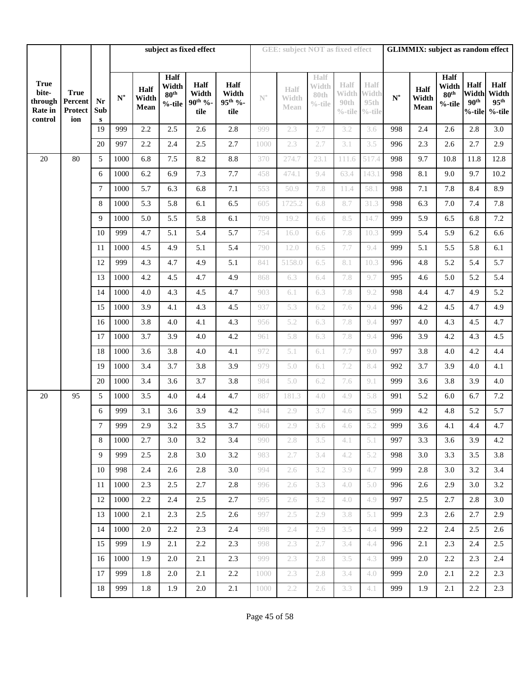|                                                       |                                          |                        |                |                       |                                             | subject as fixed effect                      |                                              |                | <b>GEE: subject NOT as fixed effect</b> |                                     |              |                                                      | <b>GLIMMIX:</b> subject as random effect |                       |                                        |                                                    |                                                |  |  |
|-------------------------------------------------------|------------------------------------------|------------------------|----------------|-----------------------|---------------------------------------------|----------------------------------------------|----------------------------------------------|----------------|-----------------------------------------|-------------------------------------|--------------|------------------------------------------------------|------------------------------------------|-----------------------|----------------------------------------|----------------------------------------------------|------------------------------------------------|--|--|
|                                                       |                                          |                        |                |                       |                                             |                                              |                                              |                |                                         |                                     |              |                                                      |                                          |                       |                                        |                                                    |                                                |  |  |
|                                                       |                                          |                        |                |                       |                                             |                                              |                                              |                |                                         |                                     |              |                                                      |                                          |                       | <b>Half</b>                            |                                                    |                                                |  |  |
| <b>True</b><br>bite-<br>through<br>Rate in<br>control | <b>True</b><br>Percent<br>Protect<br>ion | Nr<br>Sub<br>${\bf S}$ | $\mathbf{N}^*$ | Half<br>Width<br>Mean | Half<br>Width<br>80 <sup>th</sup><br>%-tile | <b>Half</b><br>Width<br>$90^{th}$ %-<br>tile | Half<br>Width<br>95 <sup>th</sup> %-<br>tile | $\mathbb{N}^*$ | Half<br>Width<br>Mean                   | Half<br>Width<br>80th<br>$\%$ -tile | Half<br>90th | Half<br>Width Width<br>95th<br>$\%$ -tile $\%$ -tile | $N^*$                                    | Half<br>Width<br>Mean | Width<br>80 <sup>th</sup><br>$%$ -tile | <b>Half</b><br>Width<br>90 <sup>th</sup><br>%-tile | Half<br>Width<br>95 <sup>th</sup><br>$%$ -tile |  |  |
|                                                       |                                          | 19                     | 999            | 2.2                   | 2.5                                         | 2.6                                          | 2.8                                          | 999            | 2.3                                     | 2.7                                 | 3.2          | 3.6                                                  | 998                                      | 2.4                   | 2.6                                    | 2.8                                                | 3.0                                            |  |  |
|                                                       |                                          | 20                     | 997            | 2.2                   | 2.4                                         | 2.5                                          | 2.7                                          | 1000           | 2.3                                     | 2.7                                 | 3.1          | 3.5                                                  | 996                                      | 2.3                   | 2.6                                    | 2.7                                                | 2.9                                            |  |  |
| 20                                                    | 80                                       | 5                      | 1000           | 6.8                   | $7.5\,$                                     | 8.2                                          | 8.8                                          | 370            | 274.7                                   | 23.1                                | 111.6        | 517.4                                                | 998                                      | 9.7                   | 10.8                                   | 11.8                                               | 12.8                                           |  |  |
|                                                       |                                          | 6                      | 1000           | 6.2                   | 6.9                                         | 7.3                                          | 7.7                                          | 458            | 474.1                                   | 9.4                                 | 63.4         | 143.1                                                | 998                                      | 8.1                   | 9.0                                    | 9.7                                                | 10.2                                           |  |  |
|                                                       |                                          | 7                      | 1000           | 5.7                   | 6.3                                         | 6.8                                          | 7.1                                          | 553            | 50.9                                    | 7.8                                 | 11.4         | 58.1                                                 | 998                                      | 7.1                   | 7.8                                    | 8.4                                                | 8.9                                            |  |  |
|                                                       |                                          | 8                      | 1000           | 5.3                   | 5.8                                         | 6.1                                          | 6.5                                          | 605            | 1725.2                                  | 6.8                                 | 8.7          | 31.3                                                 | 998                                      | 6.3                   | 7.0                                    | 7.4                                                | 7.8                                            |  |  |
|                                                       |                                          | 9                      | 1000           | 5.0                   | 5.5                                         | 5.8                                          | 6.1                                          | 709            | 19.2                                    | 6.6                                 | 8.5          | 14.7                                                 | 999                                      | 5.9                   | 6.5                                    | 6.8                                                | 7.2                                            |  |  |
|                                                       |                                          | 10                     | 999            | 4.7                   | 5.1                                         | 5.4                                          | 5.7                                          | 754            | 16.0                                    | 6.6                                 | 7.8          | 10.3                                                 | 999                                      | 5.4                   | 5.9                                    | 6.2                                                | 6.6                                            |  |  |
|                                                       |                                          | 11                     | 1000           | 4.5                   | 4.9                                         | 5.1                                          | 5.4                                          | 790            | 12.0                                    | 6.5                                 | 7.7          | 9.4                                                  | 999                                      | 5.1                   | 5.5                                    | 5.8                                                | 6.1                                            |  |  |
|                                                       |                                          | 12                     | 999            | 4.3                   | 4.7                                         | 4.9                                          | 5.1                                          | 841            | 5158.0                                  | 6.5                                 | 8.1          | 10.3                                                 | 996                                      | 4.8                   | 5.2                                    | 5.4                                                | 5.7                                            |  |  |
|                                                       |                                          | 13                     | 1000           | 4.2                   | 4.5                                         | 4.7                                          | 4.9                                          | 868            | 6.3                                     | 6.4                                 | 7.8          | 9.7                                                  | 995                                      | 4.6                   | 5.0                                    | 5.2                                                | 5.4                                            |  |  |
|                                                       |                                          | 14                     | 1000           | 4.0                   | 4.3                                         | 4.5                                          | 4.7                                          | 903            | 6.1                                     | 6.3                                 | 7.8          | 9.2                                                  | 998                                      | 4.4                   | 4.7                                    | 4.9                                                | 5.2                                            |  |  |
|                                                       |                                          | 15                     | 1000           | 3.9                   | 4.1                                         | 4.3                                          | 4.5                                          | 937            | 5.3                                     | 6.2                                 | 7.6          | 9.4                                                  | 996                                      | 4.2                   | 4.5                                    | 4.7                                                | 4.9                                            |  |  |
|                                                       |                                          | 16                     | 1000           | 3.8                   | 4.0                                         | 4.1                                          | 4.3                                          | 956            | 5.2                                     | 6.3                                 | 7.8          | 9.4                                                  | 997                                      | 4.0                   | 4.3                                    | 4.5                                                | 4.7                                            |  |  |
|                                                       |                                          | 17                     | 1000           | 3.7                   | 3.9                                         | 4.0                                          | 4.2                                          | 961            | 5.8                                     | 6.3                                 | 7.8          | 9.4                                                  | 996                                      | 3.9                   | 4.2                                    | 4.3                                                | 4.5                                            |  |  |
|                                                       |                                          | 18                     | 1000           | 3.6                   | 3.8                                         | 4.0                                          | 4.1                                          | 972            | 5.1                                     | 6.1                                 | 7.7          | 9.0                                                  | 997                                      | 3.8                   | 4.0                                    | 4.2                                                | 4.4                                            |  |  |
|                                                       |                                          | 19                     | 1000           | 3.4                   | 3.7                                         | 3.8                                          | 3.9                                          | 979            | 5.0                                     | 6.1                                 | 7.2          | 8.4                                                  | 992                                      | 3.7                   | 3.9                                    | 4.0                                                | 4.1                                            |  |  |
|                                                       |                                          | 20                     | 1000           | 3.4                   | 3.6                                         | 3.7                                          | 3.8                                          | 984            | 5.0                                     | 6.2                                 | 7.6          | 9.1                                                  | 999                                      | 3.6                   | 3.8                                    | 3.9                                                | 4.0                                            |  |  |
| 20                                                    | 95                                       | 5                      | 1000<br>999    | 3.5                   | 4.0                                         | 4.4<br>3.9                                   | 4.7                                          | 887            | 181.3                                   | 4.0<br>3.7                          | 4.9          | 5.8<br>5.5                                           | 991<br>999                               | 5.2                   | 6.0                                    | 6.7<br>5.2                                         | 7.2<br>5.7                                     |  |  |
|                                                       |                                          | 6<br>$\boldsymbol{7}$  | 999            | 3.1<br>2.9            | 3.6<br>3.2                                  | 3.5                                          | 4.2<br>3.7                                   | 944<br>960     | 2.9<br>2.9                              | 3.6                                 | 4.6<br>4.6   | 5.2                                                  | 999                                      | 4.2<br>$3.6\,$        | 4.8<br>4.1                             | 4.4                                                | 4.7                                            |  |  |
|                                                       |                                          | 8                      | 1000           | 2.7                   | 3.0                                         | 3.2                                          | 3.4                                          | 990            | 2.8                                     | 3.5                                 | 4.1          | 5.1                                                  | 997                                      | 3.3                   | 3.6                                    | 3.9                                                | 4.2                                            |  |  |
|                                                       |                                          | 9                      | 999            | 2.5                   | 2.8                                         | 3.0                                          | 3.2                                          | 983            | 2.7                                     | 3.4                                 | 4.2          | 5.2                                                  | 998                                      | 3.0                   | 3.3                                    | 3.5                                                | 3.8                                            |  |  |
|                                                       |                                          | 10                     | 998            | 2.4                   | 2.6                                         | 2.8                                          | 3.0                                          | 994            | 2.6                                     | 3.2                                 | 3.9          | 4.7                                                  | 999                                      | 2.8                   | 3.0                                    | 3.2                                                | 3.4                                            |  |  |
|                                                       |                                          | 11                     | 1000           | 2.3                   | 2.5                                         | 2.7                                          | 2.8                                          | 996            | 2.6                                     | 3.3                                 | 4.0          | 5.0                                                  | 996                                      | 2.6                   | 2.9                                    | 3.0                                                | 3.2                                            |  |  |
|                                                       |                                          | 12                     | 1000           | 2.2                   | 2.4                                         | 2.5                                          | 2.7                                          | 995            | 2.6                                     | 3.2                                 | 4.0          | 4.9                                                  | 997                                      | 2.5                   | 2.7                                    | 2.8                                                | 3.0                                            |  |  |
|                                                       |                                          | 13                     | 1000           | 2.1                   | 2.3                                         | 2.5                                          | 2.6                                          | 997            | 2.5                                     | 2.9                                 | 3.8          | 5.1                                                  | 999                                      | 2.3                   | 2.6                                    | 2.7                                                | 2.9                                            |  |  |
|                                                       |                                          | 14                     | 1000           | 2.0                   | 2.2                                         | 2.3                                          | 2.4                                          | 998            | 2.4                                     | 2.9                                 | 3.5          | 4.4                                                  | 999                                      | 2.2                   | 2.4                                    | 2.5                                                | 2.6                                            |  |  |
|                                                       |                                          | 15                     | 999            | 1.9                   | 2.1                                         | 2.2                                          | 2.3                                          | 998            | 2.3                                     | 2.7                                 | 3.4          | 4.4                                                  | 996                                      | 2.1                   | 2.3                                    | 2.4                                                | 2.5                                            |  |  |
|                                                       |                                          | 16                     | 1000           | 1.9                   | 2.0                                         | 2.1                                          | 2.3                                          | 999            | 2.3                                     | 2.8                                 | 3.5          | 4.3                                                  | 999                                      | 2.0                   | 2.2                                    | 2.3                                                | 2.4                                            |  |  |
|                                                       |                                          | 17                     | 999            | 1.8                   | 2.0                                         | 2.1                                          | 2.2                                          | 1000           | 2.3                                     | 2.8                                 | 3.4          | 4.0                                                  | 999                                      | 2.0                   | 2.1                                    | 2.2                                                | 2.3                                            |  |  |
|                                                       |                                          | 18                     | 999            | 1.8                   | 1.9                                         | 2.0                                          | 2.1                                          | 1000           | 2.2                                     | 2.6                                 | 3.3          | 4.1                                                  | 999                                      | 1.9                   | 2.1                                    | 2.2                                                | 2.3                                            |  |  |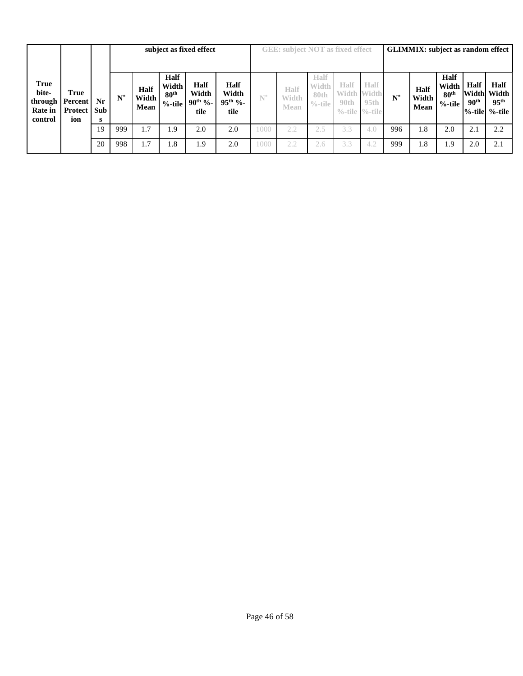|                                                       |                                                       |         |       |                       |                                                       | subject as fixed effect               |                                              |       | <b>GEE:</b> subject NOT as fixed effect |                                     |                                                  |                            | <b>GLIMMIX:</b> subject as random effect |                              |                                                |                                 |                                                                       |  |  |
|-------------------------------------------------------|-------------------------------------------------------|---------|-------|-----------------------|-------------------------------------------------------|---------------------------------------|----------------------------------------------|-------|-----------------------------------------|-------------------------------------|--------------------------------------------------|----------------------------|------------------------------------------|------------------------------|------------------------------------------------|---------------------------------|-----------------------------------------------------------------------|--|--|
| <b>True</b><br>bite-<br>through<br>Rate in<br>control | True<br><b>Percent</b><br><b>Protect   Sub</b><br>ion | Nr<br>s | $N^*$ | Half<br>Width<br>Mean | <b>Half</b><br>Width<br>80 <sup>th</sup><br>$%$ -tile | Half<br>Width<br>$90^{th}$ %-<br>tile | <b>Half</b><br>Width<br>$95^{th}$ %-<br>tile | $N^*$ | Half<br>Width<br>Mean                   | Half<br>Width<br>80th<br>$\%$ -tile | Half<br><b>Width Width</b><br>90th<br>$\%$ -tile | Half<br>95th<br>$\%$ -tile | $N^*$                                    | <b>Half</b><br>Width<br>Mean | Half<br>Width<br>80 <sup>th</sup><br>$%$ -tile | <b>Half</b><br>90 <sup>th</sup> | <b>Half</b><br>Width Width<br>95 <sup>th</sup><br>$%$ -tile $%$ -tile |  |  |
|                                                       |                                                       | 19      | 999   | 1.7                   | 1.9                                                   | 2.0                                   | 2.0                                          | 1000  | 2.2                                     | 2.5                                 | 3.3                                              | 4.0                        | 996                                      | 1.8                          | 2.0                                            | 2.1                             | 2.2                                                                   |  |  |
|                                                       |                                                       | 20      | 998   | 1.7                   | 1.8                                                   | 1.9                                   | 2.0                                          | 1000  | 2.2                                     | 2.6                                 | 3.3                                              | 4.2                        | 999                                      | 1.8                          | 1.9                                            | 2.0                             | 2.1                                                                   |  |  |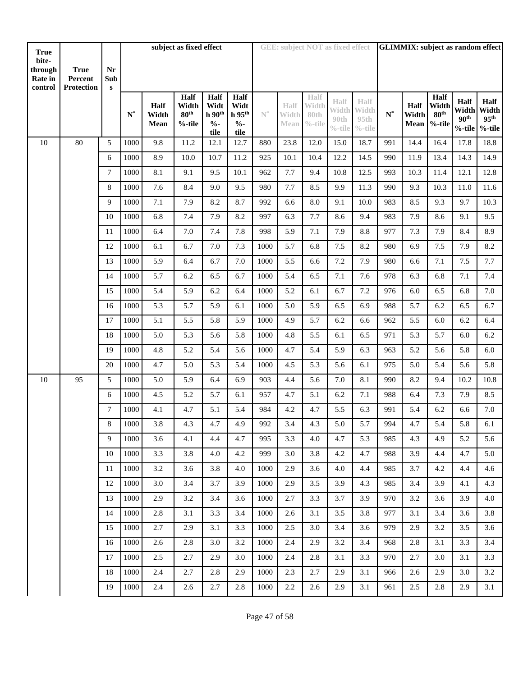| <b>True</b>                            |                                      |                           |                |                       | subject as fixed effect                     |                                                               |                                                        |                |                       |                                     | <b>GEE: subject NOT as fixed effect</b> |                                                        | <b>GLIMMIX:</b> subject as random effect |               |                                               |                                                           |                                   |  |
|----------------------------------------|--------------------------------------|---------------------------|----------------|-----------------------|---------------------------------------------|---------------------------------------------------------------|--------------------------------------------------------|----------------|-----------------------|-------------------------------------|-----------------------------------------|--------------------------------------------------------|------------------------------------------|---------------|-----------------------------------------------|-----------------------------------------------------------|-----------------------------------|--|
| bite-<br>through<br>Rate in<br>control | <b>True</b><br>Percent<br>Protection | Nr<br>Sub<br>$\mathbf{s}$ |                |                       |                                             |                                                               |                                                        |                |                       |                                     |                                         |                                                        |                                          |               |                                               |                                                           |                                   |  |
|                                        |                                      |                           | $\mathbf{N}^*$ | Half<br>Width<br>Mean | Half<br>Width<br>$80^{\rm th}$<br>$%$ -tile | Half<br>Widt<br>h 90 <sup>th</sup><br>$\frac{0}{0}$ -<br>tile | Half<br>Widt<br>$h$ 95 <sup>th</sup><br>$\%$ -<br>tile | $\mathbb{N}^*$ | Half<br>Width<br>Mean | Half<br>Width<br>80th<br>$\%$ -tile | Half<br>Width<br>90th<br>$\%$ -tile     | <b>Half</b><br>Width<br>95 <sub>th</sub><br>$\%$ -tile | ${\bf N}^*$                              | Half<br>Width | Half<br>Width<br>$80^{\rm th}$<br>Mean %-tile | <b>Half</b><br>Width<br>90 <sup>th</sup><br>%-tile %-tile | Half<br>Width<br>95 <sup>th</sup> |  |
| 10                                     | 80                                   | 5                         | 1000           | 9.8                   | 11.2                                        | 12.1                                                          | 12.7                                                   | 880            | 23.8                  | 12.0                                | 15.0                                    | 18.7                                                   | 991                                      | 14.4          | 16.4                                          | 17.8                                                      | 18.8                              |  |
|                                        |                                      | 6                         | 1000           | 8.9                   | 10.0                                        | 10.7                                                          | 11.2                                                   | 925            | 10.1                  | 10.4                                | 12.2                                    | 14.5                                                   | 990                                      | 11.9          | 13.4                                          | 14.3                                                      | 14.9                              |  |
|                                        |                                      | $\overline{7}$            | 1000           | 8.1                   | 9.1                                         | 9.5                                                           | 10.1                                                   | 962            | 7.7                   | 9.4                                 | 10.8                                    | 12.5                                                   | 993                                      | 10.3          | 11.4                                          | 12.1                                                      | 12.8                              |  |
|                                        |                                      | 8                         | 1000           | 7.6                   | 8.4                                         | 9.0                                                           | 9.5                                                    | 980            | 7.7                   | 8.5                                 | 9.9                                     | 11.3                                                   | 990                                      | 9.3           | 10.3                                          | 11.0                                                      | 11.6                              |  |
|                                        |                                      | 9                         | 1000           | $7.1\,$               | 7.9                                         | 8.2                                                           | 8.7                                                    | 992            | 6.6                   | 8.0                                 | 9.1                                     | 10.0                                                   | 983                                      | 8.5           | 9.3                                           | 9.7                                                       | 10.3                              |  |
|                                        |                                      | 10                        | 1000           | 6.8                   | 7.4                                         | 7.9                                                           | 8.2                                                    | 997            | 6.3                   | 7.7                                 | 8.6                                     | 9.4                                                    | 983                                      | 7.9           | 8.6                                           | 9.1                                                       | 9.5                               |  |
|                                        |                                      | 11                        | 1000           | 6.4                   | 7.0                                         | 7.4                                                           | 7.8                                                    | 998            | 5.9                   | 7.1                                 | 7.9                                     | 8.8                                                    | 977                                      | 7.3           | 7.9                                           | 8.4                                                       | 8.9                               |  |
|                                        |                                      | 12                        | 1000           | 6.1                   | 6.7                                         | 7.0                                                           | 7.3                                                    | 1000           | 5.7                   | 6.8                                 | 7.5                                     | 8.2                                                    | 980                                      | 6.9           | 7.5                                           | 7.9                                                       | 8.2                               |  |
|                                        |                                      | 13                        | 1000           | 5.9                   | 6.4                                         | 6.7                                                           | 7.0                                                    | 1000           | 5.5                   | 6.6                                 | 7.2                                     | 7.9                                                    | 980                                      | 6.6           | 7.1                                           | 7.5                                                       | 7.7                               |  |
|                                        |                                      | 14                        | 1000           | 5.7                   | 6.2                                         | 6.5                                                           | 6.7                                                    | 1000           | 5.4                   | 6.5                                 | 7.1                                     | 7.6                                                    | 978                                      | 6.3           | 6.8                                           | 7.1                                                       | 7.4                               |  |
|                                        |                                      | 15                        | 1000           | 5.4                   | 5.9                                         | 6.2                                                           | 6.4                                                    | 1000           | 5.2                   | 6.1                                 | 6.7                                     | 7.2                                                    | 976                                      | 6.0           | 6.5                                           | 6.8                                                       | 7.0                               |  |
|                                        |                                      | 16                        | 1000           | 5.3                   | 5.7                                         | 5.9                                                           | 6.1                                                    | 1000           | 5.0                   | 5.9                                 | 6.5                                     | 6.9                                                    | 988                                      | 5.7           | 6.2                                           | 6.5                                                       | 6.7                               |  |
|                                        |                                      | 17                        | 1000           | 5.1                   | 5.5                                         | 5.8                                                           | 5.9                                                    | 1000           | 4.9                   | 5.7                                 | 6.2                                     | 6.6                                                    | 962                                      | 5.5           | 6.0                                           | 6.2                                                       | 6.4                               |  |
|                                        |                                      | 18                        | 1000           | 5.0                   | 5.3                                         | 5.6                                                           | 5.8                                                    | 1000           | 4.8                   | 5.5                                 | 6.1                                     | 6.5                                                    | 971                                      | 5.3           | 5.7                                           | 6.0                                                       | 6.2                               |  |
|                                        |                                      | 19                        | 1000           | 4.8                   | 5.2                                         | 5.4                                                           | 5.6                                                    | 1000           | 4.7                   | 5.4                                 | 5.9                                     | 6.3                                                    | 963                                      | 5.2           | 5.6                                           | 5.8                                                       | 6.0                               |  |
|                                        |                                      | $20\,$                    | 1000           | 4.7                   | 5.0                                         | 5.3                                                           | 5.4                                                    | 1000           | 4.5                   | 5.3                                 | 5.6                                     | 6.1                                                    | 975                                      | 5.0           | 5.4                                           | 5.6                                                       | 5.8                               |  |
| 10                                     | 95                                   | 5                         | 1000           | 5.0                   | 5.9                                         | 6.4                                                           | 6.9                                                    | 903            | 4.4                   | 5.6                                 | 7.0                                     | 8.1                                                    | 990                                      | 8.2           | 9.4                                           | 10.2                                                      | 10.8                              |  |
|                                        |                                      | 6                         | 1000           | 4.5                   | 5.2                                         | 5.7                                                           | 6.1                                                    | 957            | 4.7                   | 5.1                                 | 6.2                                     | 7.1                                                    | 988                                      | 6.4           | 7.3                                           | 7.9                                                       | 8.5                               |  |
|                                        |                                      | $\tau$                    | 1000           | 4.1                   | 4.7                                         | 5.1                                                           | 5.4                                                    | 984            | 4.2                   | 4.7                                 | 5.5                                     | 6.3                                                    | 991                                      | 5.4           | 6.2                                           | 6.6                                                       | 7.0                               |  |
|                                        |                                      | $\,8\,$                   | $1000\,$       | $3.8\,$               | 4.3                                         | 4.7                                                           | 4.9                                                    | 992            | 3.4                   | 4.3                                 | 5.0                                     | 5.7                                                    | 994                                      | 4.7           | 5.4                                           | 5.8                                                       | 6.1                               |  |
|                                        |                                      | 9                         | 1000           | 3.6                   | 4.1                                         | 4.4                                                           | 4.7                                                    | 995            | 3.3                   | 4.0                                 | 4.7                                     | 5.3                                                    | 985                                      | 4.3           | 4.9                                           | 5.2                                                       | 5.6                               |  |
|                                        |                                      | 10                        | 1000           | 3.3                   | 3.8                                         | 4.0                                                           | 4.2                                                    | 999            | 3.0                   | 3.8                                 | 4.2                                     | 4.7                                                    | 988                                      | 3.9           | 4.4                                           | 4.7                                                       | 5.0                               |  |
|                                        |                                      | 11                        | 1000           | 3.2                   | 3.6                                         | 3.8                                                           | 4.0                                                    | 1000           | 2.9                   | 3.6                                 | 4.0                                     | 4.4                                                    | 985                                      | 3.7           | 4.2                                           | 4.4                                                       | 4.6                               |  |
|                                        |                                      | 12                        | 1000           | 3.0                   | 3.4                                         | 3.7                                                           | 3.9                                                    | 1000           | 2.9                   | 3.5                                 | 3.9                                     | 4.3                                                    | 985                                      | 3.4           | 3.9                                           | 4.1                                                       | 4.3                               |  |
|                                        |                                      | 13                        | 1000           | 2.9                   | 3.2                                         | 3.4                                                           | 3.6                                                    | 1000           | 2.7                   | 3.3                                 | 3.7                                     | 3.9                                                    | 970                                      | 3.2           | 3.6                                           | 3.9                                                       | 4.0                               |  |
|                                        |                                      | 14                        | 1000           | 2.8                   | 3.1                                         | 3.3                                                           | 3.4                                                    | 1000           | 2.6                   | 3.1                                 | 3.5                                     | 3.8                                                    | 977                                      | 3.1           | 3.4                                           | 3.6                                                       | 3.8                               |  |
|                                        |                                      | 15                        | 1000           | 2.7                   | 2.9                                         | 3.1                                                           | 3.3                                                    | 1000           | 2.5                   | 3.0                                 | 3.4                                     | 3.6                                                    | 979                                      | 2.9           | 3.2                                           | 3.5                                                       | 3.6                               |  |
|                                        |                                      | 16                        | 1000           | 2.6                   | 2.8                                         | 3.0                                                           | 3.2                                                    | 1000           | 2.4                   | 2.9                                 | 3.2                                     | 3.4                                                    | 968                                      | 2.8           | 3.1                                           | 3.3                                                       | 3.4                               |  |
|                                        |                                      | 17                        | 1000           | 2.5                   | 2.7                                         | 2.9                                                           | 3.0                                                    | 1000           | 2.4                   | 2.8                                 | 3.1                                     | 3.3                                                    | 970                                      | 2.7           | 3.0                                           | 3.1                                                       | 3.3                               |  |
|                                        |                                      | 18                        | 1000           | 2.4                   | 2.7                                         | 2.8                                                           | 2.9                                                    | 1000           | 2.3                   | 2.7                                 | 2.9                                     | 3.1                                                    | 966                                      | 2.6           | 2.9                                           | 3.0                                                       | 3.2                               |  |
|                                        |                                      | 19                        | 1000           | 2.4                   | 2.6                                         | 2.7                                                           | 2.8                                                    | 1000           | 2.2                   | 2.6                                 | 2.9                                     | 3.1                                                    | 961                                      | 2.5           | 2.8                                           | 2.9                                                       | 3.1                               |  |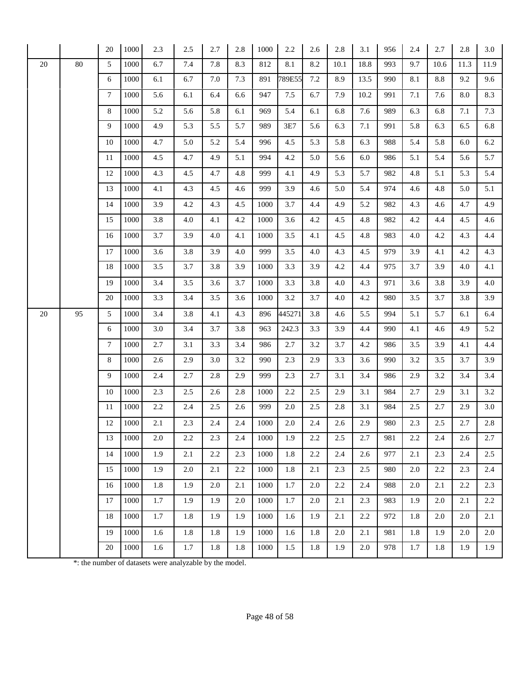|    |        | 20              | 1000 | 2.3 | 2.5 | 2.7 | 2.8 | 1000 | $2.2\,$ | 2.6 | 2.8  | 3.1  | 956 | 2.4 | 2.7  | 2.8  | 3.0  |
|----|--------|-----------------|------|-----|-----|-----|-----|------|---------|-----|------|------|-----|-----|------|------|------|
| 20 | $80\,$ | 5               | 1000 | 6.7 | 7.4 | 7.8 | 8.3 | 812  | 8.1     | 8.2 | 10.1 | 18.8 | 993 | 9.7 | 10.6 | 11.3 | 11.9 |
|    |        | 6               | 1000 | 6.1 | 6.7 | 7.0 | 7.3 | 891  | 789E55  | 7.2 | 8.9  | 13.5 | 990 | 8.1 | 8.8  | 9.2  | 9.6  |
|    |        | $7\phantom{.0}$ | 1000 | 5.6 | 6.1 | 6.4 | 6.6 | 947  | 7.5     | 6.7 | 7.9  | 10.2 | 991 | 7.1 | 7.6  | 8.0  | 8.3  |
|    |        | 8               | 1000 | 5.2 | 5.6 | 5.8 | 6.1 | 969  | 5.4     | 6.1 | 6.8  | 7.6  | 989 | 6.3 | 6.8  | 7.1  | 7.3  |
|    |        | 9               | 1000 | 4.9 | 5.3 | 5.5 | 5.7 | 989  | 3E7     | 5.6 | 6.3  | 7.1  | 991 | 5.8 | 6.3  | 6.5  | 6.8  |
|    |        | 10              | 1000 | 4.7 | 5.0 | 5.2 | 5.4 | 996  | 4.5     | 5.3 | 5.8  | 6.3  | 988 | 5.4 | 5.8  | 6.0  | 6.2  |
|    |        | 11              | 1000 | 4.5 | 4.7 | 4.9 | 5.1 | 994  | 4.2     | 5.0 | 5.6  | 6.0  | 986 | 5.1 | 5.4  | 5.6  | 5.7  |
|    |        | 12              | 1000 | 4.3 | 4.5 | 4.7 | 4.8 | 999  | 4.1     | 4.9 | 5.3  | 5.7  | 982 | 4.8 | 5.1  | 5.3  | 5.4  |
|    |        | 13              | 1000 | 4.1 | 4.3 | 4.5 | 4.6 | 999  | 3.9     | 4.6 | 5.0  | 5.4  | 974 | 4.6 | 4.8  | 5.0  | 5.1  |
|    |        | 14              | 1000 | 3.9 | 4.2 | 4.3 | 4.5 | 1000 | 3.7     | 4.4 | 4.9  | 5.2  | 982 | 4.3 | 4.6  | 4.7  | 4.9  |
|    |        | 15              | 1000 | 3.8 | 4.0 | 4.1 | 4.2 | 1000 | 3.6     | 4.2 | 4.5  | 4.8  | 982 | 4.2 | 4.4  | 4.5  | 4.6  |
|    |        | 16              | 1000 | 3.7 | 3.9 | 4.0 | 4.1 | 1000 | 3.5     | 4.1 | 4.5  | 4.8  | 983 | 4.0 | 4.2  | 4.3  | 4.4  |
|    |        | 17              | 1000 | 3.6 | 3.8 | 3.9 | 4.0 | 999  | 3.5     | 4.0 | 4.3  | 4.5  | 979 | 3.9 | 4.1  | 4.2  | 4.3  |
|    |        | 18              | 1000 | 3.5 | 3.7 | 3.8 | 3.9 | 1000 | 3.3     | 3.9 | 4.2  | 4.4  | 975 | 3.7 | 3.9  | 4.0  | 4.1  |
|    |        | 19              | 1000 | 3.4 | 3.5 | 3.6 | 3.7 | 1000 | 3.3     | 3.8 | 4.0  | 4.3  | 971 | 3.6 | 3.8  | 3.9  | 4.0  |
|    |        | 20              | 1000 | 3.3 | 3.4 | 3.5 | 3.6 | 1000 | 3.2     | 3.7 | 4.0  | 4.2  | 980 | 3.5 | 3.7  | 3.8  | 3.9  |
| 20 | 95     | 5               | 1000 | 3.4 | 3.8 | 4.1 | 4.3 | 896  | 445271  | 3.8 | 4.6  | 5.5  | 994 | 5.1 | 5.7  | 6.1  | 6.4  |
|    |        | 6               | 1000 | 3.0 | 3.4 | 3.7 | 3.8 | 963  | 242.3   | 3.3 | 3.9  | 4.4  | 990 | 4.1 | 4.6  | 4.9  | 5.2  |
|    |        | $\tau$          | 1000 | 2.7 | 3.1 | 3.3 | 3.4 | 986  | 2.7     | 3.2 | 3.7  | 4.2  | 986 | 3.5 | 3.9  | 4.1  | 4.4  |
|    |        | 8               | 1000 | 2.6 | 2.9 | 3.0 | 3.2 | 990  | 2.3     | 2.9 | 3.3  | 3.6  | 990 | 3.2 | 3.5  | 3.7  | 3.9  |
|    |        | 9               | 1000 | 2.4 | 2.7 | 2.8 | 2.9 | 999  | 2.3     | 2.7 | 3.1  | 3.4  | 986 | 2.9 | 3.2  | 3.4  | 3.4  |
|    |        | 10              | 1000 | 2.3 | 2.5 | 2.6 | 2.8 | 1000 | 2.2     | 2.5 | 2.9  | 3.1  | 984 | 2.7 | 2.9  | 3.1  | 3.2  |
|    |        | 11              | 1000 | 2.2 | 2.4 | 2.5 | 2.6 | 999  | 2.0     | 2.5 | 2.8  | 3.1  | 984 | 2.5 | 2.7  | 2.9  | 3.0  |
|    |        | 12              | 1000 | 2.1 | 2.3 | 2.4 | 2.4 | 1000 | 2.0     | 2.4 | 2.6  | 2.9  | 980 | 2.3 | 2.5  | 2.7  | 2.8  |
|    |        | 13              | 1000 | 2.0 | 2.2 | 2.3 | 2.4 | 1000 | 1.9     | 2.2 | 2.5  | 2.7  | 981 | 2.2 | 2.4  | 2.6  | 2.7  |
|    |        | 14              | 1000 | 1.9 | 2.1 | 2.2 | 2.3 | 1000 | 1.8     | 2.2 | 2.4  | 2.6  | 977 | 2.1 | 2.3  | 2.4  | 2.5  |
|    |        | 15              | 1000 | 1.9 | 2.0 | 2.1 | 2.2 | 1000 | 1.8     | 2.1 | 2.3  | 2.5  | 980 | 2.0 | 2.2  | 2.3  | 2.4  |
|    |        | 16              | 1000 | 1.8 | 1.9 | 2.0 | 2.1 | 1000 | 1.7     | 2.0 | 2.2  | 2.4  | 988 | 2.0 | 2.1  | 2.2  | 2.3  |
|    |        | 17              | 1000 | 1.7 | 1.9 | 1.9 | 2.0 | 1000 | 1.7     | 2.0 | 2.1  | 2.3  | 983 | 1.9 | 2.0  | 2.1  | 2.2  |
|    |        | 18              | 1000 | 1.7 | 1.8 | 1.9 | 1.9 | 1000 | 1.6     | 1.9 | 2.1  | 2.2  | 972 | 1.8 | 2.0  | 2.0  | 2.1  |
|    |        | 19              | 1000 | 1.6 | 1.8 | 1.8 | 1.9 | 1000 | 1.6     | 1.8 | 2.0  | 2.1  | 981 | 1.8 | 1.9  | 2.0  | 2.0  |
|    |        | 20              | 1000 | 1.6 | 1.7 | 1.8 | 1.8 | 1000 | 1.5     | 1.8 | 1.9  | 2.0  | 978 | 1.7 | 1.8  | 1.9  | 1.9  |

\*: the number of datasets were analyzable by the model.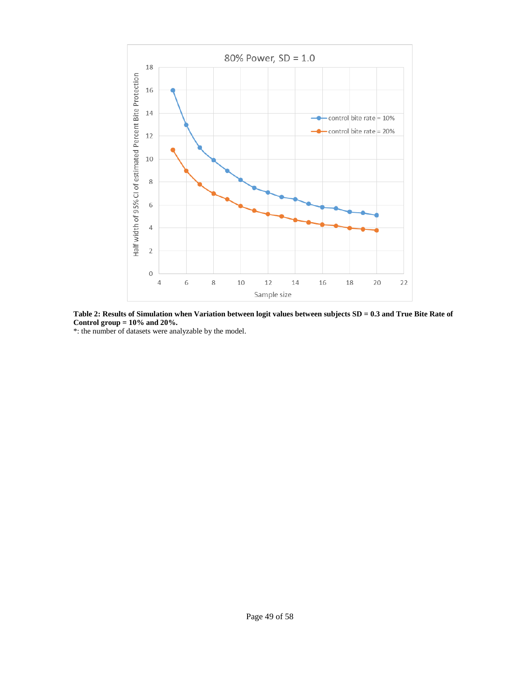

**Table 2: Results of Simulation when Variation between logit values between subjects SD = 0.3 and True Bite Rate of Control group = 10% and 20%.**

\*: the number of datasets were analyzable by the model.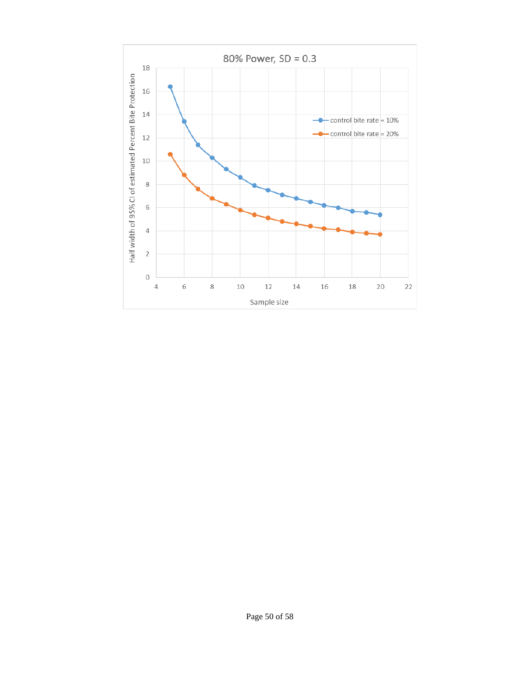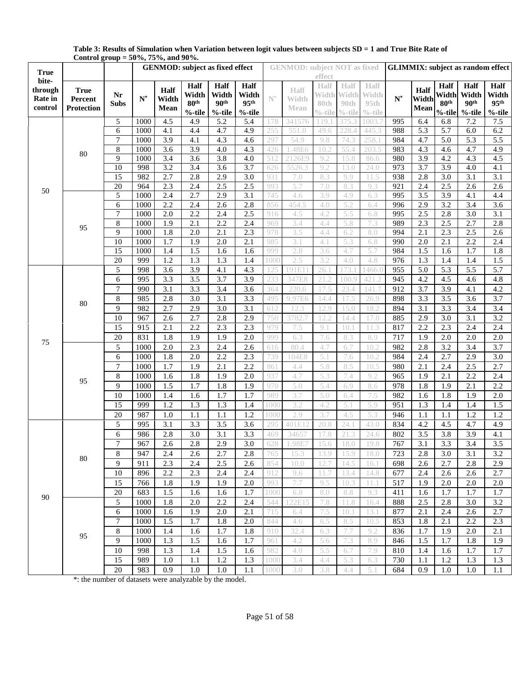|                    |                        | Control group = 50 /0, 75 /0, and 70 /0. |                                        |                         |                         |                         |                         |                | <b>GENMOD:</b> subject NOT as fixed |            |              |              | <b>GLIMMIX:</b> subject as random effect |                         |                         |                  |                  |  |
|--------------------|------------------------|------------------------------------------|----------------------------------------|-------------------------|-------------------------|-------------------------|-------------------------|----------------|-------------------------------------|------------|--------------|--------------|------------------------------------------|-------------------------|-------------------------|------------------|------------------|--|
| <b>True</b>        |                        |                                          | <b>GENMOD:</b> subject as fixed effect |                         |                         |                         |                         |                |                                     | effect     |              |              |                                          |                         |                         |                  |                  |  |
| bite-              |                        |                                          |                                        | Half                    | Half                    | Half                    | <b>Half</b>             |                | <b>Half</b>                         | Half       | Half         | Half         |                                          | Half                    | Half                    | Half             | Half             |  |
| through<br>Rate in | <b>True</b><br>Percent | Nr                                       | $\mathbf{N}^*$                         | Width                   | Width                   | Width                   | Width                   | $\textbf{N}^*$ | Width                               | Width      | Width        | Width        | $N^*$                                    | Width                   | Width                   | Width            | Width            |  |
| control            | Protection             | <b>Subs</b>                              |                                        | Mean                    | 80 <sup>th</sup>        | 90 <sup>th</sup>        | 95 <sup>th</sup>        |                | Mean                                | 80th       | 90th         | 95th         |                                          | Mean                    | 80 <sup>th</sup>        | 90 <sup>th</sup> | 95 <sup>th</sup> |  |
|                    |                        |                                          |                                        |                         | $%$ -tile               | %-tile                  | $%$ -tile               |                |                                     | $%$ -tile  | $\%$ -tile   | $\%$ -tile   |                                          |                         | %-tile                  | %-tile           | $%$ -tile        |  |
|                    |                        | 5                                        | 1000                                   | 4.5                     | 4.9                     | 5.2                     | 5.4                     | 178            | 341576                              | 119.       | 375.3        | 1003.7       | 995                                      | 6.4                     | 6.8                     | 7.2              | $7.5\,$          |  |
|                    |                        | 6                                        | 1000                                   | 4.1                     | 4.4                     | 4.7                     | 4.9                     | 255            | 551.0                               | 49.6       | 228.4        | 445.3        | 988                                      | 5.3                     | 5.7                     | 6.0              | 6.2              |  |
|                    |                        | $\overline{7}$                           | 1000                                   | $\overline{3.9}$        | 4.1                     | 4.3                     | 4.6                     | 297            | 54.9                                | 9.8        | 74.3         | 258.1        | 984                                      | 4.7                     | $\overline{5.0}$        | 5.3              | 5.5              |  |
|                    | 80                     | $\,$ 8 $\,$                              | 1000                                   | 3.6                     | 3.9                     | 4.0                     | 4.3                     | 426            | .48E6                               | 10.2       | 55.4         | 203.5        | 983                                      | 4.3                     | 4.6                     | 4.7              | 4.9              |  |
|                    |                        | 9<br>10                                  | 1000<br>998                            | 3.4<br>$\overline{3.2}$ | 3.6<br>$\overline{3.4}$ | 3.8<br>$\overline{3.6}$ | 4.0<br>$\overline{3.7}$ | 512            | 2126E9                              | 9.2<br>9.2 | 15.8<br>13.0 | 86.6<br>24.0 | 980<br>973                               | 3.9<br>$\overline{3.7}$ | 4.2<br>$\overline{3.9}$ | 4.3<br>4.0       | 4.5<br>4.1       |  |
|                    |                        | 15                                       | 982                                    | 2.7                     | 2.8                     | 2.9                     | $\overline{3.0}$        | 626<br>931     | 5526.3<br>7.0                       | 8.3        | 9.9          | 11.5         | 938                                      | 2.8                     | $\overline{3.0}$        | $\overline{3.1}$ | 3.1              |  |
|                    |                        | 20                                       | 964                                    | 2.3                     | 2.4                     | 2.5                     | 2.5                     | 993            | 5.7                                 | 7.0        | 8.3          | 9.3          | 921                                      | 2.4                     | 2.5                     | 2.6              | 2.6              |  |
| 50                 |                        | 5                                        | 1000                                   | 2.4                     | 2.7                     | 2.9                     | $\overline{3.1}$        | 745            | 4.6                                 | 3.9        | 4.9          | 6.3          | 995                                      | $\overline{3.5}$        | 3.9                     | $\overline{4.1}$ | 4.4              |  |
|                    |                        | 6                                        | 1000                                   | 2.2                     | 2.4                     | 2.6                     | 2.8                     | 856            | 454.5                               | 4.0        | 5.2          | 6.4          | 996                                      | 2.9                     | $\overline{3.2}$        | 3.4              | $\overline{3.6}$ |  |
|                    |                        | $\boldsymbol{7}$                         | 1000                                   | 2.0                     | 2.2                     | 2.4                     | 2.5                     | 916            | 4.5                                 | 4.2        | 5.5          | 6.8          | 995                                      | 2.5                     | $2.8\,$                 | 3.0              | $\overline{3.1}$ |  |
|                    |                        | $\,$ 8 $\,$                              | 1000                                   | 1.9                     | $\overline{2.1}$        | 2.2                     | 2.4                     | 969            | 3.4                                 | 4.4        | 5.8          | 7.3          | 989                                      | 2.3                     | 2.5                     | 2.7              | 2.8              |  |
|                    | 95                     | 9                                        | 1000                                   | 1.8                     | 2.0                     | 2.1                     | 2.3                     | 978            | 3.5                                 | 4.4        | 6.2          | 8.0          | 994                                      | 2.1                     | 2.3                     | 2.5              | 2.6              |  |
|                    |                        | 10                                       | 1000                                   | 1.7                     | 1.9                     | 2.0                     | 2.1                     | 985            | 3.1                                 | 4.1        | 5.3          | 6.8          | 990                                      | 2.0                     | 2.1                     | 2.2              | 2.4              |  |
|                    |                        | 15                                       | 1000                                   | 1.4                     | 1.5                     | 1.6                     | 1.6                     | 999            | 2.8                                 | 3.6        | 4.7          | 5.7          | 984                                      | 1.5                     | 1.6                     | 1.7              | 1.8              |  |
|                    |                        | 20                                       | 999                                    | 1.2                     | 1.3                     | 1.3                     | 1.4                     | l OOC          | 2.5                                 | 3.2        | 4.0          | 4.8          | 976                                      | 1.3                     | 1.4                     | 1.4              | 1.5              |  |
|                    |                        | 5                                        | 998                                    | 3.6                     | $\overline{3.9}$        | 4.1                     | 4.3                     | 25             | 191E1                               | 26.1       | 73.          | 1466.(       | 955                                      | 5.0                     | 5.3                     | 5.5              | 5.7              |  |
|                    | 80                     | 6                                        | 995                                    | 3.3                     | 3.5                     | 3.7                     | 3.9                     | 233            | 347E8                               | 21.2       | 100.9        | 421.2        | 945                                      | 4.2                     | 4.5                     | 4.6              | 4.8              |  |
|                    |                        | $\overline{7}$                           | 990                                    | $\overline{3.1}$        | 3.3                     | 3.4                     | 3.6                     | 364            | 220.6                               | 17.5       | 23.4         | 141.7        | 912                                      | $\overline{3.7}$        | $\overline{3.9}$        | 4.1              | 4.2              |  |
|                    |                        | $\,8\,$                                  | 985                                    | 2.8                     | 3.0                     | $\overline{3.1}$        | $\overline{3.3}$        | 495            | 9.97E6                              | 14.4       | 17.5         | 26.9         | 898                                      | 3.3                     | 3.5                     | $\overline{3.6}$ | 3.7              |  |
|                    |                        | 9                                        | 982                                    | 2.7                     | 2.9                     | 3.0                     | $\overline{3.1}$        | 612            | 12.3                                | 12.9       | 15.0         | 18.2         | 894                                      | 3.1                     | 3.3                     | 3.4              | 3.4              |  |
|                    |                        | 10                                       | 967                                    | 2.6                     | 2.7                     | 2.8                     | 2.9                     | 750            | 3782.                               | 12.2       | 14.4         | 17.0         | 885                                      | 2.9                     | 3.0                     | 3.1              | 3.2              |  |
|                    |                        | 15                                       | 915                                    | 2.1                     | 2.2                     | 2.3                     | 2.3                     | 979            | 7.5                                 | 9.1        | 10.1         | 11.3         | 817                                      | 2.2                     | 2.3                     | 2.4              | 2.4              |  |
| 75                 |                        | 20                                       | 831                                    | 1.8                     | 1.9                     | 1.9                     | 2.0                     | 999            | 6.3                                 | 7.6        | 8.3          | 8.9          | 717                                      | 1.9                     | 2.0                     | 2.0              | $2.0\,$          |  |
|                    | 95                     | 5                                        | 1000                                   | 2.0                     | 2.3                     | 2.4                     | 2.6                     | 616            | 80.4                                | 4.7        | 6.7          | 10.2         | 982                                      | 2.8                     | 3.2                     | 3.4              | 3.7              |  |
|                    |                        | 6                                        | 1000                                   | 1.8                     | $2.0\,$                 | 2.2                     | 2.3                     | 739            | 104E8                               | 5.1        | 7.6          | 10.2         | 984                                      | 2.4                     | 2.7                     | 2.9              | $3.0\,$          |  |
|                    |                        | $\tau$                                   | 1000                                   | 1.7                     | 1.9                     | 2.1                     | 2.2                     | 861            | 4.4                                 | 5.8        | 8.5          | 10.5         | 980                                      | 2.1                     | 2.4                     | 2.5              | 2.7              |  |
|                    |                        | $\overline{8}$                           | 1000                                   | 1.6                     | 1.8                     | $\overline{1.9}$        | 2.0                     | 937            | 4.7                                 | 5.3        | 7.4          | 9.2          | 965                                      | 1.9                     | $\overline{2.1}$        | 2.2              | 2.4              |  |
|                    |                        | 9                                        | 1000                                   | 1.5                     | 1.7                     | 1.8                     | 1.9                     | 97(            | 5.0                                 | 5.4        | 6.9          | 8.6          | 978                                      | 1.8                     | 1.9                     | 2.1              | 2.2              |  |
|                    |                        | 10                                       | 1000                                   | 1.4                     | 1.6                     | 1.7                     | 1.7                     | 989            | 3.7                                 | 5.0        | 6.4          | 7.5          | 982                                      | 1.6                     | 1.8                     | 1.9              | 2.0              |  |
|                    |                        | 15                                       | 999                                    | 1.2                     | 1.3                     | 1.3                     | 1.4                     | 1000           | 3.2                                 | 4.2        | 5.1          | 5.9          | 951                                      | 1.3                     | 1.4                     | 1.4              | 1.5              |  |
|                    |                        | 20                                       | 987                                    | 1.0                     | 1.1                     | 1.1                     | 1.2                     | ( )( )( )( )   | 2.9                                 | 3.7        | 4.5          | 5.3          | 946                                      | 1.1                     | 1.1                     | 1.2              | 1.2              |  |
|                    |                        | 5                                        | 995                                    | 3.1                     | 3.3                     | 3.5                     | 3.6                     | 295            | 401E1                               | 20.8       | 24.1         | 43.0         | 834                                      | 4.2                     | 4.5                     | 4.7              | 4.9              |  |
|                    |                        | 6                                        | 986                                    | 2.8                     | 3.0                     | 3.1                     | 3.3                     | 469            | 34657                               | 17.8       | 21.3         | 24.6         | 802                                      | 3.5                     | 3.8                     | 3.9              | 4.1              |  |
|                    | 80                     | 7                                        | 967                                    | 2.6                     | 2.8                     | 2.9                     | 3.0                     | 628            | 1.98E)                              | 15.6       | 18.0         | 19.8         | 767                                      | 3.1                     | 3.3                     | 3.4              | 3.5              |  |
|                    |                        | 8                                        | 947                                    | 2.4                     | 2.6                     | 2.7                     | 2.8                     | 765            | 15.3                                | 13.9       | 15.9         | 18.0         | 723                                      | 2.8                     | 3.0                     | 3.1              | 3.2              |  |
|                    |                        | 9                                        | 911                                    | 2.3                     | 2.4                     | 2.5                     | 2.6                     | 854            | 10.0                                | 12.7       | 14.5         | 16.1         | 698                                      | 2.6                     | 2.7                     | 2.8              | 2.9              |  |
|                    |                        | 10                                       | 896                                    | 2.2                     | 2.3                     | 2.4                     | 2.4                     | 912            | 9.6                                 | 11.7       | 13.4         | 14.8         | 677                                      | 2.4                     | 2.6                     | 2.6              | 2.7              |  |
| 90                 |                        | 15                                       | 766                                    | 1.8                     | 1.9                     | 1.9                     | 2.0                     | 993            | 7.7                                 | 9.5        | 10.3         | 11.1         | 517                                      | 1.9                     | 2.0                     | 2.0              | 2.0              |  |
|                    |                        | 20                                       | 683                                    | 1.5                     | 1.6                     | 1.6                     | 1.7                     | 1000           | 6.8                                 | 8.0        | 8.8          | 9.3          | 411                                      | 1.6                     | 1.7                     | 1.7              | 1.7              |  |
|                    |                        | 5                                        | 1000                                   | 1.8                     | 2.0                     | 2.2                     | 2.4                     | 544            | 22E15                               | 7.8        | 11.8         | 16.4         | 888                                      | 2.5                     | 2.8                     | 3.0              | 3.2              |  |
|                    |                        | 6                                        | 1000                                   | 1.6                     | 1.9                     | 2.0                     | 2.1                     | 715            | 6.4                                 | 7.5        | 10.1         | 13.1         | 877                                      | 2.1                     | 2.4                     | 2.6              | 2.7              |  |
|                    |                        | $\tau$                                   | 1000                                   | 1.5                     | 1.7                     | 1.8                     | 2.0                     | 844            | 4.6                                 | 6.5        | 8.5          | 10.5         | 853                                      | 1.8                     | 2.1                     | 2.2              | 2.3              |  |
|                    | 95                     | $\,8$                                    | 1000                                   | 1.4                     | 1.6                     | 1.7                     | 1.8                     | 910            | 32.4                                | 6.3        | 7.7          | 9.2          | 836                                      | 1.7                     | 1.9                     | 2.0              | 2.1              |  |
|                    |                        | $\overline{9}$                           | 1000                                   | 1.3                     | 1.5                     | 1.6                     | 1.7                     | 961            | 4.2                                 | 5.6        | 7.3          | 8.9          | 846                                      | 1.5                     | 1.7                     | 1.8              | 1.9              |  |
|                    |                        | 10                                       | 998                                    | 1.3                     | 1.4                     | 1.5                     | 1.6                     | 982            | 4.0                                 | 5.5        | 6.7          | 7.9          | 810                                      | 1.4                     | 1.6                     | 1.7              | 1.7              |  |
|                    |                        | 15                                       | 989                                    | 1.0                     | 1.1                     | 1.2                     | 1.3                     | 1000           | 3.4                                 | 4.4        | 5.3          | 6.3          | 730                                      | 1.1                     | 1.2                     | 1.3              | 1.3              |  |
|                    |                        | 20                                       | 983                                    | 0.9                     | 1.0                     | 1.0                     | 1.1                     | 1000           | 3.0                                 | 3.8        | 4.4          | 5.1          | 684                                      | 0.9                     | 1.0                     | 1.0              | 1.1              |  |

**Table 3: Results of Simulation when Variation between logit values between subjects SD = 1 and True Bite Rate of Control group = 50%, 75%, and 90%.**

\*: the number of datasets were analyzable by the model.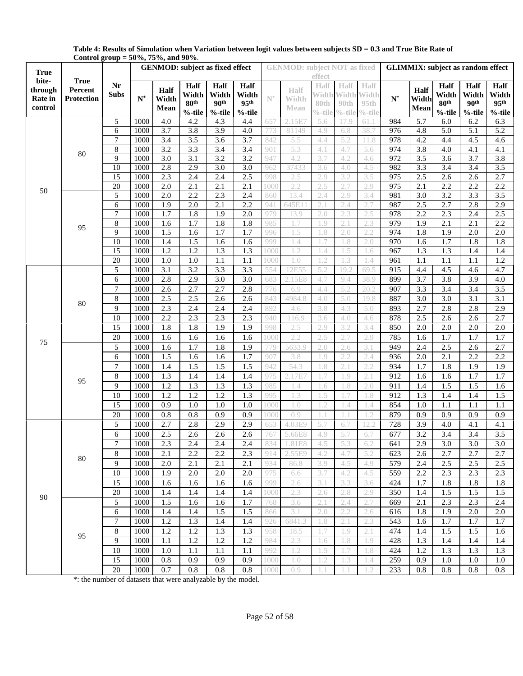|             | Control group = 50 70, 75 70, and 50 70. |                |                                        |                  |                           |                           |                           |                |                                     |               |                   |                    |                                          |                  |                           |                           |                           |  |
|-------------|------------------------------------------|----------------|----------------------------------------|------------------|---------------------------|---------------------------|---------------------------|----------------|-------------------------------------|---------------|-------------------|--------------------|------------------------------------------|------------------|---------------------------|---------------------------|---------------------------|--|
| <b>True</b> |                                          |                | <b>GENMOD:</b> subject as fixed effect |                  |                           |                           |                           |                | <b>GENMOD:</b> subject NOT as fixed |               |                   |                    | <b>GLIMMIX:</b> subject as random effect |                  |                           |                           |                           |  |
| bite-       | <b>True</b>                              |                |                                        |                  |                           |                           |                           |                |                                     | effect        |                   |                    |                                          |                  |                           |                           |                           |  |
| through     | Percent                                  | Nr             |                                        | Half             | <b>Half</b>               | <b>Half</b>               | <b>Half</b>               |                | Half                                | Half          | Half              | Half               |                                          | Half             | <b>Half</b>               | Half                      | Half                      |  |
| Rate in     | <b>Protection</b>                        | <b>Subs</b>    | $\mathbf{N}^*$                         | Width            | Width<br>80 <sup>th</sup> | Width<br>90 <sup>th</sup> | Width<br>95 <sup>th</sup> | $\mathbb{N}^*$ | Width                               | Width<br>80th |                   | <b>Width Width</b> | $\mathbf{N}^*$                           | Width            | Width<br>80 <sup>th</sup> | Width<br>90 <sup>th</sup> | Width<br>95 <sup>th</sup> |  |
| control     |                                          |                |                                        | Mean             | %-tile                    | %-tile                    | %-tile                    |                | Mean                                | $\%$ -tile    | 90th<br>$\%$ -til | 95th<br>$\%$ -tile |                                          | Mean             | $%$ -tile                 | %-tile                    |                           |  |
|             |                                          | 5              | 1000                                   | 4.0              | 4.2                       | 4.3                       | 4.4                       | 657            | 2.15E7                              | 5.6           | 17.9              | 61.1               | 984                                      | 5.7              | 6.0                       | 6.2                       | %-tile<br>6.3             |  |
|             |                                          | 6              | 1000                                   | 3.7              | 3.8                       | 3.9                       | 4.0                       | 773            | 81149                               | 4.9           | 6.8               | 38.7               | 976                                      | 4.8              | 5.0                       | 5.1                       | $\overline{5.2}$          |  |
|             |                                          | 7              | 1000                                   | $\overline{3.4}$ | 3.5                       | $\overline{3.6}$          | 3.7                       | 842            | 5.5                                 | 4.4           | 5.2               | 11.8               | 978                                      | 4.2              | 4.4                       | 4.5                       | 4.6                       |  |
|             |                                          | $\,$ 8 $\,$    | 1000                                   | 3.2              | 3.3                       | 3.4                       | 3.4                       | 901            | 5.3                                 | 4.1           | 4.7               | 5.6                | 974                                      | 3.8              | 4.0                       | 4.1                       | 4.1                       |  |
|             | 80                                       | 9              | 1000                                   | 3.0              | 3.1                       | 3.2                       | 3.2                       | 947            | 4.2                                 | 3.7           | 4.2               | 4.6                | 972                                      | 3.5              | 3.6                       | 3.7                       | 3.8                       |  |
|             |                                          | 10             | 1000                                   | 2.8              | 2.9                       | 3.0                       | $\overline{3.0}$          | 962            | 37433                               | 3.6           | 4.0               | 4.5                | 982                                      | 3.3              | 3.4                       | 3.4                       | $3.5$                     |  |
|             |                                          | 15             | 1000                                   | 2.3              | 2.4                       | 2.4                       | 2.5                       | 998            | 2.5                                 | 2.9           | 3.2               | 3.5                | 975                                      | 2.5              | 2.6                       | 2.6                       | 2.7                       |  |
|             |                                          | 20             | 1000                                   | $\overline{2.0}$ | $\overline{2.1}$          | $\overline{2.1}$          | $\overline{2.1}$          | 1000           | 2.2                                 | 2.5           | 2.7               | 2.9                | 975                                      | $\overline{2.1}$ | 2.2                       | 2.2                       | 2.2                       |  |
| 50          |                                          | 5              | 1000                                   | $\overline{2.0}$ | 2.2                       | 2.3                       | 2.4                       | 860            | 13.4                                | 2.4           | 2.9               | 3.4                | 981                                      | $\overline{3.0}$ | 3.2                       | 3.3                       | 3.5                       |  |
|             |                                          | 6              | 1000                                   | 1.9              | 2.0                       | 2.1                       | 2.2                       | 941            | 645E1                               | 2.1           | 2.4               | 2.7                | 987                                      | 2.5              | 2.7                       | 2.8                       | 2.9                       |  |
|             |                                          | 7              | 1000                                   | 1.7              | 1.8                       | 1.9                       | 2.0                       | 979            | 13.9                                | 2.0           | 2.3               | 2.5                | 978                                      | 2.2              | 2.3                       | 2.4                       | 2.5                       |  |
|             |                                          | $\,$ 8 $\,$    | 1000                                   | 1.6              | 1.7                       | 1.8                       | 1.8                       | 985            | 1.7                                 | 1.9           | 2.1               | 2.3                | 979                                      | 1.9              | 2.1                       | $\overline{2.1}$          | 2.2                       |  |
|             | 95                                       | 9              | 1000                                   | 1.5              | 1.6                       | 1.7                       | 1.7                       | 996            | l .5                                | 1.8           | 2.0               | 2.2                | 974                                      | 1.8              | 1.9                       | 2.0                       | 2.0                       |  |
|             |                                          | 10             | 1000                                   | 1.4              | 1.5                       | 1.6                       | 1.6                       | 999            | 1.4                                 | 1.7           | 1.8               | 2.0                | 970                                      | 1.6              | 1.7                       | 1.8                       | 1.8                       |  |
|             |                                          | 15             | 1000                                   | 1.2              | 1.2                       | 1.3                       | 1.3                       | 1000           | $\overline{1.2}$                    | 1.4           | 1.5               | 1.6                | 967                                      | 1.3              | 1.3                       | 1.4                       | 1.4                       |  |
|             |                                          | 20             | 1000                                   | 1.0              | 1.0                       | 1.1                       | 1.1                       | 1000           | 1.0                                 | 1.2           | 1.3               | 1.4                | 961                                      | 1.1              | 1.1                       | 1.1                       | 1.2                       |  |
|             |                                          | 5              | 1000                                   | 3.1              | 3.2                       | 3.3                       | 3.3                       | 554            | 12E55                               | 5.2           | 19.2              | 69.5               | 915                                      | 4.4              | 4.5                       | 4.6                       | 4.7                       |  |
|             | 80                                       | 6              | 1000                                   | 2.8              | 2.9                       | 3.0                       | 3.0                       | 683            | 2.15E8                              | 4.7           | 9.4               | 38.9               | 899                                      | 3.7              | 3.8                       | 3.9                       | 4.0                       |  |
|             |                                          | $\overline{7}$ | 1000                                   | 2.6              | 2.7                       | 2.7                       | 2.8                       | 776            | 6.9                                 | 4.4           | 5.2               | 20.2               | 907                                      | 3.3              | $\overline{3.4}$          | 3.4                       | $\overline{3.5}$          |  |
|             |                                          | 8              | 1000                                   | 2.5              | 2.5                       | 2.6                       | 2.6                       | 843            | 4984.8                              | 4.0           | 5.0               | 19.8               | 887                                      | 3.0              | $\overline{3.0}$          | $\overline{3.1}$          | $\overline{3.1}$          |  |
|             |                                          | 9              | 1000                                   | 2.3              | 2.4                       | 2.4                       | 2.4                       | 892            | 4.6                                 | 3.8           | 4.3               | 5.0                | 893                                      | 2.7              | 2.8                       | 2.8                       | 2.9                       |  |
|             |                                          | 10             | 1000                                   | 2.2              | 2.3                       | 2.3                       | 2.3                       | 940            | 116.9                               | 3.6           | 4.0               | 4.6                | 878                                      | 2.5              | 2.6                       | 2.6                       | 2.7                       |  |
|             |                                          | 15             | 1000                                   | 1.8              | 1.8                       | 1.9                       | 1.9                       | 998            | 2.5                                 | 2.9           | 3.2               | 3.4                | 850                                      | 2.0              | 2.0                       | 2.0                       | 2.0                       |  |
|             |                                          |                |                                        |                  |                           |                           |                           |                |                                     |               |                   |                    |                                          |                  |                           |                           |                           |  |
| 75          | 95                                       | 20             | 1000                                   | 1.6              | 1.6                       | 1.6                       | 1.6                       | 1000           | 2.2                                 | 2.5           | 2.7               | 2.9                | 785                                      | 1.6              | 1.7                       | 1.7                       | 1.7                       |  |
|             |                                          | 5              | 1000                                   | 1.6              | 1.7                       | 1.8                       | 1.9                       | 779            | 5633.9                              | 2.0           | 2.6               | 3.1                | 949                                      | 2.4              | 2.5                       | 2.6                       | 2.7                       |  |
|             |                                          | 6              | 1000                                   | 1.5              | 1.6                       | 1.6                       | 1.7                       | 907            | 3.8                                 | 1.9           | 2.2               | 2.4                | 936                                      | 2.0              | 2.1                       | 2.2                       | 2.2                       |  |
|             |                                          | 7              | 1000                                   | 1.4              | 1.5                       | 1.5                       | 1.5                       | 942            | 54.3                                | 1.8           | 2.1               | 2.2                | 934                                      | 1.7              | 1.8                       | 1.9                       | 1.9                       |  |
|             |                                          | $\,$ 8 $\,$    | 1000                                   | 1.3              | 1.4                       | 1.4                       | 1.4                       | 975            | 2.17E                               |               | $\overline{.9}$   | 2.1                | 912                                      | 1.6              | 1.6                       | 1.7                       | 1.7                       |  |
|             |                                          | 9              | 1000                                   | 1.2              | 1.3                       | 1.3                       | 1.3                       | 985            | 1.4                                 | 1.6           | 1.8               | 2.0                | 911                                      | 1.4              | 1.5                       | 1.5                       | 1.6                       |  |
|             |                                          | 10             | 1000                                   | 1.2              | 1.2                       | 1.2                       | 1.3                       | 995            | 1.3                                 | 1.5           | 1.7               | 1.8                | 912                                      | 1.3              | 1.4                       | 1.4                       | 1.5                       |  |
|             |                                          | 15             | 1000                                   | 0.9              | 1.0                       | 1.0                       | 1.0                       | 1000           | 1.0                                 | 1.2           | 1.4               | 1.4                | 854                                      | 1.0              | 1.1                       | $\overline{1.1}$          | $\overline{1.1}$          |  |
|             |                                          | 20             | 1000                                   | 0.8              | 0.8                       | 0.9                       | 0.9                       | 1000           | 0.9                                 |               |                   | .2                 | 879                                      | 0.9              | 0.9                       | 0.9                       | 0.9                       |  |
|             |                                          | 5              | 1000                                   | 2.7              | 2.8                       | 2.9                       | 2.9                       | 65             | 4.03E9                              | 5.7           | 6.7               | 12.2               | 728                                      | 3.9              | 4.0                       | 4.1                       | 4.1                       |  |
|             |                                          | 6              | 1000                                   | 2.5              | 2.6                       | 2.6                       | 2.6                       | 767            | 5.66E8                              | 4.9           | 5.7               | 6.7                | 677                                      | 3.2              | 3.4                       | 3.4                       | 3.5                       |  |
|             |                                          | 7.             | 1000                                   | 2.3              | 2.4                       | 2.4                       | 2.4                       | 834            | 1.81E8                              | 4.5           | 5.3               | 0.2                | 641                                      | 2.9              | 3.0                       | 3.0                       | 3.0                       |  |
|             | 80                                       | 8              | 1000                                   | 2.1              | 2.2                       | 2.2                       | 2.3                       | 914            | 2.55E9                              | 4.2           | 4.7               | 5.2                | 623                                      | 2.6              | 2.7                       | 2.7                       | 2.7                       |  |
|             |                                          | 9              | 1000                                   | 2.0              | 2.1                       | 2.1                       | 2.1                       | 934            | 86.8                                | 3.9           | 4.5               | 4.9                | 579                                      | 2.4              | 2.5                       | 2.5                       | 2.5                       |  |
| 90          |                                          | 10             | 1000                                   | 1.9              | 2.0                       | 2.0                       | 2.0                       | 975            | 6.6                                 | 3.7           | 4.2               | 4.5                | 559                                      | 2.2              | 2.3                       | 2.3                       | 2.3                       |  |
|             |                                          | 15             | 1000                                   | 1.6              | 1.6                       | 1.6                       | 1.6                       | 999            | 2.6                                 | 3.1           | 3.3               | 3.6                | 424                                      | 1.7              | 1.8                       | 1.8                       | 1.8                       |  |
|             |                                          | 20             | 1000                                   | 1.4              | 1.4                       | 1.4                       | 1.4                       | 1000           | 2.3                                 | 2.6           | 2.8               | 2.9                | 350                                      | 1.4              | 1.5                       | 1.5                       | 1.5                       |  |
|             |                                          | 5              | 1000                                   | 1.5              | 1.6                       | 1.6                       | 1.7                       | 768            | 3.6                                 | 2.1           | 2.4               | 2.7                | 669                                      | 2.1              | 2.3                       | 2.3                       | 2.4                       |  |
|             |                                          | 6              | 1000                                   | 1.4              | 1.4                       | 1.5                       | 1.5                       | 866            | 3.1                                 | 2.0           | 2.2               | 2.6                | 616                                      | 1.8              | 1.9                       | 2.0                       | 2.0                       |  |
|             |                                          | 7              | 1000                                   | 1.2              | 1.3                       | 1.4                       | 1.4                       | 926            | 6841.3                              | 1.8           | 2.1               | 2.3                | 543                                      | 1.6              | 1.7                       | 1.7                       | 1.7                       |  |
|             |                                          | 8              | 1000                                   | 1.2              | 1.2                       | 1.3                       | 1.3                       | 958            | 18.5                                | 1.7           | 1.9               | 2.1                | 474                                      | 1.4              | 1.5                       | 1.5                       | 1.6                       |  |
|             | 95                                       | 9              | 1000                                   | 1.1              | 1.2                       | 1.2                       | 1.2                       | 984            | 2.3                                 | 1.6           | 1.8               | 1.9                | 428                                      | 1.3              | 1.4                       | 1.4                       | 1.4                       |  |
|             |                                          | 10             | 1000                                   | 1.0              | 1.1                       | 1.1                       | 1.1                       | 992            | 1.2                                 | 1.5           | .7                | 1.8                | 424                                      | 1.2              | 1.3                       | 1.3                       | 1.3                       |  |
|             |                                          | 15             | 1000                                   | 0.8              | 0.9                       | 0.9                       | 0.9                       | 1000           | 1.0                                 | 1.2           | 1.3               | 1.4                | 259                                      | 0.9              | 1.0                       | 1.0                       | 1.0                       |  |
|             |                                          | 20             | 1000                                   | 0.7              | 0.8                       | 0.8                       | 0.8                       | 1000           | 0.9                                 | 1.1           |                   | 1.2                | 233                                      | 0.8              | 0.8                       | 0.8                       | 0.8                       |  |

**Table 4: Results of Simulation when Variation between logit values between subjects SD = 0.3 and True Bite Rate of Control group = 50%, 75%, and 90%**.

\*: the number of datasets that were analyzable by the model.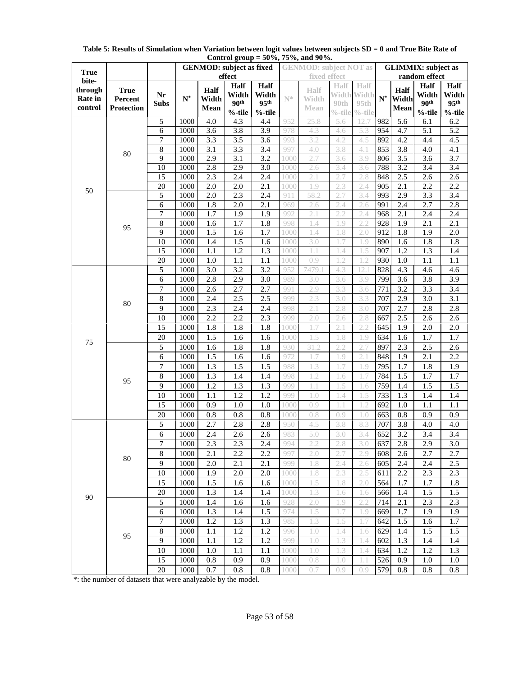|                    |                        |                 | ------- <del>-</del> -----<br><b>GENMOD:</b> subject as fixed<br>effect |               |                         |                  |            | <b>GENMOD:</b> subject NOT as |            |             | <b>GLIMMIX:</b> subject as |                  |                  |                         |  |  |
|--------------------|------------------------|-----------------|-------------------------------------------------------------------------|---------------|-------------------------|------------------|------------|-------------------------------|------------|-------------|----------------------------|------------------|------------------|-------------------------|--|--|
| <b>True</b>        |                        |                 |                                                                         |               |                         |                  |            | fixed effect                  |            |             | random effect              |                  |                  |                         |  |  |
| bite-              |                        |                 |                                                                         |               | Half                    | Half             |            | Half                          | Half       | <b>Half</b> |                            |                  | Half             | Half                    |  |  |
| through<br>Rate in | <b>True</b><br>Percent | Nr              | $\mathbf{N}^*$                                                          | Half<br>Width | Width                   | Width            | N*         | Width                         | Width      | Width       | $\mathbf{N}^*$             | Half<br>Width    | Width            | Width                   |  |  |
| control            | <b>Protection</b>      | <b>Subs</b>     |                                                                         | Mean          | 90 <sup>th</sup>        | 95 <sup>th</sup> |            | Mean                          | 90th       | 95th        |                            | Mean             | 90 <sup>th</sup> | 95 <sup>th</sup>        |  |  |
|                    |                        |                 |                                                                         |               | $%$ -tile               | $\%$ -tile       |            |                               | $\%$ -tile | $%$ -tile   |                            |                  | $%$ -tile        | $%$ -tile               |  |  |
|                    |                        | 5               | 1000                                                                    | 4.0           | 4.3                     | 4.4              | 952        | 25.8                          | 5.6        | 12.7        | 982                        | 5.6              | 6.1              | 6.2                     |  |  |
|                    |                        | 6               | 1000                                                                    | 3.6           | 3.8                     | 3.9              | 978        | 4.3                           | 4.6        | 5.3         | 954                        | 4.7              | 5.1              | 5.2                     |  |  |
|                    |                        | 7               | 1000                                                                    | 3.3           | $\overline{3.5}$        | 3.6              | 993        | 3.2                           | 4.2        | 4.5         | 892                        | 4.2              | 4.4              | 4.5                     |  |  |
|                    | 80                     | 8               | 1000                                                                    | 3.1           | 3.3                     | 3.4              | 997        | 4.0                           | 3.8        | 4.1         | 853                        | 3.8              | 4.0              | 4.1                     |  |  |
|                    |                        | 9               | 1000                                                                    | 2.9           | $\overline{3.1}$        | 3.2              | 1000       | 2.7                           | 3.6        | 3.9         | 806                        | 3.5              | 3.6              | 3.7                     |  |  |
|                    |                        | $\overline{10}$ | 1000                                                                    | 2.8           | 2.9                     | 3.0              | 1000       | 2.6                           | 3.4        | 3.6         | 788                        | 3.2              | $\overline{3.4}$ | 3.4                     |  |  |
|                    |                        | $\overline{15}$ | 1000                                                                    | 2.3           | 2.4                     | 2.4              | 1000       | 2.1                           | 2.7        | 2.8<br>2.4  | 848                        | 2.5              | 2.6<br>2.2       | 2.6                     |  |  |
| 50                 |                        | 20              | 1000                                                                    | 2.0           | 2.0<br>$\overline{2.3}$ | 2.1              | 1000       | 1.9                           | 2.3        |             | 905<br>993                 | 2.1              | 3.3              | 2.2<br>$\overline{3.4}$ |  |  |
|                    |                        | 5               | 1000                                                                    | 2.0           |                         | 2.4              | 911        | 58.2                          | 2.7        | 3.4         |                            | 2.9              |                  |                         |  |  |
|                    |                        | 6<br>7          | 1000<br>1000                                                            | 1.8<br>1.7    | 2.0<br>1.9              | 2.1              | 969<br>992 | 2.6<br>2.1                    | 2.4<br>2.2 | 2.6<br>2.4  | 991                        | 2.4<br>2.1       | 2.7<br>2.4       | 2.8                     |  |  |
|                    |                        | 8               | 1000                                                                    | 1.6           | 1.7                     | 1.9<br>1.8       | 998        | 1.4                           | .9         | 2.2         | 968<br>928                 | 1.9              | 2.1              | 2.4<br>2.1              |  |  |
|                    | 95                     | 9               | 1000                                                                    | 1.5           | 1.6                     | 1.7              | 1000       | 1.4                           | 1.8        | 2.0         | 912                        | 1.8              | 1.9              | 2.0                     |  |  |
|                    |                        | 10              | 1000                                                                    | 1.4           | 1.5                     | 1.6              | 1000       | 3.0                           | .7         | 1.9         | 890                        | 1.6              | 1.8              | 1.8                     |  |  |
|                    |                        | 15              | 1000                                                                    | 1.1           | 1.2                     | 1.3              | 1000       | 1.1                           | .4         | 1.5         | 907                        | 1.2              | 1.3              | 1.4                     |  |  |
|                    |                        | 20              | 1000                                                                    | 1.0           | 1.1                     | 1.1              | 1000       | 0.9                           | $.2\,$     | $\cdot$     | 930                        | 1.0              | 1.1              | 1.1                     |  |  |
|                    |                        | 5               | 1000                                                                    | 3.0           | 3.2                     | 3.2              | 952        | 7479.                         | 4.3        | 12.         | 828                        | 4.3              | 4.6              | 4.6                     |  |  |
|                    |                        | 6               | 1000                                                                    | 2.8           | 2.9                     | 3.0              | 989        | 3.0                           | 3.6        | 3.9         | 799                        | 3.6              | 3.8              | 3.9                     |  |  |
|                    |                        | 7               | 1000                                                                    | 2.6           | 2.7                     | 2.7              | 991        | 2.9                           | 3.3        | 3.6         | 771                        | $\overline{3.2}$ | 3.3              | $\overline{3.4}$        |  |  |
|                    |                        | 8               | 1000                                                                    | 2.4           | 2.5                     | 2.5              | 999        | 2.3                           | 3.0        | 3.3         | 707                        | 2.9              | $\overline{3.0}$ | $\overline{3.1}$        |  |  |
|                    | 80                     | 9               |                                                                         |               | 2.4                     |                  | 998        | 2.1                           | 2.8        |             |                            |                  |                  |                         |  |  |
|                    |                        |                 | 1000<br>1000                                                            | 2.3           |                         | 2.4              |            |                               |            | 3.0         | 707                        | 2.7              | 2.8              | 2.8                     |  |  |
|                    |                        | 10              |                                                                         | 2.2           | 2.2                     | 2.3              | 999        | 2.0                           | 2.6        | 2.8<br>2.2  | 667                        | 2.5              | 2.6              | 2.6                     |  |  |
|                    |                        | 15              | 1000                                                                    | 1.8           | 1.8                     | 1.8              | 1000       | 1.7                           | 2.1        |             | 645                        | 1.9              | 2.0              | 2.0                     |  |  |
| 75                 |                        | 20              | 1000                                                                    | 1.5           | 1.6                     | 1.6              | 1000       | 1.5                           | 1.8        | 1.9         | 634                        | 1.6              | 1.7              | 1.7                     |  |  |
|                    |                        | 5               | 1000                                                                    | 1.6           | 1.8                     | 1.8              | 930        | 31.2                          | 2.2        | 2.7         | 897                        | 2.3              | 2.5              | 2.6                     |  |  |
|                    |                        | 6               | 1000                                                                    | 1.5           | 1.6                     | 1.6              | 972        | 1.7                           | 1.9        | 2.1         | 848                        | 1.9              | 2.1              | 2.2                     |  |  |
|                    |                        | 7               | 1000                                                                    | 1.3           | 1.5                     | 1.5              | 988        | 1.3                           | 1.7        | 1.9         | 795                        | 1.7              | 1.8              | 1.9                     |  |  |
|                    | 95                     | 8               | 1000                                                                    | 1.3           | 1.4                     | 1.4              | 998        | 1.2                           | 1.6        | 1.7         | 784                        | 1.5              | $\overline{1.7}$ | 1.7                     |  |  |
|                    |                        | 9               | 1000                                                                    | 1.2           | 1.3                     | 1.3              | 999        | 1.1                           | 1.5        | 1.6         | 759                        | 1.4              | 1.5              | 1.5                     |  |  |
|                    |                        | 10              | 1000                                                                    | 1.1           | 1.2                     | 1.2              | 999        | 1.0                           | 1.4        | 1.5         | 733                        | 1.3              | 1.4              | 1.4                     |  |  |
|                    |                        | 15              | 1000                                                                    | 0.9           | 1.0                     | 1.0              | 1000       | 0.9                           | 1.1        | 1.2         | 692                        | 1.0              | 1.1              | 1.1                     |  |  |
|                    |                        | 20              | 1000                                                                    | 0.8           | 0.8                     | 0.8              | 1000       | 0.8                           | 0.9        | 1.0         | 663                        | 0.8              | 0.9              | 0.9                     |  |  |
|                    | 80                     | 5               | 1000                                                                    | 2.7           | 2.8                     | 2.8              | 950        | 4.5                           | 3.8        | 8.3         | 707                        | 3.8              | 4.0              | 4.0                     |  |  |
|                    |                        | 6               | 1000                                                                    | 2.4           | 2.6                     | 2.6              | 983        | 5.0                           | 3.0        | 3.4         | 652                        | 3.2              | 3.4              | 3.4                     |  |  |
|                    |                        | $\overline{7}$  | 1000                                                                    | 2.3           | 2.3                     | 2.4              |            | $\angle$ , $\angle$           | 2.8        | 3.0         | 637                        | 2.8              | 2.9              | $\overline{3.0}$        |  |  |
|                    |                        | 8               | 1000                                                                    | 2.1           | 2.2                     | 2.2              | 997        | 2.0                           | 2.7        | 2.9         | 608                        | 2.6              | 2.7              | 2.7                     |  |  |
|                    |                        | 9               | 1000                                                                    | 2.0           | 2.1                     | 2.1              | 999        | 1.8                           | 2.4        | 2.6         | 605                        | 2.4              | 2.4              | 2.5                     |  |  |
| 90                 |                        | 10              | 1000                                                                    | 1.9           | 2.0                     | 2.0              | 1000       | 1.8                           | 2.3        | 2.5         | 611                        | 2.2              | 2.3              | 2.3                     |  |  |
|                    |                        | 15              | 1000                                                                    | 1.5           | 1.6                     | 1.6              | 1000       | 1.5                           | 1.8        | 2.0         | 564                        | 1.7              | 1.7              | 1.8                     |  |  |
|                    |                        | 20              | 1000                                                                    | 1.3           | 1.4                     | 1.4              | 1000       | 1.3                           | 1.6        | 1.6         | 566                        | 1.4              | 1.5              | 1.5                     |  |  |
|                    |                        | 5               | 1000                                                                    | 1.4           | 1.6                     | 1.6              | 928        | 2.0                           | 1.9        | 2.2         | 714                        | 2.1              | 2.3              | 2.3                     |  |  |
|                    |                        | 6               | 1000                                                                    | 1.3           | 1.4                     | 1.5              | 974        | 1.5                           | 1.7        | 1.9         | 669                        | 1.7              | 1.9              | 1.9                     |  |  |
|                    |                        | 7               | 1000                                                                    | 1.2           | 1.3                     | 1.3              | 985        | 1.3                           | 1.5        | 1.7         | 642                        | 1.5              | 1.6              | 1.7                     |  |  |
|                    | 95                     | 8               | 1000                                                                    | 1.1           | 1.2                     | 1.2              | 996        | 1.0                           | 1.4        | 1.6         | 629                        | 1.4              | 1.5              | 1.5                     |  |  |
|                    |                        | 9               | 1000                                                                    | 1.1           | 1.2                     | 1.2              | 999        | 1.0                           | 1.3        | 1.4         | 602                        | 1.3              | 1.4              | 1.4                     |  |  |
|                    |                        | 10              | 1000                                                                    | 1.0           | 1.1                     | 1.1              | 1000       | 1.0                           | 1.3        | 1.4         | 634                        | 1.2              | 1.2              | 1.3                     |  |  |
|                    |                        | 15              | 1000                                                                    | 0.8           | 0.9                     | 0.9              | 1000       | 0.8                           | 1.0        | 1.1         | 526                        | 0.9              | 1.0              | 1.0                     |  |  |
|                    |                        | 20              | 1000                                                                    | 0.7           | $0.8\,$                 | 0.8              | 1000       | 0.7                           | 0.9        | 0.9         | 579                        | 0.8              | 0.8              | 0.8                     |  |  |

**Table 5: Results of Simulation when Variation between logit values between subjects SD = 0 and True Bite Rate of Control group = 50%, 75%, and 90%.**

\*: the number of datasets that were analyzable by the model.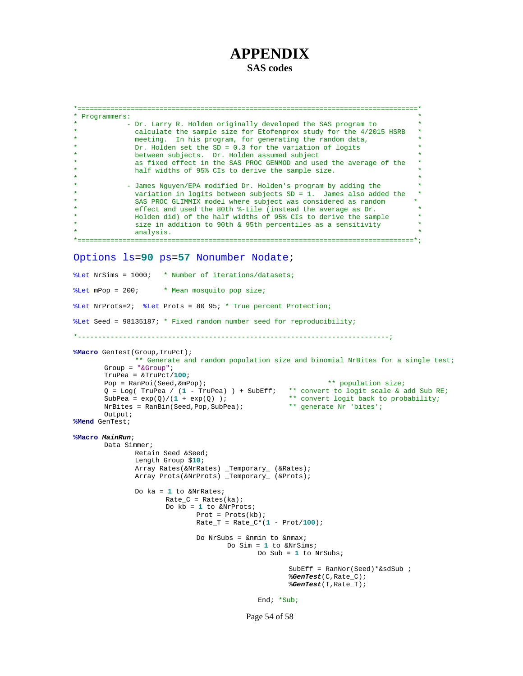# **APPENDIX**

**SAS codes**

```
*===================================================================================*
* Programmers: *
           - Dr. Larry R. Holden originally developed the SAS program to
             calculate the sample size for Etofenprox study for the 4/2015 HSRB
             meeting. In his program, for generating the random data,
             Dr. Holden set the SD = 0.3 for the variation of logits
             between subjects. Dr. Holden assumed subject
             as fixed effect in the SAS PROC GENMOD and used the average of the
             half widths of 95% CIs to derive the sample size.
* *
            - James Nguyen/EPA modified Dr. Holden's program by adding the
             variation in logits between subjects SD = 1. James also added the
             SAS PROC GLIMMIX model where subject was considered as random
             effect and used the 80th %-tile (instead the average as Dr.
             Holden did) of the half widths of 95% CIs to derive the sample
             size in addition to 90th & 95th percentiles as a sensitivity analysis.
* analysis. *
*==================================================================================*;
Options ls=90 ps=57 Nonumber Nodate;
%Let NrSims = 1000; * Number of iterations/datasets;
%Let mPop = 200; * Mean mosquito pop size;
%Let NrProts=2; %Let Prots = 80 95; * True percent Protection;
%Let Seed = 98135187; * Fixed random number seed for reproducibility;
*----------------------------------------------------------------------------;
%Macro GenTest(Group,TruPct);
              ** Generate and random population size and binomial NrBites for a single test;
      Group = "&Group";
      TruPea = &TruPct/100;
       Pop = RanPoi(Seed, &mPop); \star\star population size;
       Q = Log( TruPea / (1 - TruPea) ) + SubEff; ** convert to logit scale & add Sub RE;
      SubPea = \exp(Q)/(1 + \exp(Q)); ** convert logit back to probability;<br>NrBites = RanBin(Seed, Pop, SubPea); ** generate Nr 'bites';
      NrBites = RanBin(Seed, Pop, SubPea);Output;
%Mend GenTest;
%Macro MainRun;
      Data Simmer;
             Retain Seed &Seed;
              Length Group $10;
              Array Rates(&NrRates) _Temporary_ (&Rates);
              Array Prots(&NrProts) _Temporary_ (&Prots);
              Do ka = 1 to &NrRates;
                     Rate_C = Rates(ka);Do kb = 1 to &NrProts;
                            Prot = Prots(kb);
                            Rate_T = Rate_C*(1 - Prot/100);
                            Do NrSubs = &nmin to &nmax;
                                   Do Sim = 1 to &NrSims;
                                          Do Sub = 1 to NrSubs;
                                                 SubEff = RanNor(Seed)*&sdSub ;
                                                 %GenTest(C,Rate_C);
                                                 %GenTest(T,Rate_T);
                                          End; *Sub;
```
Page 54 of 58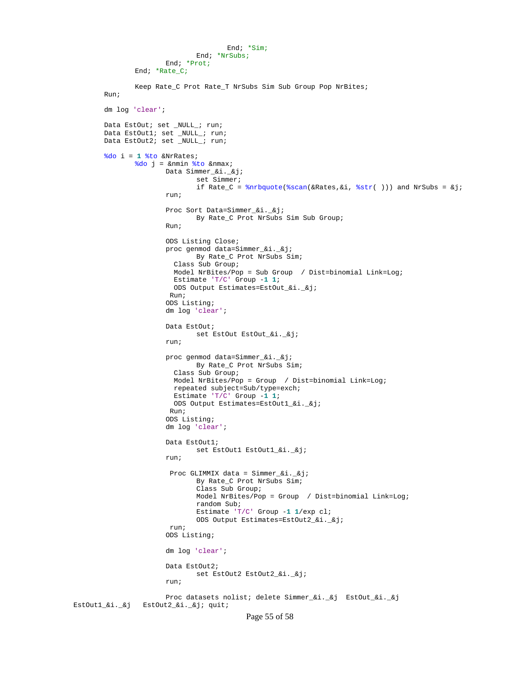```
End; *Sim;
                               End; *NrSubs;
                       End; *Prot;
               End; *Rate_C;
               Keep Rate_C Prot Rate_T NrSubs Sim Sub Group Pop NrBites;
       Run;
       dm log 'clear';
       Data EstOut; set _NULL_; run;
       Data EstOut1; set _NULL_; run;
       Data EstOut2; set _NULL_; run;
       %do i = 1 %to &NrRates;
               %do j = &nmin %to &nmax;
                       Data Simmer_&i._&j;
                               set Simmer;
                               if Rate_C = \text{knrbquote}(\text{scan}(\&\text{Rates}, \&i, \&\text{str}( )) ) and NrSubs = \&j;run;
                       Proc Sort Data=Simmer_&i._&j;
                               By Rate_C Prot NrSubs Sim Sub Group;
                       Run;
                       ODS Listing Close;
                       proc genmod data=Simmer_&i._&j;
                               By Rate_C Prot NrSubs Sim;
                          Class Sub Group;
                          Model NrBites/Pop = Sub Group / Dist=binomial Link=Log;
                          Estimate 'T/C' Group -1 1;
                         ODS Output Estimates=EstOut_&i._&j;
                        Run;
                       ODS Listing;
                       dm log 'clear';
                       Data EstOut;
                              set EstOut EstOut_&i._&j;
                       run;
                       proc genmod data=Simmer_&i._&j;
                              By Rate_C Prot NrSubs Sim;
                          Class Sub Group;
                          Model NrBites/Pop = Group / Dist=binomial Link=Log;
                          repeated subject=Sub/type=exch;
                          Estimate 'T/C' Group -1 1;
                         ODS Output Estimates=EstOut1_&i._&j;
                        Run;
                       ODS Listing;
                       dm log 'clear';
                       Data EstOut1;
                               set EstOut1 EstOut1_&i._&j;
                       run;
                        Proc GLIMMIX data = Simmer_&i._&j;
                               By Rate_C Prot NrSubs Sim;
                               Class Sub Group;
                               Model NrBites/Pop = Group / Dist=binomial Link=Log;
                               random Sub;
                               Estimate 'T/C' Group -1 1/exp cl;
                               ODS Output Estimates=EstOut2_&i._&j;
                        run;
                       ODS Listing;
                       dm log 'clear';
                       Data EstOut2;
                               set EstOut2 EstOut2_&i._&j;
                       run;
                       Proc datasets nolist; delete Simmer_&i._&j EstOut_&i._&j 
EstOut1_&i._&j EstOut2_&i._&j; quit;
```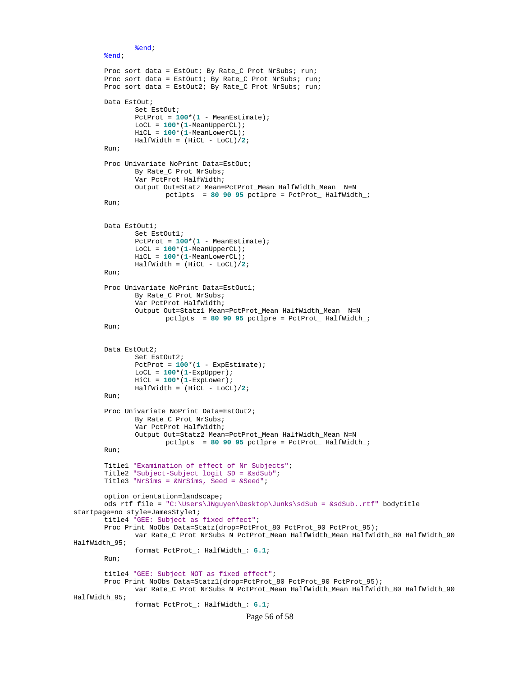```
%end;
       %end;
       Proc sort data = EstOut; By Rate_C Prot NrSubs; run;
       Proc sort data = EstOut1; By Rate_C Prot NrSubs; run;
       Proc sort data = EstOut2; By Rate_C Prot NrSubs; run;
       Data EstOut;
               Set EstOut;
               PctProt = 100*(1 - MeanEstimate);
               LoCL = 100*(1-MeanUpperCL);
               HiCL = 100*(1-MeanLowerCL);
               HalfWidth = (HiCL - LoCL)/2;
       Run;
       Proc Univariate NoPrint Data=EstOut;
               By Rate_C Prot NrSubs;
               Var PctProt HalfWidth;
               Output Out=Statz Mean=PctProt_Mean HalfWidth_Mean N=N
                      pctlpts = 80 90 95 pctlpre = PctProt_ HalfWidth_;
       Run;
       Data EstOut1;
               Set EstOut1;
               PctProt = 100*(1 - \text{MeanEstimate});
               LoCL = 100*(1-MeanUpperCL);
               HiCL = 100*(1-MeanLowerCL);
               HalfWidth = (HiCL - LoCL)/2;
       Run;
       Proc Univariate NoPrint Data=EstOut1;
               By Rate_C Prot NrSubs;
               Var PctProt HalfWidth;
               Output Out=Statz1 Mean=PctProt_Mean HalfWidth_Mean N=N
                      pctlpts = 80 90 95 pctlpre = PctProt_ HalfWidth_;
       Run;
       Data EstOut2;
               Set EstOut2;
               PctProt = 100*(1 - ExpEstimate);
               LoCL = 100*(1-ExpUpper);
               HiCL = 100*(1-ExpLower);
               HalfWidth = (HiCL - LoCL)/2;
       Run;
       Proc Univariate NoPrint Data=EstOut2;
               By Rate_C Prot NrSubs;
               Var PctProt HalfWidth;
               Output Out=Statz2 Mean=PctProt_Mean HalfWidth_Mean N=N
                      pctlpts = 80 90 95 pctlpre = PctProt_ HalfWidth_;
       Run;
       Title1 "Examination of effect of Nr Subjects";
       Title2 "Subject-Subject logit SD = &sdSub";
       Title3 "NrSims = &NrSims, Seed = &Seed";
       option orientation=landscape;
       ods rtf file = "C:\Users\JNguyen\Desktop\Junks\sdSub = &sdSub..rtf" bodytitle 
startpage=no style=JamesStyle1;
       title4 "GEE: Subject as fixed effect";
       Proc Print NoObs Data=Statz(drop=PctProt_80 PctProt_90 PctProt_95);
               var Rate_C Prot NrSubs N PctProt_Mean HalfWidth_Mean HalfWidth_80 HalfWidth_90 
HalfWidth_95;
               format PctProt_: HalfWidth_: 6.1;
       Run;
       title4 "GEE: Subject NOT as fixed effect";
       Proc Print NoObs Data=Statz1(drop=PctProt_80 PctProt_90 PctProt_95);
               var Rate_C Prot NrSubs N PctProt_Mean HalfWidth_Mean HalfWidth_80 HalfWidth_90 
HalfWidth_95;
               format PctProt_: HalfWidth_: 6.1;
```

```
Page 56 of 58
```